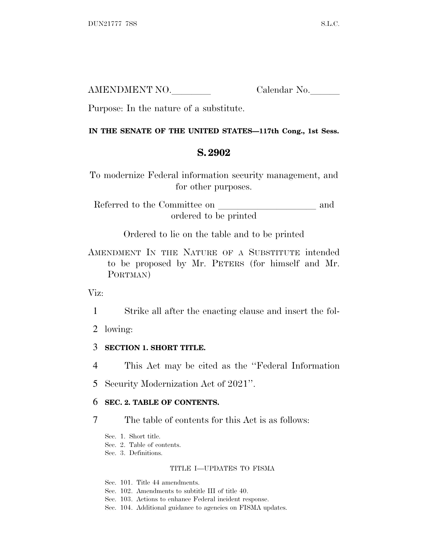| AMENDMENT NO. | Calendar No. |
|---------------|--------------|
|               |              |

Purpose: In the nature of a substitute.

## **IN THE SENATE OF THE UNITED STATES—117th Cong., 1st Sess.**

# **S. 2902**

To modernize Federal information security management, and for other purposes.

Referred to the Committee on and ordered to be printed

Ordered to lie on the table and to be printed

AMENDMENT IN THE NATURE OF A SUBSTITUTE intended to be proposed by Mr. PETERS (for himself and Mr. PORTMAN)

Viz:

1 Strike all after the enacting clause and insert the fol-

2 lowing:

## 3 **SECTION 1. SHORT TITLE.**

4 This Act may be cited as the ''Federal Information

5 Security Modernization Act of 2021''.

## 6 **SEC. 2. TABLE OF CONTENTS.**

7 The table of contents for this Act is as follows:

Sec. 1. Short title.

Sec. 2. Table of contents.

Sec. 3. Definitions.

### TITLE I—UPDATES TO FISMA

Sec. 101. Title 44 amendments.

Sec. 102. Amendments to subtitle III of title 40.

Sec. 103. Actions to enhance Federal incident response.

Sec. 104. Additional guidance to agencies on FISMA updates.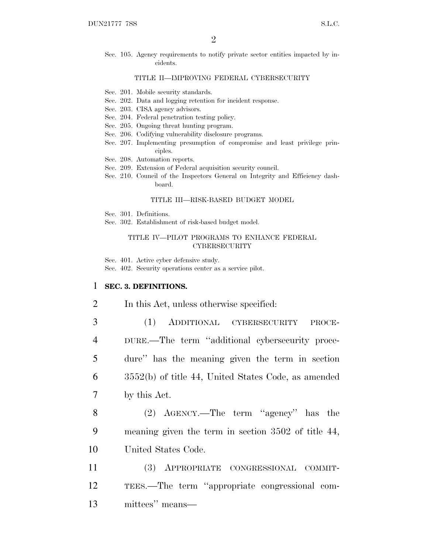Sec. 105. Agency requirements to notify private sector entities impacted by incidents.

### TITLE II—IMPROVING FEDERAL CYBERSECURITY

- Sec. 201. Mobile security standards.
- Sec. 202. Data and logging retention for incident response.
- Sec. 203. CISA agency advisors.
- Sec. 204. Federal penetration testing policy.
- Sec. 205. Ongoing threat hunting program.
- Sec. 206. Codifying vulnerability disclosure programs.
- Sec. 207. Implementing presumption of compromise and least privilege principles.
- Sec. 208. Automation reports.
- Sec. 209. Extension of Federal acquisition security council.
- Sec. 210. Council of the Inspectors General on Integrity and Efficiency dashboard.

### TITLE III—RISK-BASED BUDGET MODEL

- Sec. 301. Definitions.
- Sec. 302. Establishment of risk-based budget model.

### TITLE IV—PILOT PROGRAMS TO ENHANCE FEDERAL **CYBERSECURITY**

Sec. 401. Active cyber defensive study.

Sec. 402. Security operations center as a service pilot.

### 1 **SEC. 3. DEFINITIONS.**

- 2 In this Act, unless otherwise specified:
- 3 (1) ADDITIONAL CYBERSECURITY PROCE-4 DURE.—The term ''additional cybersecurity proce-5 dure'' has the meaning given the term in section 6 3552(b) of title 44, United States Code, as amended 7 by this Act.
- 8 (2) AGENCY.—The term ''agency'' has the 9 meaning given the term in section 3502 of title 44, 10 United States Code.
- 11 (3) APPROPRIATE CONGRESSIONAL COMMIT-12 TEES.—The term ''appropriate congressional com-13 mittees'' means—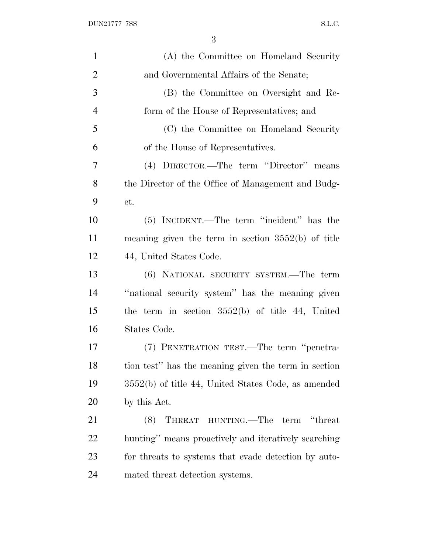| $\mathbf{1}$   | (A) the Committee on Homeland Security                |
|----------------|-------------------------------------------------------|
| $\overline{2}$ | and Governmental Affairs of the Senate;               |
| 3              | (B) the Committee on Oversight and Re-                |
| $\overline{4}$ | form of the House of Representatives; and             |
| 5              | (C) the Committee on Homeland Security                |
| 6              | of the House of Representatives.                      |
| 7              | (4) DIRECTOR.—The term "Director" means               |
| 8              | the Director of the Office of Management and Budg-    |
| 9              | et.                                                   |
| 10             | (5) INCIDENT.—The term "incident" has the             |
| 11             | meaning given the term in section $3552(b)$ of title  |
| 12             | 44, United States Code.                               |
| 13             | (6) NATIONAL SECURITY SYSTEM.—The term                |
| 14             | "national security system" has the meaning given      |
| 15             | the term in section $3552(b)$ of title 44, United     |
| 16             | States Code.                                          |
| 17             | (7) PENETRATION TEST.—The term "penetra-              |
| 18             | tion test" has the meaning given the term in section  |
| 19             | $3552(b)$ of title 44, United States Code, as amended |
| 20             | by this Act.                                          |
| 21             | THREAT HUNTING.—The term "threat<br>(8)               |
| 22             | hunting" means proactively and iteratively searching  |
| 23             | for threats to systems that evade detection by auto-  |
| 24             | mated threat detection systems.                       |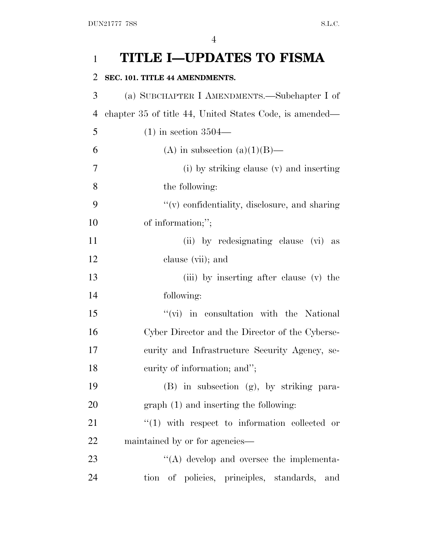| $\mathbf{1}$   | <b>TITLE I-UPDATES TO FISMA</b>                         |
|----------------|---------------------------------------------------------|
| $\overline{2}$ | SEC. 101. TITLE 44 AMENDMENTS.                          |
| 3              | (a) SUBCHAPTER I AMENDMENTS.—Subchapter I of            |
| $\overline{4}$ | chapter 35 of title 44, United States Code, is amended— |
| 5              | $(1)$ in section 3504—                                  |
| 6              | (A) in subsection (a)(1)(B)—                            |
| 7              | (i) by striking clause (v) and inserting                |
| 8              | the following:                                          |
| 9              | $f'(v)$ confidentiality, disclosure, and sharing        |
| 10             | of information;";                                       |
| 11             | (ii) by redesignating clause (vi) as                    |
| 12             | clause (vii); and                                       |
| 13             | (iii) by inserting after clause (v) the                 |
| 14             | following:                                              |
| 15             | "(vi) in consultation with the National                 |
| 16             | Cyber Director and the Director of the Cyberse-         |
| 17             | curity and Infrastructure Security Agency, se-          |
| 18             | curity of information; and";                            |
| 19             | (B) in subsection (g), by striking para-                |
| 20             | $graph(1)$ and inserting the following:                 |
| 21             | $(1)$ with respect to information collected or          |
| 22             | maintained by or for agencies—                          |
| 23             | "(A) develop and oversee the implementa-                |
| 24             | tion of policies, principles, standards,<br>and         |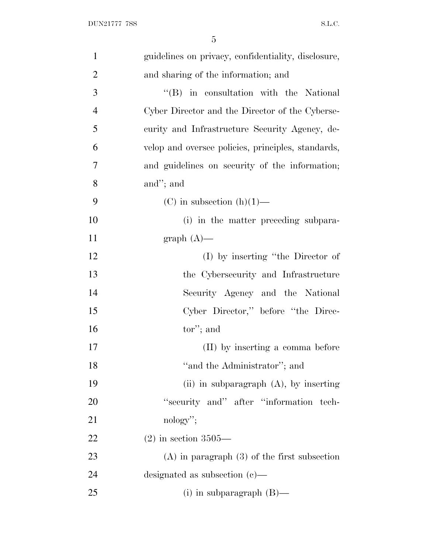| $\mathbf{1}$   | guidelines on privacy, confidentiality, disclosure, |
|----------------|-----------------------------------------------------|
| $\overline{2}$ | and sharing of the information; and                 |
| 3              | "(B) in consultation with the National              |
| $\overline{4}$ | Cyber Director and the Director of the Cyberse-     |
| 5              | curity and Infrastructure Security Agency, de-      |
| 6              | velop and oversee policies, principles, standards,  |
| 7              | and guidelines on security of the information;      |
| 8              | and"; and                                           |
| 9              | $(C)$ in subsection $(h)(1)$ —                      |
| 10             | (i) in the matter preceding subpara-                |
| 11             | $graph(A)$ —                                        |
| 12             | $(I)$ by inserting "the Director of                 |
| 13             | the Cybersecurity and Infrastructure                |
| 14             | Security Agency and the National                    |
| 15             | Cyber Director," before "the Direc-                 |
| 16             | tor"; and                                           |
| 17             | (II) by inserting a comma before                    |
| 18             | "and the Administrator"; and                        |
| 19             | (ii) in subparagraph $(A)$ , by inserting           |
| 20             | "security and" after "information tech-             |
| 21             | $\mathrm{nology}$ ";                                |
| 22             | $(2)$ in section 3505—                              |
| 23             | $(A)$ in paragraph $(3)$ of the first subsection    |
| 24             | designated as subsection $(c)$ —                    |
| 25             | $(i)$ in subparagraph $(B)$ —                       |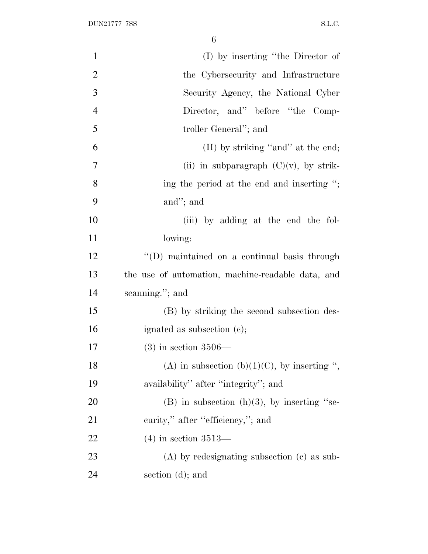| $\mathbf{1}$   | $(I)$ by inserting "the Director of               |
|----------------|---------------------------------------------------|
| $\overline{2}$ | the Cybersecurity and Infrastructure              |
| 3              | Security Agency, the National Cyber               |
| $\overline{4}$ | Director, and" before "the Comp-                  |
| 5              | troller General"; and                             |
| 6              | $(II)$ by striking "and" at the end;              |
| 7              | (ii) in subparagraph $(C)(v)$ , by strik-         |
| 8              | ing the period at the end and inserting ";        |
| 9              | and"; and                                         |
| 10             | (iii) by adding at the end the fol-               |
| 11             | lowing:                                           |
| 12             | "(D) maintained on a continual basis through      |
| 13             | the use of automation, machine-readable data, and |
| 14             | scanning."; and                                   |
| 15             | (B) by striking the second subsection des-        |
| 16             | ignated as subsection (c);                        |
| 17             | $(3)$ in section 3506—                            |
| 18             | (A) in subsection (b)(1)(C), by inserting ",      |
| 19             | availability" after "integrity"; and              |
| 20             | $(B)$ in subsection $(h)(3)$ , by inserting "se-  |
| 21             | curity," after "efficiency,"; and                 |
| 22             | $(4)$ in section 3513—                            |
| 23             | $(A)$ by redesignating subsection $(c)$ as sub-   |
| 24             | section (d); and                                  |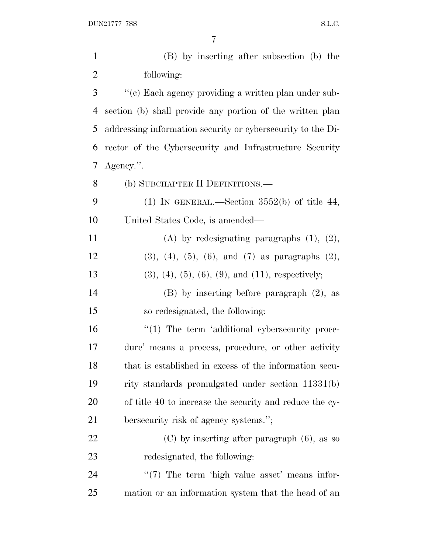| $\mathbf{1}$             | (B) by inserting after subsection (b) the                       |
|--------------------------|-----------------------------------------------------------------|
| $\mathbf{2}$             | following:                                                      |
| 3                        | "(c) Each agency providing a written plan under sub-            |
| 4                        | section (b) shall provide any portion of the written plan       |
| 5                        | addressing information security or cybersecurity to the Di-     |
| 6                        | rector of the Cybersecurity and Infrastructure Security         |
| $\overline{\mathcal{L}}$ | Agency.".                                                       |
| 8                        | (b) SUBCHAPTER II DEFINITIONS.—                                 |
| 9                        | (1) IN GENERAL.—Section $3552(b)$ of title 44,                  |
| 10                       | United States Code, is amended—                                 |
| 11                       | (A) by redesignating paragraphs $(1)$ , $(2)$ ,                 |
| 12                       | $(3)$ , $(4)$ , $(5)$ , $(6)$ , and $(7)$ as paragraphs $(2)$ , |
| 13                       | $(3), (4), (5), (6), (9),$ and $(11),$ respectively;            |
| 14                       | $(B)$ by inserting before paragraph $(2)$ , as                  |
| 15                       | so redesignated, the following:                                 |
| 16                       | $\lq(1)$ The term 'additional cybersecurity proce-              |
| 17                       | dure' means a process, procedure, or other activity             |
| 18                       | that is established in excess of the information secu-          |
| 19                       | rity standards promulgated under section 11331(b)               |
| 20                       | of title 40 to increase the security and reduce the cy-         |
| 21                       | bersecurity risk of agency systems.";                           |
| 22                       | $(C)$ by inserting after paragraph $(6)$ , as so                |
| 23                       | redesignated, the following:                                    |
| 24                       | $\lq(7)$ The term 'high value asset' means infor-               |
| 25                       | mation or an information system that the head of an             |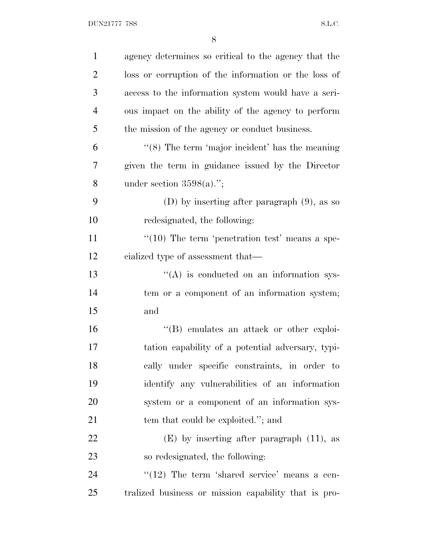| $\mathbf{1}$   | agency determines so critical to the agency that the      |
|----------------|-----------------------------------------------------------|
| $\overline{2}$ | loss or corruption of the information or the loss of      |
| 3              | access to the information system would have a seri-       |
| $\overline{4}$ | ous impact on the ability of the agency to perform        |
| 5              | the mission of the agency or conduct business.            |
| 6              | $\cdot$ (8) The term 'major incident' has the meaning     |
| 7              | given the term in guidance issued by the Director         |
| 8              | under section $3598(a)$ .";                               |
| 9              | (D) by inserting after paragraph $(9)$ , as so            |
| 10             | redesignated, the following:                              |
| 11             | $\cdot\cdot(10)$ The term 'penetration test' means a spe- |
| 12             | cialized type of assessment that—                         |
| 13             | $\lq\lq$ is conducted on an information sys-              |
| 14             | tem or a component of an information system;              |
| 15             | and                                                       |
| 16             | "(B) emulates an attack or other exploi-                  |
| 17             | tation capability of a potential adversary, typi-         |
| 18             | cally under specific constraints, in order to             |
| 19             | identify any vulnerabilities of an information            |
| 20             | system or a component of an information sys-              |
| 21             | tem that could be exploited."; and                        |
| 22             | $(E)$ by inserting after paragraph $(11)$ , as            |
| 23             | so redesignated, the following:                           |
| 24             | $\lq(12)$ The term 'shared service' means a cen-          |
| 25             | tralized business or mission capability that is pro-      |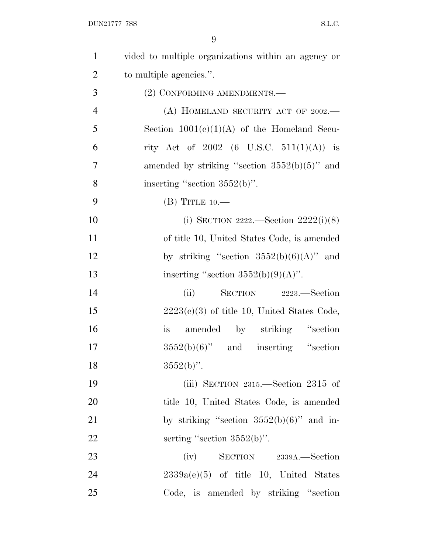| $\mathbf{1}$   | vided to multiple organizations within an agency or |
|----------------|-----------------------------------------------------|
| $\overline{2}$ | to multiple agencies.".                             |
| 3              | (2) CONFORMING AMENDMENTS.-                         |
| $\overline{4}$ | (A) HOMELAND SECURITY ACT OF $2002$ .               |
| 5              | Section $1001(c)(1)(A)$ of the Homeland Secu-       |
| 6              | rity Act of 2002 (6 U.S.C. 511(1)(A)) is            |
| $\overline{7}$ | amended by striking "section $3552(b)(5)$ " and     |
| 8              | inserting "section $3552(b)$ ".                     |
| 9              | $(B)$ TITLE 10.—                                    |
| 10             | (i) SECTION 2222.—Section $2222(i)(8)$              |
| 11             | of title 10, United States Code, is amended         |
| 12             | by striking "section $3552(b)(6)(A)$ " and          |
| 13             | inserting "section $3552(b)(9)(A)$ ".               |
| 14             | SECTION 2223.—Section<br>(ii)                       |
| 15             | $2223(c)(3)$ of title 10, United States Code,       |
| 16             | amended by striking "section<br><i>is</i>           |
| 17             | $3552(b)(6)$ " and inserting "section               |
| 18             | $3552(b)$ ".                                        |
| 19             | (iii) SECTION $2315$ .—Section $2315$ of            |
| 20             | title 10, United States Code, is amended            |
| 21             | by striking "section $3552(b)(6)$ " and in-         |
| 22             | serting "section $3552(b)$ ".                       |
| 23             | $(iv)$ SECTION 2339A.—Section                       |
| 24             | $2339a(e)(5)$ of title 10, United States            |
| 25             | Code, is amended by striking "section"              |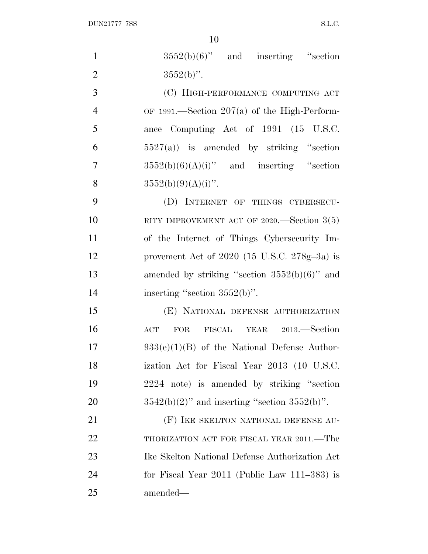| $\mathbf{1}$   | $3552(b)(6)$ " and inserting "section              |
|----------------|----------------------------------------------------|
| $\overline{2}$ | $3552(b)$ ".                                       |
| 3              | (C) HIGH-PERFORMANCE COMPUTING ACT                 |
| $\overline{4}$ | OF 1991.—Section $207(a)$ of the High-Perform-     |
| 5              | ance Computing Act of 1991 (15 U.S.C.              |
| 6              | $5527(a)$ is amended by striking "section"         |
| $\overline{7}$ | $3552(b)(6)(A)(i)$ " and inserting "section        |
| 8              | $3552(b)(9)(A)(i)$ ".                              |
| 9              | (D) INTERNET OF THINGS CYBERSECU-                  |
| 10             | RITY IMPROVEMENT ACT OF 2020.—Section $3(5)$       |
| 11             | of the Internet of Things Cybersecurity Im-        |
| 12             | provement Act of $2020$ (15 U.S.C. $278g-3a$ ) is  |
| 13             | amended by striking "section $3552(b)(6)$ " and    |
| 14             | inserting "section $3552(b)$ ".                    |
| 15             | (E) NATIONAL DEFENSE AUTHORIZATION                 |
| 16             | FOR FISCAL YEAR 2013.-Section<br>$\rm{ACT}$        |
| 17             | $933(e)(1)(B)$ of the National Defense Author-     |
| 18             | ization Act for Fiscal Year 2013 (10 U.S.C.        |
| 19             | 2224 note) is amended by striking "section         |
| 20             | $3542(b)(2)$ " and inserting "section $3552(b)$ ". |
| 21             | (F) IKE SKELTON NATIONAL DEFENSE AU-               |
| 22             | THORIZATION ACT FOR FISCAL YEAR 2011.—The          |
| 23             | Ike Skelton National Defense Authorization Act     |
| 24             | for Fiscal Year $2011$ (Public Law $111-383$ ) is  |
| 25             | amended—                                           |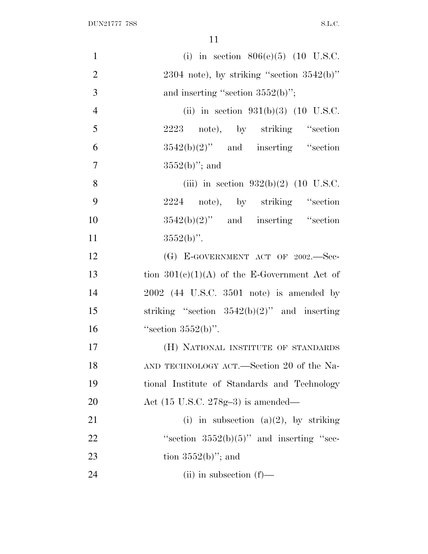| $\mathbf{1}$   | (i) in section $806(e)(5)$ (10 U.S.C.          |
|----------------|------------------------------------------------|
| $\overline{2}$ | $2304$ note), by striking "section $3542(b)$ " |
| 3              | and inserting "section $3552(b)$ ";            |
| $\overline{4}$ | (ii) in section $931(b)(3)$ (10 U.S.C.         |
| 5              | 2223 note), by striking "section               |
| 6              | $3542(b)(2)$ " and inserting "section          |
| $\overline{7}$ | $3552(b)$ "; and                               |
| 8              | (iii) in section $932(b)(2)$ (10 U.S.C.        |
| 9              | 2224 note), by striking "section               |
| 10             | $3542(b)(2)$ " and inserting "section          |
| 11             | $3552(b)$ ".                                   |
| 12             | (G) E-GOVERNMENT ACT OF 2002.-Sec-             |
| 13             | tion $301(c)(1)(A)$ of the E-Government Act of |
| 14             | $2002$ (44 U.S.C. 3501 note) is amended by     |
| 15             | striking "section $3542(b)(2)$ " and inserting |
| 16             | "section $3552(b)$ ".                          |
| 17             | (H) NATIONAL INSTITUTE OF STANDARDS            |
| 18             | AND TECHNOLOGY ACT.—Section 20 of the Na-      |
| 19             | tional Institute of Standards and Technology   |
| 20             | Act $(15 \text{ U.S.C. } 278g-3)$ is amended—  |
| 21             | (i) in subsection (a)(2), by striking          |
| 22             | "section $3552(b)(5)$ " and inserting "sec-    |
| 23             | tion $3552(b)$ "; and                          |
| 24             | $(ii)$ in subsection $(f)$ —                   |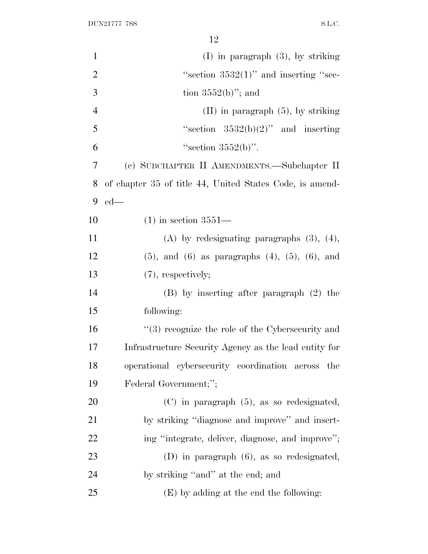| $\mathbf{1}$   | $(I)$ in paragraph $(3)$ , by striking                      |
|----------------|-------------------------------------------------------------|
| $\overline{2}$ | "section $3532(1)$ " and inserting "sec-                    |
| 3              | tion $3552(b)$ "; and                                       |
| $\overline{4}$ | $(II)$ in paragraph $(5)$ , by striking                     |
| 5              | "section $3532(b)(2)$ " and inserting                       |
| 6              | "section $3552(b)$ ".                                       |
| 7              | (c) SUBCHAPTER II AMENDMENTS.—Subchapter II                 |
| 8              | of chapter 35 of title 44, United States Code, is amend-    |
| 9              | $ed$ —                                                      |
| 10             | $(1)$ in section 3551—                                      |
| 11             | $(A)$ by redesignating paragraphs $(3)$ , $(4)$ ,           |
| 12             | $(5)$ , and $(6)$ as paragraphs $(4)$ , $(5)$ , $(6)$ , and |
| 13             | $(7)$ , respectively;                                       |
| 14             | $(B)$ by inserting after paragraph $(2)$ the                |
| 15             | following:                                                  |
| 16             | "(3) recognize the role of the Cybersecurity and            |
| 17             | Infrastructure Security Agency as the lead entity for       |
| 18             | operational cybersecurity coordination across<br>the        |
| 19             | Federal Government;";                                       |
| 20             | $(C)$ in paragraph $(5)$ , as so redesignated,              |
| 21             | by striking "diagnose and improve" and insert-              |
| 22             | ing "integrate, deliver, diagnose, and improve";            |
| 23             | $(D)$ in paragraph $(6)$ , as so redesignated,              |
| 24             | by striking "and" at the end; and                           |
| 25             | (E) by adding at the end the following:                     |
|                |                                                             |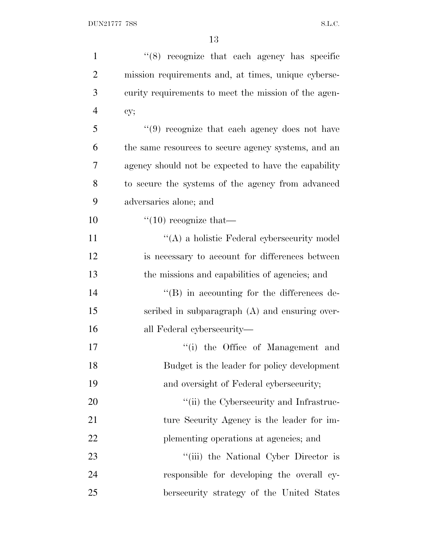| $\mathbf{1}$   | $(8)$ recognize that each agency has specific        |
|----------------|------------------------------------------------------|
| $\overline{2}$ | mission requirements and, at times, unique cyberse-  |
| 3              | curity requirements to meet the mission of the agen- |
| $\overline{4}$ | cy;                                                  |
| 5              | $(9)$ recognize that each agency does not have       |
| 6              | the same resources to secure agency systems, and an  |
| $\overline{7}$ | agency should not be expected to have the capability |
| 8              | to secure the systems of the agency from advanced    |
| 9              | adversaries alone; and                               |
| 10             | $\lq(10)$ recognize that—                            |
| 11             | $\lq\lq$ a holistic Federal cybersecurity model      |
| 12             | is necessary to account for differences between      |
| 13             | the missions and capabilities of agencies; and       |
| 14             | $\lq\lq (B)$ in accounting for the differences de-   |
| 15             | scribed in subparagraph (A) and ensuring over-       |
| 16             | all Federal cybersecurity—                           |
| 17             | "(i) the Office of Management and                    |
| 18             | Budget is the leader for policy development          |
| 19             | and oversight of Federal cybersecurity;              |
| 20             | "(ii) the Cybersecurity and Infrastruc-              |
| 21             | ture Security Agency is the leader for im-           |
| 22             | plementing operations at agencies; and               |
| 23             | "(iii) the National Cyber Director is                |
| 24             | responsible for developing the overall cy-           |
| 25             | bersecurity strategy of the United States            |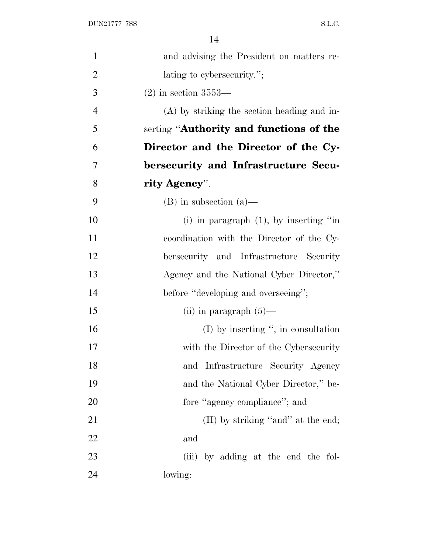| $\mathbf{1}$   | and advising the President on matters re-     |
|----------------|-----------------------------------------------|
| $\overline{2}$ | lating to cybersecurity.";                    |
| 3              | $(2)$ in section 3553—                        |
| $\overline{4}$ | $(A)$ by striking the section heading and in- |
| 5              | serting "Authority and functions of the       |
| 6              | Director and the Director of the Cy-          |
| 7              | bersecurity and Infrastructure Secu-          |
| 8              | rity Agency".                                 |
| 9              | $(B)$ in subsection $(a)$ —                   |
| 10             | (i) in paragraph $(1)$ , by inserting "in     |
| 11             | coordination with the Director of the Cy-     |
| 12             | bersecurity and Infrastructure Security       |
| 13             | Agency and the National Cyber Director,"      |
| 14             | before "developing and overseeing";           |
| 15             | $(ii)$ in paragraph $(5)$ —                   |
| 16             | $(I)$ by inserting ", in consultation         |
| 17             | with the Director of the Cybersecurity        |
| 18             | and Infrastructure Security Agency            |
| 19             | and the National Cyber Director," be-         |
| 20             | fore "agency compliance"; and                 |
| 21             | (II) by striking "and" at the end;            |
| 22             | and                                           |
| 23             | (iii) by adding at the end the fol-           |
| 24             | lowing:                                       |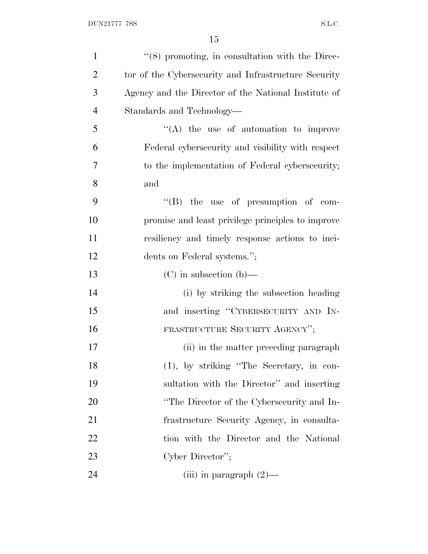| $\mathbf{1}$   | "(8) promoting, in consultation with the Direc-      |
|----------------|------------------------------------------------------|
| $\overline{2}$ | tor of the Cybersecurity and Infrastructure Security |
| 3              | Agency and the Director of the National Institute of |
| $\overline{4}$ | Standards and Technology—                            |
| 5              | $\lq\lq$ the use of automation to improve            |
| 6              | Federal cybers ecurity and visibility with respect   |
| 7              | to the implementation of Federal cybersecurity;      |
| 8              | and                                                  |
| 9              | $\lq\lq$ (B) the use of presumption of com-          |
| 10             | promise and least privilege principles to improve    |
| 11             | resiliency and timely response actions to inci-      |
| 12             | dents on Federal systems.";                          |
| 13             | $(C)$ in subsection $(b)$ —                          |
| 14             | (i) by striking the subsection heading               |
| 15             | and inserting "CYBERSECURITY AND IN-                 |
| 16             | FRASTRUCTURE SECURITY AGENCY";                       |
| 17             | (ii) in the matter preceding paragraph               |
| 18             | $(1)$ , by striking "The Secretary, in con-          |
| 19             | sultation with the Director" and inserting           |
| 20             | "The Director of the Cybersecurity and In-           |
| 21             | frastructure Security Agency, in consulta-           |
| 22             | tion with the Director and the National              |
| 23             | Cyber Director";                                     |
| 24             | (iii) in paragraph $(2)$ —                           |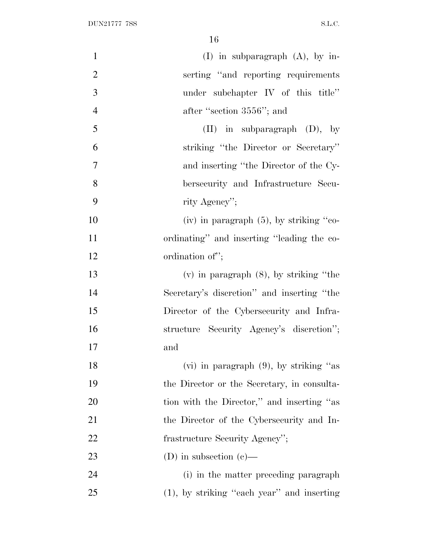| $\mathbf{1}$   | $(I)$ in subparagraph $(A)$ , by in-        |
|----------------|---------------------------------------------|
| $\overline{2}$ | serting "and reporting requirements"        |
| 3              | under subchapter IV of this title"          |
| $\overline{4}$ | after "section 3556"; and                   |
| 5              | $(II)$ in subparagraph $(D)$ , by           |
| 6              | striking "the Director or Secretary"        |
| 7              | and inserting "the Director of the Cy-      |
| 8              | bersecurity and Infrastructure Secu-        |
| 9              | rity Agency";                               |
| 10             | (iv) in paragraph $(5)$ , by striking "co-  |
| 11             | ordinating" and inserting "leading the co-  |
| 12             | ordination of";                             |
| 13             | $(v)$ in paragraph $(8)$ , by striking "the |
| 14             | Secretary's discretion" and inserting "the  |
| 15             | Director of the Cybersecurity and Infra-    |
| 16             | structure Security Agency's discretion";    |
| 17             | and                                         |
| 18             | $(vi)$ in paragraph $(9)$ , by striking "as |
| 19             | the Director or the Secretary, in consulta- |
| 20             | tion with the Director," and inserting "as  |
| 21             | the Director of the Cybersecurity and In-   |
| 22             | frastructure Security Agency";              |
| 23             | (D) in subsection (c)—                      |
| 24             | (i) in the matter preceding paragraph       |
| 25             | (1), by striking "each year" and inserting  |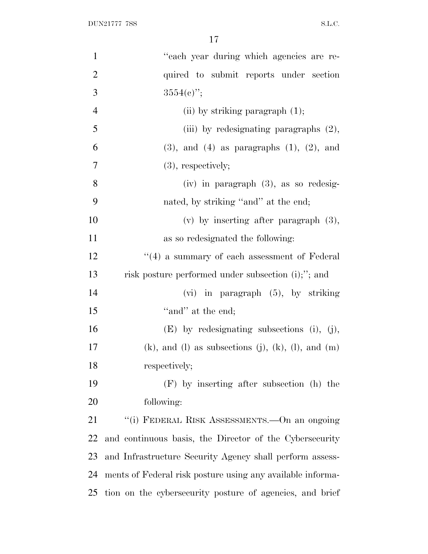| $\mathbf{1}$   | "each year during which agencies are re-                           |
|----------------|--------------------------------------------------------------------|
| $\overline{2}$ | quired to submit reports under section                             |
| 3              | $3554(e)$ ";                                                       |
| $\overline{4}$ | (ii) by striking paragraph $(1)$ ;                                 |
| 5              | (iii) by redesignating paragraphs $(2)$ ,                          |
| 6              | $(3)$ , and $(4)$ as paragraphs $(1)$ , $(2)$ , and                |
| $\tau$         | $(3)$ , respectively;                                              |
| 8              | $(iv)$ in paragraph $(3)$ , as so redesig-                         |
| 9              | nated, by striking "and" at the end;                               |
| 10             | (v) by inserting after paragraph $(3)$ ,                           |
| 11             | as so redesignated the following:                                  |
| 12             | $\lq(4)$ a summary of each assessment of Federal                   |
| 13             | risk posture performed under subsection (i);"; and                 |
| 14             | $(vi)$ in paragraph $(5)$ , by striking                            |
| 15             | "and" at the end;                                                  |
| 16             | $(E)$ by redesignating subsections (i), (j),                       |
| 17             | $(k)$ , and $(l)$ as subsections $(j)$ , $(k)$ , $(l)$ , and $(m)$ |
| 18             | respectively;                                                      |
| 19             | (F) by inserting after subsection (h) the                          |
| 20             | following:                                                         |
| 21             | "(i) FEDERAL RISK ASSESSMENTS.—On an ongoing                       |
| 22             | and continuous basis, the Director of the Cybersecurity            |
| 23             | and Infrastructure Security Agency shall perform assess-           |
| 24             | ments of Federal risk posture using any available informa-         |
| 25             | tion on the cybersecurity posture of agencies, and brief           |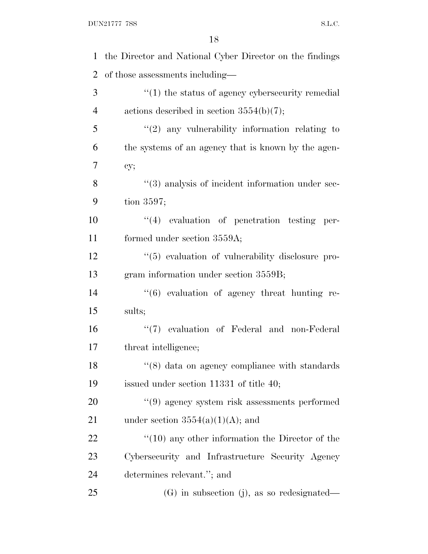$\begin{minipage}{.4\linewidth} \textbf{DUN21777} \textbf{7SS} \end{minipage}$ 

| 1              | the Director and National Cyber Director on the findings          |
|----------------|-------------------------------------------------------------------|
| $\overline{2}$ | of those assessments including—                                   |
| 3              | $\cdot\cdot\cdot(1)$ the status of agency cybers ecurity remedial |
| $\overline{4}$ | actions described in section $3554(b)(7)$ ;                       |
| 5              | $\lq(2)$ any vulnerability information relating to                |
| 6              | the systems of an agency that is known by the agen-               |
| 7              | cy;                                                               |
| 8              | "(3) analysis of incident information under sec-                  |
| 9              | tion $3597$ ;                                                     |
| 10             | "(4) evaluation of penetration testing per-                       |
| 11             | formed under section 3559A;                                       |
| 12             | $\lq(5)$ evaluation of vulnerability disclosure pro-              |
| 13             | gram information under section 3559B;                             |
| 14             | $\cdot\cdot\cdot(6)$ evaluation of agency threat hunting re-      |
| 15             | sults;                                                            |
| 16             | "(7) evaluation of Federal and non-Federal                        |
| 17             | threat intelligence;                                              |
| 18             | $\lq(8)$ data on agency compliance with standards                 |
| 19             | issued under section $11331$ of title 40;                         |
| 20             | $\cdot\cdot\cdot(9)$ agency system risk assessments performed     |
| 21             | under section $3554(a)(1)(A)$ ; and                               |
| 22             | $\degree$ (10) any other information the Director of the          |
| 23             | Cybersecurity and Infrastructure Security Agency                  |
| 24             | determines relevant."; and                                        |
| 25             | (G) in subsection (j), as so redesignated—                        |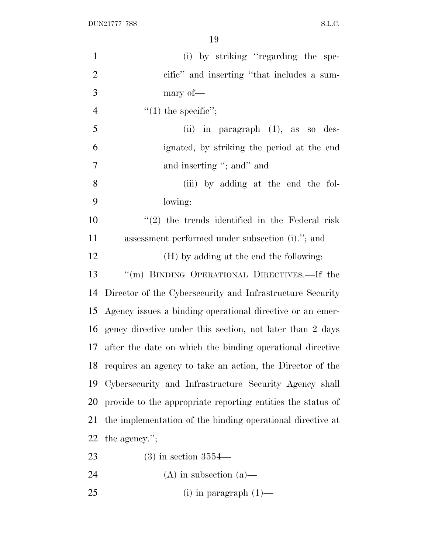$\begin{minipage}{.4\linewidth} \textbf{DUN21777} \textbf{7SS} \end{minipage}$ 

| $\mathbf{1}$   | (i) by striking "regarding the spe-                          |
|----------------|--------------------------------------------------------------|
| $\overline{2}$ | cific" and inserting "that includes a sum-                   |
| 3              | mary of-                                                     |
| $\overline{4}$ | $"(1)$ the specific";                                        |
| 5              | (ii) in paragraph $(1)$ , as so des-                         |
| 6              | ignated, by striking the period at the end                   |
| $\tau$         | and inserting "; and" and                                    |
| 8              | (iii) by adding at the end the fol-                          |
| 9              | lowing:                                                      |
| 10             | $"(2)$ the trends identified in the Federal risk             |
| 11             | assessment performed under subsection (i)."; and             |
| 12             | (H) by adding at the end the following:                      |
| 13             | $\lq\lq (m)$ BINDING OPERATIONAL DIRECTIVES.—If the          |
| 14             | Director of the Cybersecurity and Infrastructure Security    |
|                | 15 Agency issues a binding operational directive or an emer- |
|                | 16 gency directive under this section, not later than 2 days |
| 17             | after the date on which the binding operational directive    |
|                | 18 requires an agency to take an action, the Director of the |
| 19             | Cybersecurity and Infrastructure Security Agency shall       |
| 20             | provide to the appropriate reporting entities the status of  |
| 21             | the implementation of the binding operational directive at   |
| 22             | the agency.";                                                |
| 23             | $(3)$ in section $3554-$                                     |
| 24             | $(A)$ in subsection $(a)$ —                                  |

(i) in paragraph (1)—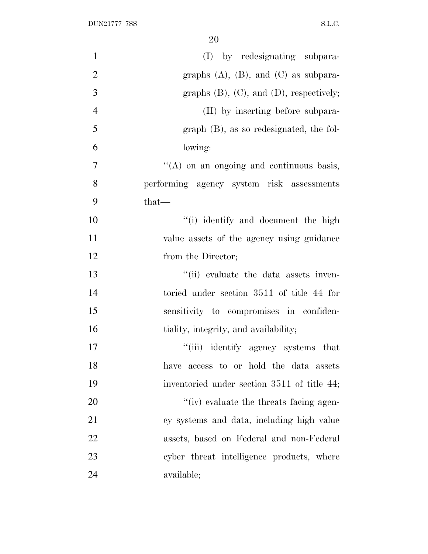| $\mathbf{1}$   | (I) by redesignating subpara-                    |
|----------------|--------------------------------------------------|
| $\mathfrak{2}$ | graphs $(A)$ , $(B)$ , and $(C)$ as subpara-     |
| 3              | graphs $(B)$ , $(C)$ , and $(D)$ , respectively; |
| $\overline{4}$ | (II) by inserting before subpara-                |
| 5              | $graph$ (B), as so redesignated, the fol-        |
| 6              | lowing:                                          |
| $\overline{7}$ | "(A) on an ongoing and continuous basis,         |
| 8              | performing agency system risk assessments        |
| 9              | $that-$                                          |
| 10             | "(i) identify and document the high              |
| 11             | value assets of the agency using guidance        |
| 12             | from the Director;                               |
| 13             | "(ii) evaluate the data assets inven-            |
| 14             | toried under section 3511 of title 44 for        |
| 15             | sensitivity to compromises in confiden-          |
| 16             | tiality, integrity, and availability;            |
| 17             | "(iii) identify agency systems that              |
| 18             | have access to or hold the data assets           |
| 19             | inventoried under section 3511 of title 44;      |
| 20             | "(iv) evaluate the threats facing agen-          |
| 21             | cy systems and data, including high value        |
| 22             | assets, based on Federal and non-Federal         |
| 23             | cyber threat intelligence products, where        |
| 24             | available;                                       |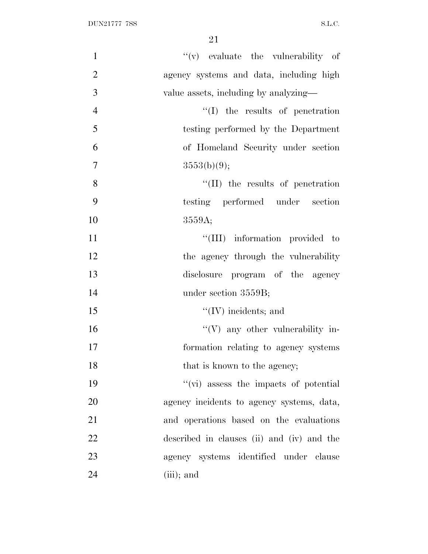| $\mathbf{1}$   | $f'(v)$ evaluate the vulnerability of         |
|----------------|-----------------------------------------------|
| $\overline{2}$ | agency systems and data, including high       |
| 3              | value assets, including by analyzing—         |
| $\overline{4}$ | $\lq\lq$ the results of penetration           |
| 5              | testing performed by the Department           |
| 6              | of Homeland Security under section            |
| $\tau$         | 3553(b)(9);                                   |
| 8              | "(II) the results of penetration              |
| 9              | testing performed under section               |
| 10             | 3559A;                                        |
| 11             | "(III) information provided to                |
| 12             | the agency through the vulnerability          |
| 13             | disclosure program of the agency              |
| 14             | under section 3559B;                          |
| 15             | $\lq\lq$ (IV) incidents; and                  |
| 16             | $\lq\lq (V)$ any other vulnerability in-      |
| 17             | formation relating to agency systems          |
| 18             | that is known to the agency;                  |
| 19             | $\lq\lq$ (vi) assess the impacts of potential |
| 20             | agency incidents to agency systems, data,     |
| 21             | and operations based on the evaluations       |
| 22             | described in clauses (ii) and (iv) and the    |
| 23             | agency systems identified under clause        |
| 24             | $(iii)$ ; and                                 |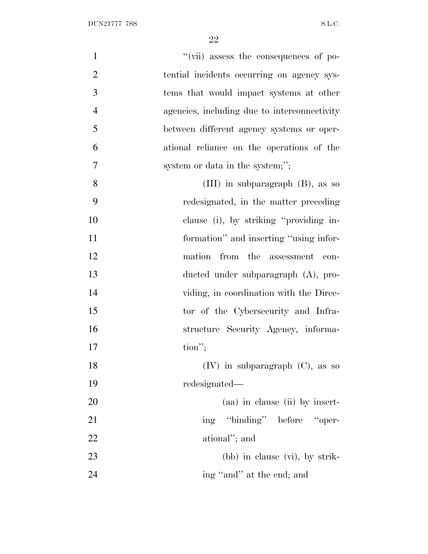| $\mathbf{1}$   | "(vii) assess the consequences of po-        |
|----------------|----------------------------------------------|
| $\overline{2}$ | tential incidents occurring on agency sys-   |
| 3              | tems that would impact systems at other      |
| $\overline{4}$ | agencies, including due to interconnectivity |
| 5              | between different agency systems or oper-    |
| 6              | ational reliance on the operations of the    |
| $\overline{7}$ | system or data in the system;";              |
| 8              | (III) in subparagraph $(B)$ , as so          |
| 9              | redesignated, in the matter preceding        |
| 10             | clause (i), by striking "providing in-       |
| 11             | formation" and inserting "using infor-       |
| 12             | from the assessment<br>mation<br>con-        |
| 13             | ducted under subparagraph (A), pro-          |
| 14             | viding, in coordination with the Direc-      |
| 15             | tor of the Cybersecurity and Infra-          |
| 16             | structure Security Agency, informa-          |
| 17             | $\text{tion}''$ ;                            |
| 18             | $(IV)$ in subparagraph $(C)$ , as so         |
| 19             | redesignated—                                |
| 20             | (aa) in clause (ii) by insert-               |
| 21             | ing "binding" before "oper-                  |
| 22             | ational"; and                                |
| 23             | $(bb)$ in clause $(vi)$ , by strik-          |
| 24             | ing "and" at the end; and                    |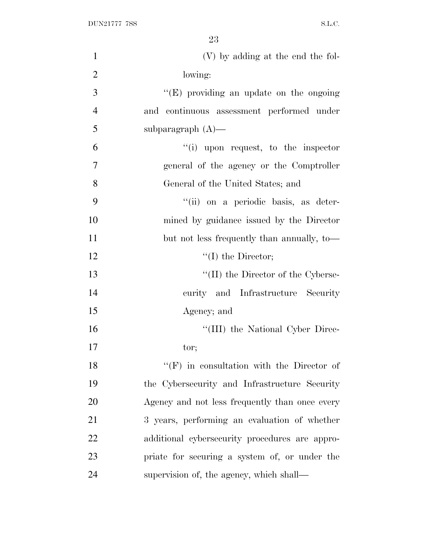| $\mathbf{1}$   | (V) by adding at the end the fol-              |
|----------------|------------------------------------------------|
| $\overline{2}$ | lowing:                                        |
| 3              | " $(E)$ providing an update on the ongoing"    |
| $\overline{4}$ | and continuous assessment performed under      |
| 5              | subparagraph $(A)$ —                           |
| 6              | "(i) upon request, to the inspector            |
| 7              | general of the agency or the Comptroller       |
| 8              | General of the United States; and              |
| 9              | "(ii) on a periodic basis, as deter-           |
| 10             | mined by guidance issued by the Director       |
| 11             | but not less frequently than annually, to-     |
| 12             | $\lq\lq$ (I) the Director;                     |
| 13             | $\lq\lq$ (II) the Director of the Cyberse-     |
| 14             | curity and Infrastructure Security             |
| 15             | Agency; and                                    |
| 16             | "(III) the National Cyber Direc-               |
| 17             | tor;                                           |
| 18             | "(F) in consultation with the Director of      |
| 19             | the Cybersecurity and Infrastructure Security  |
| 20             | Agency and not less frequently than once every |
| 21             | 3 years, performing an evaluation of whether   |
| 22             | additional cybersecurity procedures are appro- |
| 23             | priate for securing a system of, or under the  |
| 24             | supervision of, the agency, which shall—       |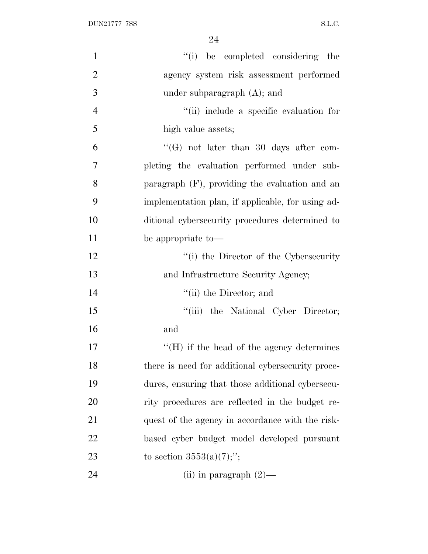| $\mathbf{1}$   | "(i) be completed considering the                 |
|----------------|---------------------------------------------------|
| $\overline{2}$ | agency system risk assessment performed           |
| 3              | under subparagraph $(A)$ ; and                    |
| $\overline{4}$ | "(ii) include a specific evaluation for           |
| 5              | high value assets;                                |
| 6              | "(G) not later than 30 days after com-            |
| $\overline{7}$ | pleting the evaluation performed under sub-       |
| 8              | paragraph $(F)$ , providing the evaluation and an |
| 9              | implementation plan, if applicable, for using ad- |
| 10             | ditional cybersecurity procedures determined to   |
| 11             | be appropriate to-                                |
| 12             | "(i) the Director of the Cybersecurity            |
| 13             | and Infrastructure Security Agency;               |
| 14             | $\lq\lq$ (ii) the Director; and                   |
| 15             | "(iii) the National Cyber Director;               |
| 16             | and                                               |
| 17             | $H(H)$ if the head of the agency determines       |
| 18             | there is need for additional cybersecurity proce- |
| 19             | dures, ensuring that those additional cybersecu-  |
| 20             | rity procedures are reflected in the budget re-   |
| 21             | quest of the agency in accordance with the risk-  |
| 22             | based cyber budget model developed pursuant       |
| 23             | to section $3553(a)(7)$ ;";                       |
| 24             | (ii) in paragraph $(2)$ —                         |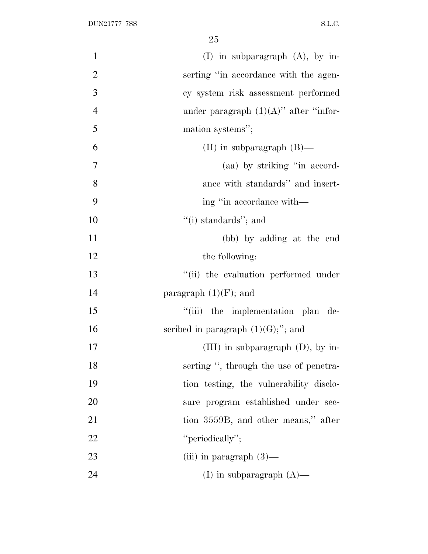| $\mathbf{1}$   | $(I)$ in subparagraph $(A)$ , by in-     |
|----------------|------------------------------------------|
| $\overline{2}$ | serting "in accordance with the agen-    |
| 3              | cy system risk assessment performed      |
| $\overline{4}$ | under paragraph $(1)(A)$ " after "infor- |
| 5              | mation systems";                         |
| 6              | (II) in subparagraph $(B)$ —             |
| $\overline{7}$ | (aa) by striking "in accord-             |
| 8              | ance with standards" and insert-         |
| 9              | ing "in accordance with—                 |
| 10             | "(i) standards"; and                     |
| 11             | (bb) by adding at the end                |
| 12             | the following:                           |
| 13             | "(ii) the evaluation performed under     |
| 14             | paragraph $(1)(F)$ ; and                 |
| 15             | "(iii) the implementation plan de-       |
| 16             | scribed in paragraph $(1)(G);$ "; and    |
| 17             | $(III)$ in subparagraph $(D)$ , by in-   |
| 18             | serting ", through the use of penetra-   |
| 19             | tion testing, the vulnerability disclo-  |
| 20             | sure program established under sec-      |
| 21             | tion 3559B, and other means," after      |
| 22             | "periodically";                          |
| 23             | (iii) in paragraph $(3)$ —               |
| 24             | (I) in subparagraph $(A)$ —              |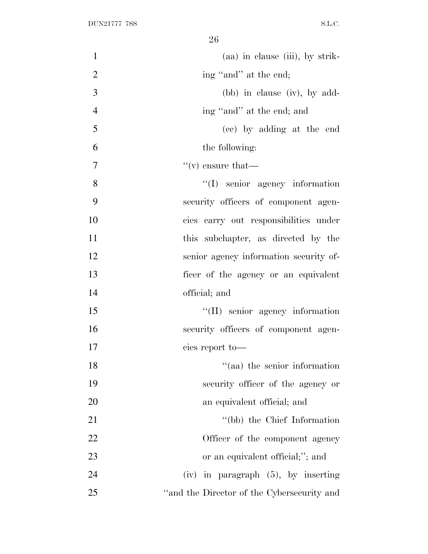| $\mathbf{1}$   | (aa) in clause (iii), by strik-            |
|----------------|--------------------------------------------|
| $\overline{2}$ | ing "and" at the end;                      |
| 3              | $(bb)$ in clause (iv), by add-             |
| $\overline{4}$ | ing "and" at the end; and                  |
| 5              | (cc) by adding at the end                  |
| 6              | the following:                             |
| 7              | $f'(v)$ ensure that—                       |
| 8              | $\lq\lq$ senior agency information         |
| 9              | security officers of component agen-       |
| 10             | cies carry out responsibilities under      |
| 11             | this subchapter, as directed by the        |
| 12             | senior agency information security of-     |
| 13             | ficer of the agency or an equivalent       |
| 14             | official; and                              |
| 15             | "(II) senior agency information            |
| 16             | security officers of component agen-       |
| 17             | cies report to-                            |
| 18             | "(aa) the senior information               |
| 19             | security officer of the agency or          |
| 20             | an equivalent official; and                |
| 21             | "(bb) the Chief Information                |
| 22             | Officer of the component agency            |
| 23             | or an equivalent official;"; and           |
| 24             | $(iv)$ in paragraph $(5)$ , by inserting   |
| 25             | "and the Director of the Cybersecurity and |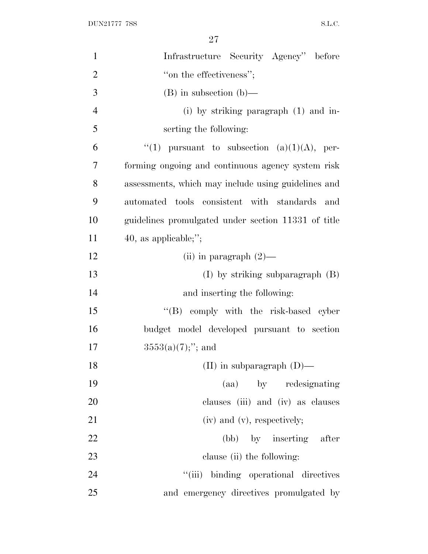| $\mathbf{1}$   | Infrastructure Security Agency" before              |
|----------------|-----------------------------------------------------|
| $\overline{2}$ | "on the effectiveness";                             |
| 3              | $(B)$ in subsection $(b)$ —                         |
| $\overline{4}$ | $(i)$ by striking paragraph $(1)$ and in-           |
| 5              | serting the following:                              |
| 6              | "(1) pursuant to subsection (a)(1)(A), per-         |
| 7              | forming ongoing and continuous agency system risk   |
| 8              | assessments, which may include using guidelines and |
| 9              | automated tools consistent with standards and       |
| 10             | guidelines promulgated under section 11331 of title |
| 11             | 40, as applicable;";                                |
| 12             | (ii) in paragraph $(2)$ —                           |
| 13             | $(I)$ by striking subparagraph $(B)$                |
| 14             | and inserting the following:                        |
| 15             | "(B) comply with the risk-based cyber               |
| 16             | budget model developed pursuant to section          |
| 17             | $3553(a)(7);$ "; and                                |
| 18             | (II) in subparagraph $(D)$ —                        |
| 19             | (aa) by redesignating                               |
| 20             | clauses (iii) and (iv) as clauses                   |
| 21             | $(iv)$ and $(v)$ , respectively;                    |
| 22             | (bb) by inserting after                             |
| 23             | clause (ii) the following:                          |
| 24             | "(iii) binding operational directives               |
| 25             | and emergency directives promulgated by             |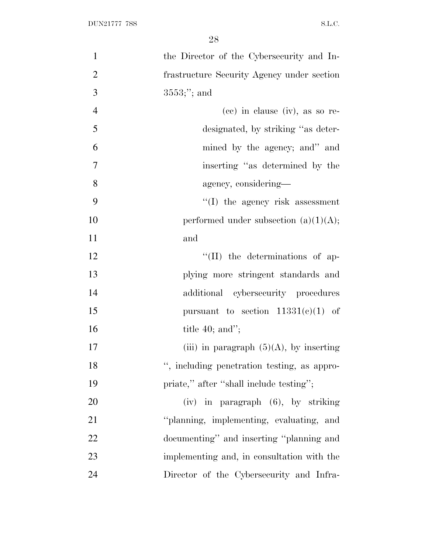| $\mathbf{1}$   | the Director of the Cybersecurity and In-  |
|----------------|--------------------------------------------|
| $\overline{2}$ | frastructure Security Agency under section |
| 3              | $3553;$ "; and                             |
| $\overline{4}$ | $(ce)$ in clause $(iv)$ , as so re-        |
| 5              | designated, by striking "as deter-         |
| 6              | mined by the agency; and" and              |
| $\tau$         | inserting "as determined by the            |
| 8              | agency, considering—                       |
| 9              | $``(I)$ the agency risk assessment         |
| 10             | performed under subsection $(a)(1)(A);$    |
| 11             | and                                        |
| 12             | $\lq\lq$ (II) the determinations of ap-    |
| 13             | plying more stringent standards and        |
| 14             | additional cybersecurity procedures        |
| 15             | pursuant to section $11331(e)(1)$ of       |
| 16             | title $40$ ; and";                         |
| 17             | (iii) in paragraph $(5)(A)$ , by inserting |
| 18             | , including penetration testing, as appro- |
| 19             | priate," after "shall include testing";    |
| 20             | (iv) in paragraph (6), by striking         |
| 21             | "planning, implementing, evaluating, and   |
| 22             | documenting" and inserting "planning and   |
| 23             | implementing and, in consultation with the |
| 24             | Director of the Cybersecurity and Infra-   |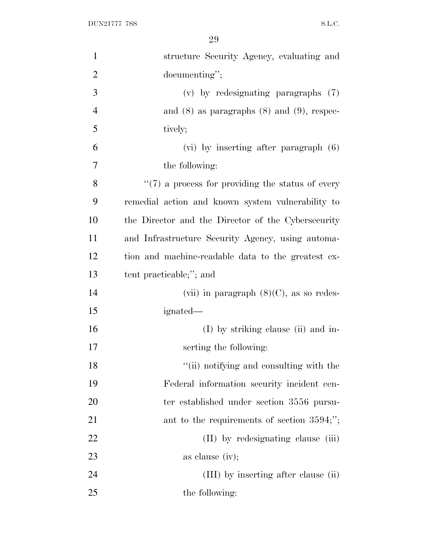DUN21777 7SS S.L.C.

| $\mathbf{1}$   | structure Security Agency, evaluating and            |
|----------------|------------------------------------------------------|
| $\overline{2}$ | documenting";                                        |
| 3              | $(v)$ by redesignating paragraphs $(7)$              |
| $\overline{4}$ | and $(8)$ as paragraphs $(8)$ and $(9)$ , respec-    |
| 5              | tively;                                              |
| 6              | $(vi)$ by inserting after paragraph $(6)$            |
| 7              | the following:                                       |
| 8              | $\lq(7)$ a process for providing the status of every |
| 9              | remedial action and known system vulnerability to    |
| 10             | the Director and the Director of the Cybersecurity   |
| 11             | and Infrastructure Security Agency, using automa-    |
| 12             | tion and machine-readable data to the greatest ex-   |
| 13             | tent practicable;"; and                              |
| 14             | (vii) in paragraph $(8)(C)$ , as so redes-           |
| 15             | ignated—                                             |
| 16             | (I) by striking clause (ii) and in-                  |
| 17             | serting the following:                               |
| 18             | "(ii) notifying and consulting with the              |
| 19             | Federal information security incident cen-           |
| 20             | ter established under section 3556 pursu-            |
| 21             | ant to the requirements of section $3594;$ ";        |
| 22             | (II) by redesignating clause (iii)                   |
| 23             | as clause (iv);                                      |
| 24             | (III) by inserting after clause (ii)                 |
| 25             | the following:                                       |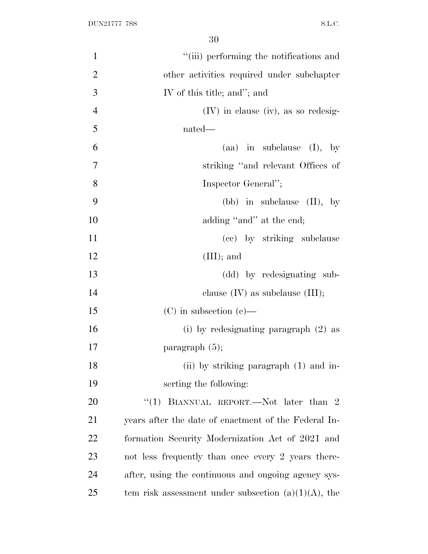| $\mathbf{1}$   | "(iii) performing the notifications and                |
|----------------|--------------------------------------------------------|
| $\overline{2}$ | other activities required under subchapter             |
| 3              | IV of this title; and"; and                            |
| $\overline{4}$ | $(IV)$ in clause (iv), as so redesig-                  |
| 5              | nated—                                                 |
| 6              | $(aa)$ in subclause $(I)$ , by                         |
| 7              | striking "and relevant Offices of                      |
| 8              | Inspector General";                                    |
| 9              | (bb) in subclause $(II)$ , by                          |
| 10             | adding "and" at the end;                               |
| 11             | (cc) by striking subclause                             |
| 12             | $(III);$ and                                           |
| 13             | (dd) by redesignating sub-                             |
| 14             | clause $(IV)$ as subclause $(III);$                    |
| 15             | $(C)$ in subsection $(e)$ —                            |
| 16             | (i) by redesignating paragraph $(2)$ as                |
| 17             | paragraph $(5)$ ;                                      |
| 18             | (ii) by striking paragraph $(1)$ and in-               |
| 19             | serting the following:                                 |
| 20             | "(1) BIANNUAL REPORT.—Not later than $2$               |
| 21             | years after the date of enactment of the Federal In-   |
| 22             | formation Security Modernization Act of 2021 and       |
| 23             | not less frequently than once every 2 years there-     |
| 24             | after, using the continuous and ongoing agency sys-    |
| 25             | tem risk assessment under subsection $(a)(1)(A)$ , the |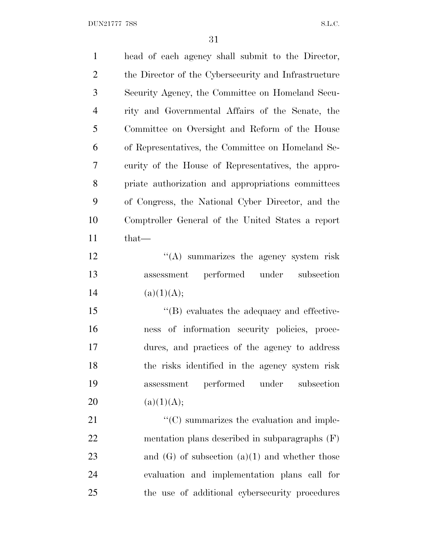$\begin{minipage}{.4\linewidth} \textbf{DUN21777} \textbf{7SS} \end{minipage}$ 

| $\mathbf{1}$   | head of each agency shall submit to the Director,    |
|----------------|------------------------------------------------------|
| $\overline{2}$ | the Director of the Cybersecurity and Infrastructure |
| 3              | Security Agency, the Committee on Homeland Secu-     |
| $\overline{4}$ | rity and Governmental Affairs of the Senate, the     |
| 5              | Committee on Oversight and Reform of the House       |
| 6              | of Representatives, the Committee on Homeland Se-    |
| 7              | curity of the House of Representatives, the appro-   |
| 8              | priate authorization and appropriations committees   |
| 9              | of Congress, the National Cyber Director, and the    |
| 10             | Comptroller General of the United States a report    |
| 11             | that-                                                |
| 12             | "(A) summarizes the agency system risk               |
| 13             | performed under subsection<br>assessment             |
| 14             | (a)(1)(A);                                           |
| 15             | $\lq\lq$ evaluates the adequacy and effective-       |
| 16             | of information security policies, proce-<br>ness     |
| 17             | dures, and practices of the agency to address        |
| 18             | the risks identified in the agency system risk       |
| 19             | performed<br>subsection<br>under<br>assessment       |
| 20             | (a)(1)(A);                                           |
| 21             | $\lq\lq$ summarizes the evaluation and imple-        |
| 22             | mentation plans described in subparagraphs $(F)$     |
| 23             | and $(G)$ of subsection $(a)(1)$ and whether those   |
| 24             | evaluation and implementation plans call for         |
| 25             | the use of additional cybersecurity procedures       |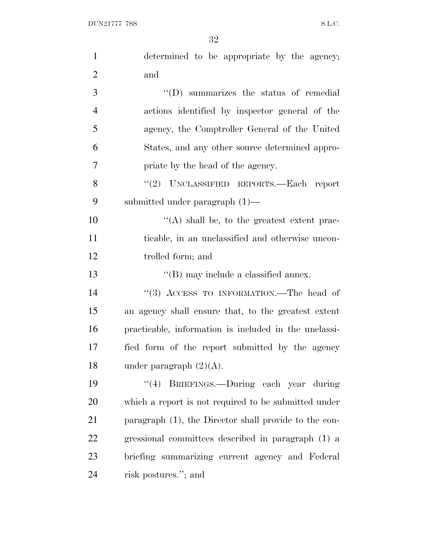| $\mathbf{1}$   | determined to be appropriate by the agency;           |
|----------------|-------------------------------------------------------|
| $\overline{2}$ | and                                                   |
| 3              | "(D) summarizes the status of remedial                |
| $\overline{4}$ | actions identified by inspector general of the        |
| 5              | agency, the Comptroller General of the United         |
| 6              | States, and any other source determined appro-        |
| 7              | priate by the head of the agency.                     |
| 8              | "(2) UNCLASSIFIED REPORTS.—Each report                |
| 9              | submitted under paragraph $(1)$ —                     |
| 10             | $\lq\lq$ shall be, to the greatest extent prac-       |
| 11             | ticable, in an unclassified and otherwise uncon-      |
| 12             | trolled form; and                                     |
| 13             | $\lq\lq$ (B) may include a classified annex.          |
| 14             | "(3) ACCESS TO INFORMATION.—The head of               |
| 15             | an agency shall ensure that, to the greatest extent   |
| 16             | practicable, information is included in the unclassi- |
| 17             | fied form of the report submitted by the agency       |
| 18             | under paragraph $(2)(A)$ .                            |
| 19             | "(4) BRIEFINGS.—During each year during               |
| 20             | which a report is not required to be submitted under  |
| 21             | paragraph (1), the Director shall provide to the con- |
| 22             | gressional committees described in paragraph (1) a    |
| 23             | briefing summarizing current agency and Federal       |
| 24             | risk postures."; and                                  |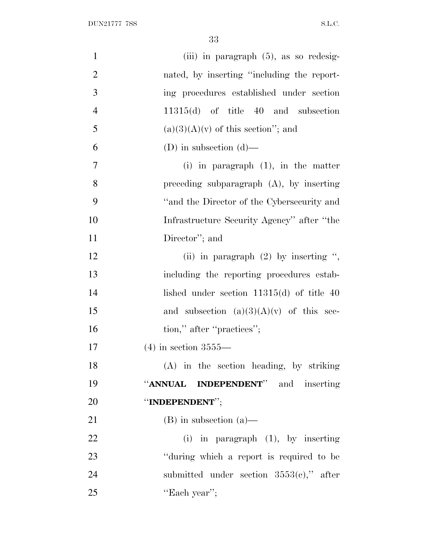$\begin{minipage}{.4\linewidth} \textbf{DUN21777} \textbf{7SS} \end{minipage}$ 

| $\mathbf{1}$     | (iii) in paragraph $(5)$ , as so redesig-   |
|------------------|---------------------------------------------|
| $\overline{2}$   | nated, by inserting "including the report-  |
| $\overline{3}$   | ing procedures established under section    |
| $\overline{4}$   | $11315(d)$ of title 40 and subsection       |
| 5                | $(a)(3)(A)(v)$ of this section"; and        |
| 6                | (D) in subsection $(d)$ —                   |
| $\boldsymbol{7}$ | (i) in paragraph $(1)$ , in the matter      |
| 8                | preceding subparagraph $(A)$ , by inserting |
| 9                | "and the Director of the Cybersecurity and  |
| 10               | Infrastructure Security Agency" after "the  |
| 11               | Director"; and                              |
| 12               | (ii) in paragraph $(2)$ by inserting ",     |
| 13               | including the reporting procedures estab-   |
| 14               | lished under section $11315(d)$ of title 40 |
| 15               | and subsection $(a)(3)(A)(v)$ of this sec-  |
| 16               | tion," after "practices";                   |
| 17               | $(4)$ in section 3555—                      |
| 18               | (A) in the section heading, by striking     |
| 19               | "ANNUAL INDEPENDENT" and inserting          |
| 20               | "INDEPENDENT";                              |
| 21               | $(B)$ in subsection $(a)$ —                 |
| 22               | $(i)$ in paragraph $(1)$ , by inserting     |
| 23               | "during which a report is required to be    |
| 24               | submitted under section $3553(e)$ ," after  |
| 25               | "Each year";                                |
|                  |                                             |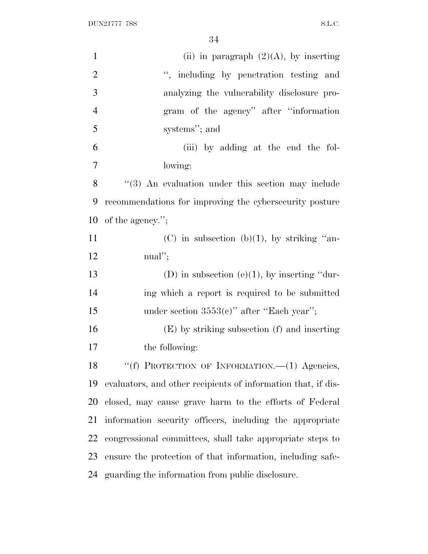DUN21777 7SS S.L.C.

| $\mathbf{1}$   | (ii) in paragraph $(2)(A)$ , by inserting                     |
|----------------|---------------------------------------------------------------|
| $\overline{2}$ | ", including by penetration testing and                       |
| 3              | analyzing the vulnerability disclosure pro-                   |
| $\overline{4}$ | gram of the agency" after "information                        |
| 5              | systems"; and                                                 |
| 6              | (iii) by adding at the end the fol-                           |
| $\tau$         | lowing:                                                       |
| 8              | "(3) An evaluation under this section may include             |
| 9              | recommendations for improving the cybersecurity posture       |
| 10             | of the agency.";                                              |
| 11             | (C) in subsection (b)(1), by striking "an-                    |
| 12             | $\text{m}\text{a}$ ";                                         |
| 13             | (D) in subsection (e)(1), by inserting "dur-                  |
| 14             | ing which a report is required to be submitted                |
| 15             | under section $3553(c)$ " after "Each year";                  |
| 16             | (E) by striking subsection (f) and inserting                  |
| 17             | the following:                                                |
| 18             | "(f) PROTECTION OF INFORMATION.-(1) Agencies,                 |
| 19             | evaluators, and other recipients of information that, if dis- |
| 20             | closed, may cause grave harm to the efforts of Federal        |
| 21             | information security officers, including the appropriate      |
| 22             | congressional committees, shall take appropriate steps to     |
| 23             | ensure the protection of that information, including safe-    |
|                | 24 guarding the information from public disclosure.           |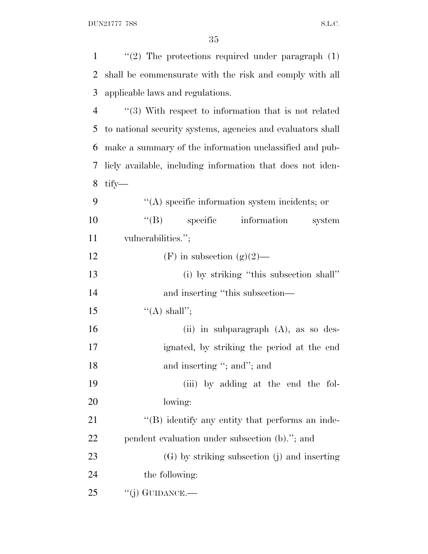| $\mathbf{1}$   | "(2) The protections required under paragraph $(1)$         |
|----------------|-------------------------------------------------------------|
| 2              | shall be commensurate with the risk and comply with all     |
| 3              | applicable laws and regulations.                            |
| $\overline{4}$ | $\lq(3)$ With respect to information that is not related    |
| 5              | to national security systems, agencies and evaluators shall |
| 6              | make a summary of the information unclassified and pub-     |
| 7              | licly available, including information that does not iden-  |
| 8              | tify—                                                       |
| 9              | "(A) specific information system incidents; or              |
| 10             | $\lq\lq (B)$<br>specific information<br>system              |
| 11             | vulnerabilities.";                                          |
| 12             | (F) in subsection (g)(2)—                                   |
| 13             | (i) by striking "this subsection shall"                     |
| 14             | and inserting "this subsection—                             |
| 15             | "(A) shall";                                                |
| 16             | (ii) in subparagraph $(A)$ , as so des-                     |
| 17             | ignated, by striking the period at the end                  |
| 18             | and inserting "; and"; and                                  |
| 19             | (iii) by adding at the end the fol-                         |
| 20             | lowing:                                                     |
| 21             | "(B) identify any entity that performs an inde-             |
| 22             | pendent evaluation under subsection (b)."; and              |
| 23             | (G) by striking subsection (j) and inserting                |
| 24             | the following:                                              |
| 25             | $``(j)$ GUIDANCE.—                                          |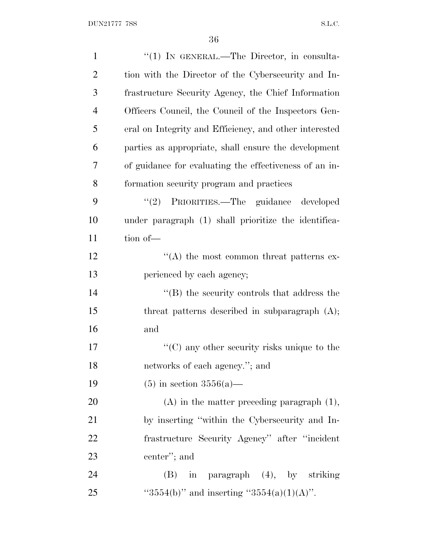| $\mathbf{1}$   | "(1) IN GENERAL.—The Director, in consulta-            |
|----------------|--------------------------------------------------------|
| $\overline{2}$ | tion with the Director of the Cybersecurity and In-    |
| 3              | frastructure Security Agency, the Chief Information    |
| $\overline{4}$ | Officers Council, the Council of the Inspectors Gen-   |
| 5              | eral on Integrity and Efficiency, and other interested |
| 6              | parties as appropriate, shall ensure the development   |
| 7              | of guidance for evaluating the effectiveness of an in- |
| 8              | formation security program and practices               |
| 9              | "(2) PRIORITIES.—The guidance developed                |
| 10             | under paragraph (1) shall prioritize the identifica-   |
| 11             | tion of-                                               |
| 12             | $\lq\lq$ the most common threat patterns ex-           |
| 13             | perienced by each agency;                              |
| 14             | $\lq\lq$ the security controls that address the        |
| 15             | threat patterns described in subparagraph $(A)$ ;      |
| 16             | and                                                    |
| 17             | " $(C)$ any other security risks unique to the         |
| 18             | networks of each agency."; and                         |
| 19             | $(5)$ in section 3556(a)—                              |
| 20             | $(A)$ in the matter preceding paragraph $(1)$ ,        |
| 21             | by inserting "within the Cybersecurity and In-         |
| 22             | frastructure Security Agency" after "incident"         |
| 23             | center"; and                                           |
| 24             | in paragraph (4), by striking<br>(B)                   |
| 25             | "3554(b)" and inserting "3554(a)(1)(A)".               |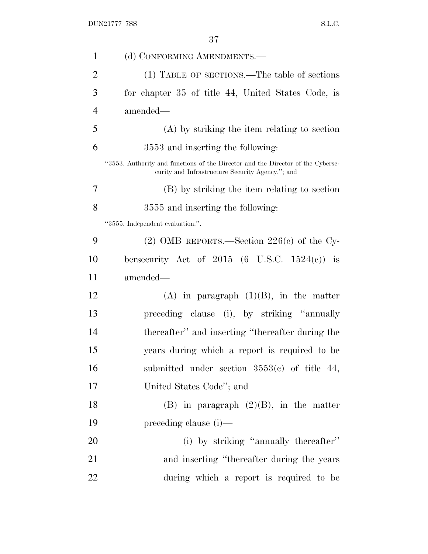| $\mathbf{1}$   | (d) CONFORMING AMENDMENTS.—                                                                                                         |
|----------------|-------------------------------------------------------------------------------------------------------------------------------------|
| $\overline{2}$ | (1) TABLE OF SECTIONS.—The table of sections                                                                                        |
| 3              | for chapter 35 of title 44, United States Code, is                                                                                  |
| $\overline{4}$ | amended—                                                                                                                            |
| 5              | (A) by striking the item relating to section                                                                                        |
| 6              | 3553 and inserting the following:                                                                                                   |
|                | "3553. Authority and functions of the Director and the Director of the Cyberse-<br>curity and Infrastructure Security Agency."; and |
| 7              | (B) by striking the item relating to section                                                                                        |
| 8              | 3555 and inserting the following:                                                                                                   |
|                | "3555. Independent evaluation.".                                                                                                    |
| 9              | (2) OMB REPORTS.—Section $226(e)$ of the Cy-                                                                                        |
| 10             | bersecurity Act of $2015$ (6 U.S.C. $1524(e)$ ) is                                                                                  |
| 11             | amended—                                                                                                                            |
| 12             | $(A)$ in paragraph $(1)(B)$ , in the matter                                                                                         |
| 13             | preceding clause (i), by striking "annually                                                                                         |
| 14             | thereafter" and inserting "thereafter during the                                                                                    |
| 15             | years during which a report is required to be                                                                                       |
| 16             | submitted under section $3553(c)$ of title 44,                                                                                      |
| 17             | United States Code"; and                                                                                                            |
| 18             | $(B)$ in paragraph $(2)(B)$ , in the matter                                                                                         |
| 19             | preceding clause (i)—                                                                                                               |
| 20             | (i) by striking "annually thereafter"                                                                                               |
| 21             | and inserting "thereafter during the years"                                                                                         |
| 22             | during which a report is required to be                                                                                             |
|                |                                                                                                                                     |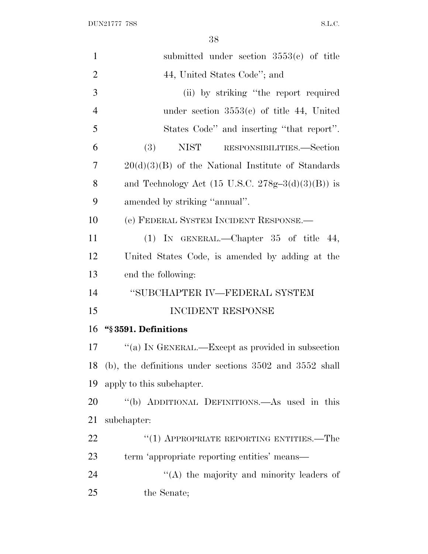| $\mathbf{1}$   | submitted under section $3553(c)$ of title                   |
|----------------|--------------------------------------------------------------|
| $\overline{2}$ | 44, United States Code"; and                                 |
| 3              | (ii) by striking "the report required                        |
| $\overline{4}$ | under section $3553(c)$ of title 44, United                  |
| 5              | States Code" and inserting "that report".                    |
| 6              | (3)<br>NIST RESPONSIBILITIES.—Section                        |
| 7              | $20(d)(3)(B)$ of the National Institute of Standards         |
| 8              | and Technology Act $(15 \text{ U.S.C. } 278g-3(d)(3)(B))$ is |
| 9              | amended by striking "annual".                                |
| 10             | (e) FEDERAL SYSTEM INCIDENT RESPONSE.                        |
| 11             | (1) IN GENERAL.—Chapter $35$ of title $44$ ,                 |
| 12             | United States Code, is amended by adding at the              |
| 13             | end the following:                                           |
| 14             | "SUBCHAPTER IV—FEDERAL SYSTEM                                |
| 15             | <b>INCIDENT RESPONSE</b>                                     |
| 16             | "§3591. Definitions                                          |
| 17             | "(a) IN GENERAL.—Except as provided in subsection            |
| 18             | $(b)$ , the definitions under sections 3502 and 3552 shall   |
| 19             | apply to this subchapter.                                    |
| 20             | "(b) ADDITIONAL DEFINITIONS.—As used in this                 |
| 21             | subchapter:                                                  |
| 22             | $(1)$ APPROPRIATE REPORTING ENTITIES.—The                    |
| 23             | term 'appropriate reporting entities' means—                 |
| 24             | "(A) the majority and minority leaders of                    |
| 25             | the Senate;                                                  |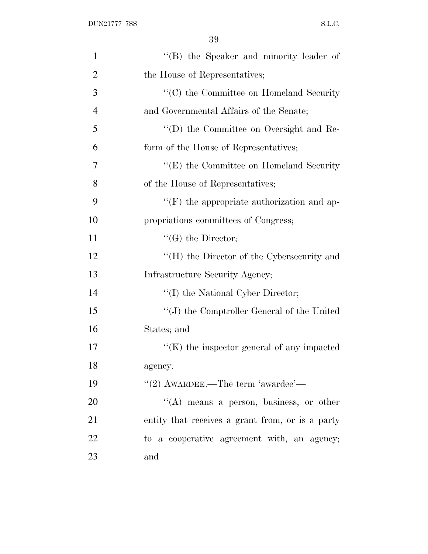| $\mathbf{1}$   | "(B) the Speaker and minority leader of                      |
|----------------|--------------------------------------------------------------|
| $\overline{2}$ | the House of Representatives;                                |
| 3              | $\lq\lq$ <sup>*</sup> (C) the Committee on Homeland Security |
| $\overline{4}$ | and Governmental Affairs of the Senate;                      |
| 5              | "(D) the Committee on Oversight and Re-                      |
| 6              | form of the House of Representatives;                        |
| 7              | $\lq\lq$ (E) the Committee on Homeland Security              |
| 8              | of the House of Representatives;                             |
| 9              | $\lq\lq(F)$ the appropriate authorization and ap-            |
| 10             | propriations committees of Congress;                         |
| 11             | $\lq\lq(G)$ the Director;                                    |
| 12             | "(H) the Director of the Cybersecurity and                   |
| 13             | Infrastructure Security Agency;                              |
| 14             | "(I) the National Cyber Director;                            |
| 15             | $``(J)$ the Comptroller General of the United                |
| 16             | States; and                                                  |
| 17             | $\lq\lq$ (K) the inspector general of any impacted           |
| 18             | agency.                                                      |
| 19             | "(2) AWARDEE.—The term 'awardee'—                            |
| 20             | $\lq\lq(A)$ means a person, business, or other               |
| 21             | entity that receives a grant from, or is a party             |
| 22             | to a cooperative agreement with, an agency;                  |
| 23             | and                                                          |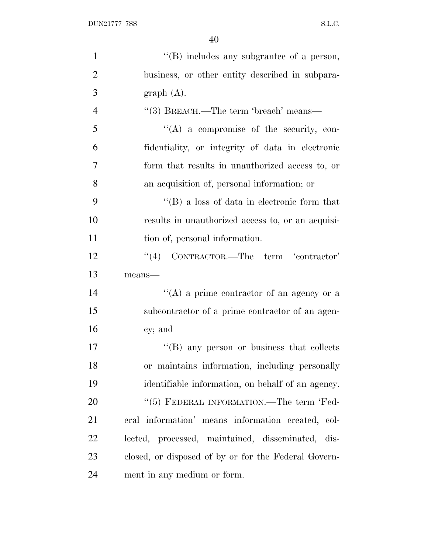| $\mathbf{1}$   | $\lq\lq$ (B) includes any subgrantee of a person,    |
|----------------|------------------------------------------------------|
| $\overline{2}$ | business, or other entity described in subpara-      |
| 3              | graph(A).                                            |
| $\overline{4}$ | "(3) BREACH.—The term 'breach' means—                |
| 5              | $\lq\lq$ (A) a compromise of the security, con-      |
| 6              | fidentiality, or integrity of data in electronic     |
| 7              | form that results in unauthorized access to, or      |
| 8              | an acquisition of, personal information; or          |
| 9              | $\lq\lq (B)$ a loss of data in electronic form that  |
| 10             | results in unauthorized access to, or an acquisi-    |
| 11             | tion of, personal information.                       |
| 12             | $``(4)$ CONTRACTOR.—The term 'contractor'            |
| 13             | means-                                               |
| 14             | "(A) a prime contractor of an agency or a            |
| 15             | subcontractor of a prime contractor of an agen-      |
| 16             | cy; and                                              |
| 17             | "(B) any person or business that collects            |
| 18             | or maintains information, including personally       |
| 19             | identifiable information, on behalf of an agency.    |
| 20             | "(5) FEDERAL INFORMATION.—The term 'Fed-             |
| 21             | eral information' means information created, col-    |
| 22             | lected, processed, maintained, disseminated, dis-    |
| 23             | closed, or disposed of by or for the Federal Govern- |
| 24             | ment in any medium or form.                          |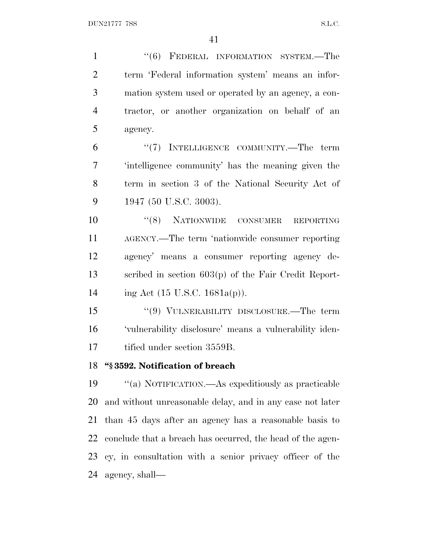1 "(6) FEDERAL INFORMATION SYSTEM.—The term 'Federal information system' means an infor- mation system used or operated by an agency, a con- tractor, or another organization on behalf of an agency. 6 "(7) INTELLIGENCE COMMUNITY.—The term 'intelligence community' has the meaning given the term in section 3 of the National Security Act of 1947 (50 U.S.C. 3003). ''(8) NATIONWIDE CONSUMER REPORTING AGENCY.—The term 'nationwide consumer reporting agency' means a consumer reporting agency de- scribed in section 603(p) of the Fair Credit Report- ing Act (15 U.S.C. 1681a(p)). ''(9) VULNERABILITY DISCLOSURE.—The term 'vulnerability disclosure' means a vulnerability iden-tified under section 3559B.

**''§ 3592. Notification of breach**

 ''(a) NOTIFICATION.—As expeditiously as practicable and without unreasonable delay, and in any case not later than 45 days after an agency has a reasonable basis to conclude that a breach has occurred, the head of the agen- cy, in consultation with a senior privacy officer of the agency, shall—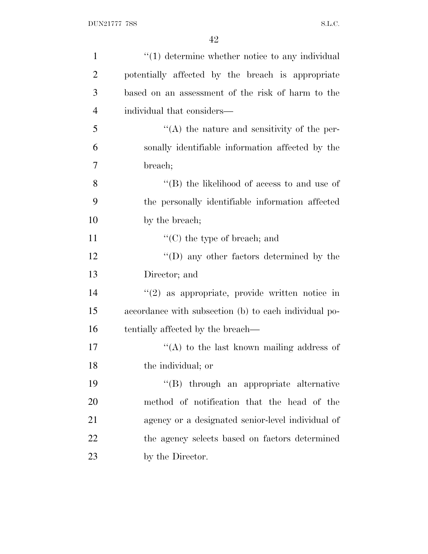| $\mathbf{1}$   | $"(1)$ determine whether notice to any individual     |
|----------------|-------------------------------------------------------|
| $\overline{2}$ | potentially affected by the breach is appropriate     |
| 3              | based on an assessment of the risk of harm to the     |
| $\overline{4}$ | individual that considers—                            |
| 5              | $\lq\lq$ the nature and sensitivity of the per-       |
| 6              | sonally identifiable information affected by the      |
| 7              | breach;                                               |
| 8              | "(B) the likelihood of access to and use of           |
| 9              | the personally identifiable information affected      |
| 10             | by the breach;                                        |
| 11             | $\lq\lq$ (C) the type of breach; and                  |
| 12             | $\lq\lq$ (D) any other factors determined by the      |
| 13             | Director; and                                         |
| 14             | $f'(2)$ as appropriate, provide written notice in     |
| 15             | accordance with subsection (b) to each individual po- |
| 16             | tentially affected by the breach—                     |
| 17             | "(A) to the last known mailing address of             |
| 18             | the individual; or                                    |
| 19             | "(B) through an appropriate alternative               |
| 20             | method of notification that the head of the           |
| 21             | agency or a designated senior-level individual of     |
| 22             | the agency selects based on factors determined        |
| 23             | by the Director.                                      |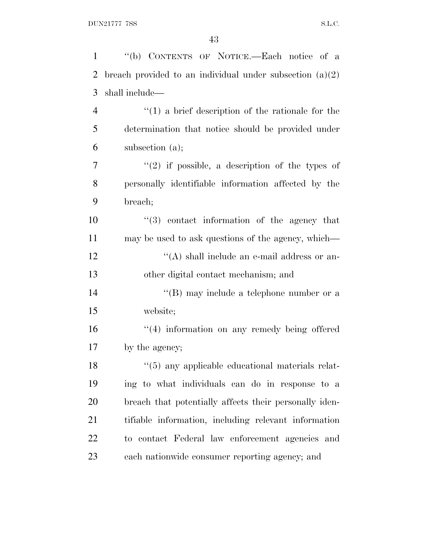| "(b) CONTENTS OF NOTICE.—Each notice of a                  |
|------------------------------------------------------------|
| breach provided to an individual under subsection $(a)(2)$ |
| shall include—                                             |
| $\lq(1)$ a brief description of the rationale for the      |
| determination that notice should be provided under         |
| subsection $(a)$ ;                                         |
| $\lq(2)$ if possible, a description of the types of        |
| personally identifiable information affected by the        |
| breach;                                                    |
| "(3) contact information of the agency that                |
| may be used to ask questions of the agency, which—         |
| "(A) shall include an e-mail address or an-                |
| other digital contact mechanism; and                       |
| "(B) may include a telephone number or a                   |
| website;                                                   |
| "(4) information on any remedy being offered               |
| by the agency;                                             |
| $\lq(5)$ any applicable educational materials relat-       |
| ing to what individuals can do in response to a            |
| breach that potentially affects their personally iden-     |
| tifiable information, including relevant information       |
| to contact Federal law enforcement agencies and            |
| each nationwide consumer reporting agency; and             |
|                                                            |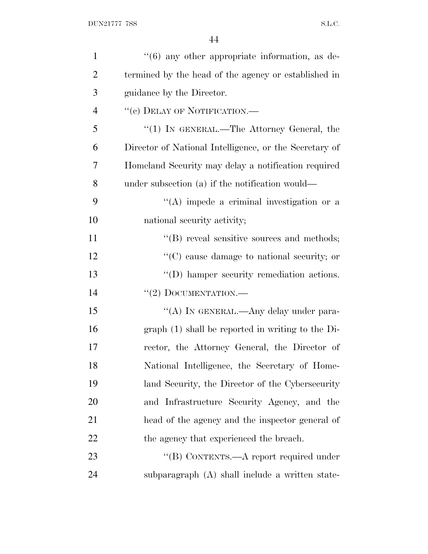| $\mathbf{1}$   | $\cdot\cdot\cdot(6)$ any other appropriate information, as de- |
|----------------|----------------------------------------------------------------|
| $\overline{2}$ | termined by the head of the agency or established in           |
| 3              | guidance by the Director.                                      |
| $\overline{4}$ | "(c) DELAY OF NOTIFICATION.—                                   |
| 5              | "(1) IN GENERAL.—The Attorney General, the                     |
| 6              | Director of National Intelligence, or the Secretary of         |
| 7              | Homeland Security may delay a notification required            |
| 8              | under subsection (a) if the notification would—                |
| 9              | $\lq\lq$ impede a criminal investigation or a                  |
| 10             | national security activity;                                    |
| 11             | "(B) reveal sensitive sources and methods;                     |
| 12             | $\lq\lq$ cause damage to national security; or                 |
| 13             | $\lq\lq$ . hamper security remediation actions.                |
| 14             | $``(2)$ DOCUMENTATION.—                                        |
| 15             | "(A) IN GENERAL.—Any delay under para-                         |
| 16             | $graph(1)$ shall be reported in writing to the Di-             |
| 17             | rector, the Attorney General, the Director of                  |
| 18             | National Intelligence, the Secretary of Home-                  |
| 19             | land Security, the Director of the Cybersecurity               |
| 20             | and Infrastructure Security Agency, and the                    |
| 21             | head of the agency and the inspector general of                |
| 22             | the agency that experienced the breach.                        |
| 23             | "(B) CONTENTS.—A report required under                         |
| 24             | subparagraph (A) shall include a written state-                |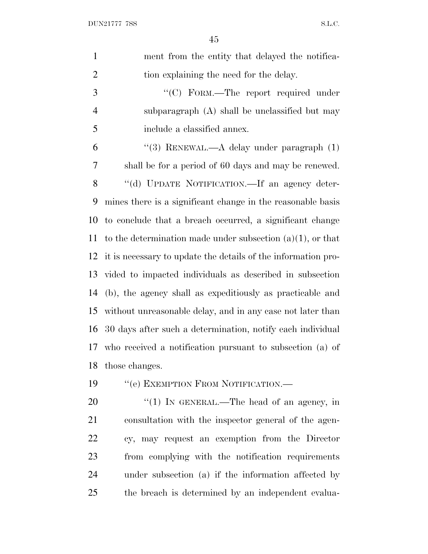| $\mathbf{1}$   | ment from the entity that delayed the notifica-               |
|----------------|---------------------------------------------------------------|
| $\overline{2}$ | tion explaining the need for the delay.                       |
| 3              | "(C) FORM.-The report required under                          |
| $\overline{4}$ | subparagraph (A) shall be unclassified but may                |
| 5              | include a classified annex.                                   |
| 6              | "(3) RENEWAL.—A delay under paragraph $(1)$                   |
| 7              | shall be for a period of 60 days and may be renewed.          |
| $8\,$          | "(d) UPDATE NOTIFICATION.—If an agency deter-                 |
| 9              | mines there is a significant change in the reasonable basis   |
| 10             | to conclude that a breach occurred, a significant change      |
| 11             | to the determination made under subsection $(a)(1)$ , or that |
| 12             | it is necessary to update the details of the information pro- |
| 13             | vided to impacted individuals as described in subsection      |
| 14             | (b), the agency shall as expeditiously as practicable and     |
| 15             | without unreasonable delay, and in any case not later than    |
| 16             | 30 days after such a determination, notify each individual    |
| 17             | who received a notification pursuant to subsection (a) of     |
| 18             | those changes.                                                |
| 19             | "(e) EXEMPTION FROM NOTIFICATION.-                            |
| 20             | "(1) IN GENERAL.—The head of an agency, in                    |
| 21             | consultation with the inspector general of the agen-          |
| 22             | cy, may request an exemption from the Director                |
| 23             | from complying with the notification requirements             |

 under subsection (a) if the information affected by the breach is determined by an independent evalua-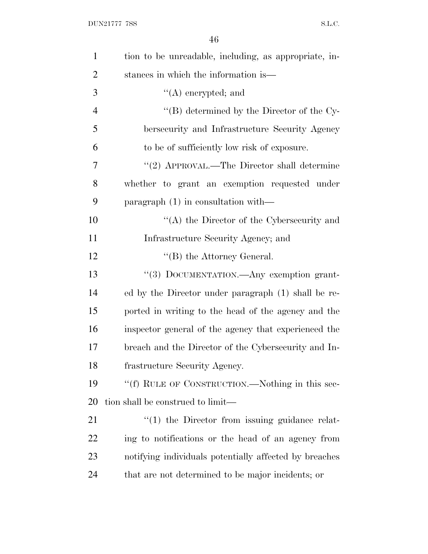| $\mathbf{1}$   | tion to be unreadable, including, as appropriate, in-  |
|----------------|--------------------------------------------------------|
| $\overline{2}$ | stances in which the information is—                   |
| 3              | $\lq\lq$ encrypted; and                                |
| $\overline{4}$ | "(B) determined by the Director of the Cy-             |
| 5              | bersecurity and Infrastructure Security Agency         |
| 6              | to be of sufficiently low risk of exposure.            |
| 7              | "(2) APPROVAL.—The Director shall determine            |
| 8              | whether to grant an exemption requested under          |
| 9              | paragraph $(1)$ in consultation with—                  |
| 10             | " $(A)$ the Director of the Cybersecurity and          |
| 11             | Infrastructure Security Agency; and                    |
| 12             | $\lq\lq$ the Attorney General.                         |
| 13             | "(3) DOCUMENTATION.—Any exemption grant-               |
| 14             | ed by the Director under paragraph (1) shall be re-    |
| 15             | ported in writing to the head of the agency and the    |
| 16             | inspector general of the agency that experienced the   |
| 17             | breach and the Director of the Cybersecurity and In-   |
| 18             | frastructure Security Agency.                          |
| 19             | "(f) RULE OF CONSTRUCTION.—Nothing in this sec-        |
| 20             | tion shall be construed to limit—                      |
| 21             | $\lq(1)$ the Director from issuing guidance relat-     |
| 22             | ing to notifications or the head of an agency from     |
| 23             | notifying individuals potentially affected by breaches |
| 24             | that are not determined to be major incidents; or      |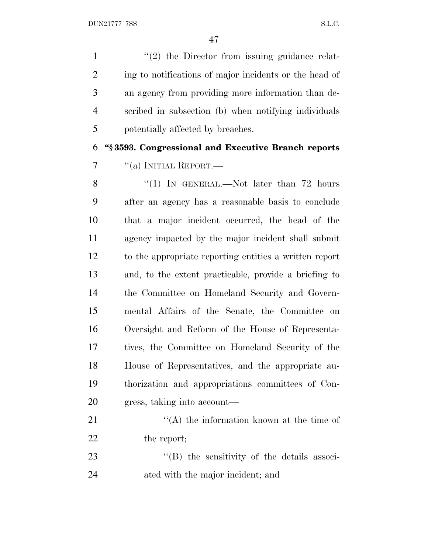$\frac{1}{2}$  the Director from issuing guidance relat-2 ing to notifications of major incidents or the head of an agency from providing more information than de- scribed in subsection (b) when notifying individuals potentially affected by breaches.

 **''§ 3593. Congressional and Executive Branch reports**  $\frac{1}{2}$  ''(a) INITIAL REPORT.

8 "(1) IN GENERAL.—Not later than 72 hours after an agency has a reasonable basis to conclude that a major incident occurred, the head of the agency impacted by the major incident shall submit to the appropriate reporting entities a written report and, to the extent practicable, provide a briefing to the Committee on Homeland Security and Govern- mental Affairs of the Senate, the Committee on Oversight and Reform of the House of Representa- tives, the Committee on Homeland Security of the House of Representatives, and the appropriate au- thorization and appropriations committees of Con-gress, taking into account—

21 ''(A) the information known at the time of 22 the report;

23 "(B) the sensitivity of the details associ-ated with the major incident; and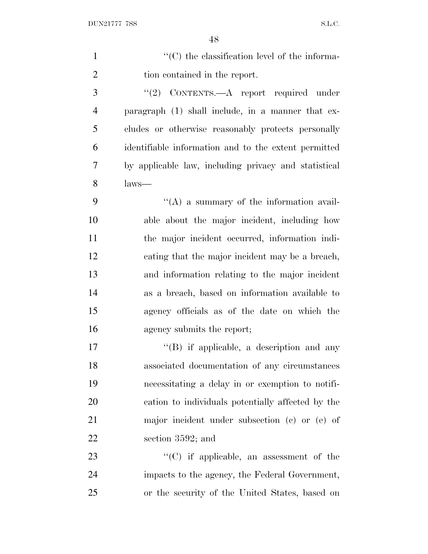| $\mathbf{1}$   | $\cdot$ (C) the classification level of the informa- |
|----------------|------------------------------------------------------|
| $\overline{c}$ | tion contained in the report.                        |
| 3              | "(2) CONTENTS.—A report required under               |
| $\overline{4}$ | paragraph (1) shall include, in a manner that ex-    |
| 5              | cludes or otherwise reasonably protects personally   |
| 6              | identifiable information and to the extent permitted |
| 7              | by applicable law, including privacy and statistical |
| 8              | laws—                                                |
| 9              | $\lq\lq$ a summary of the information avail-         |
| 10             | able about the major incident, including how         |
| 11             | the major incident occurred, information indi-       |
| 12             | cating that the major incident may be a breach,      |
| 13             | and information relating to the major incident       |
| 14             | as a breach, based on information available to       |
| 15             | agency officials as of the date on which the         |
| 16             | agency submits the report;                           |
| 17             | $\lq\lq$ if applicable, a description and any        |
| 18             | associated documentation of any circumstances        |
| 19             | necessitating a delay in or exemption to notifi-     |
| 20             | cation to individuals potentially affected by the    |
| 21             | major incident under subsection (c) or (e) of        |
| 22             | section 3592; and                                    |
| 23             | $\lq\lq$ (C) if applicable, an assessment of the     |
| 24             | impacts to the agency, the Federal Government,       |
| 25             | or the security of the United States, based on       |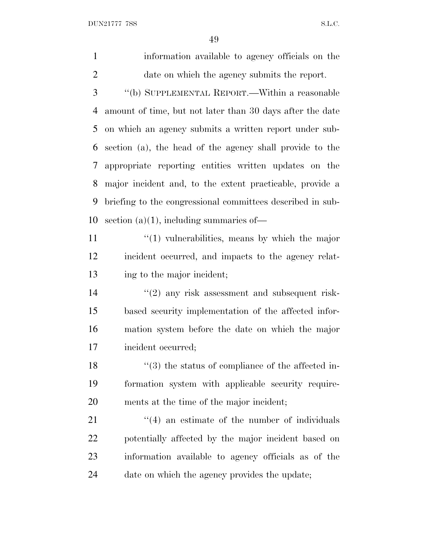DUN21777 7SS S.L.C.

 information available to agency officials on the date on which the agency submits the report. ''(b) SUPPLEMENTAL REPORT.—Within a reasonable

 amount of time, but not later than 30 days after the date on which an agency submits a written report under sub- section (a), the head of the agency shall provide to the appropriate reporting entities written updates on the major incident and, to the extent practicable, provide a briefing to the congressional committees described in sub-10 section (a)(1), including summaries of—

11 ''(1) vulnerabilities, means by which the major incident occurred, and impacts to the agency relat-ing to the major incident;

 $(2)$  any risk assessment and subsequent risk- based security implementation of the affected infor- mation system before the date on which the major incident occurred;

18 ''(3) the status of compliance of the affected in- formation system with applicable security require-ments at the time of the major incident;

 ''(4) an estimate of the number of individuals potentially affected by the major incident based on information available to agency officials as of the date on which the agency provides the update;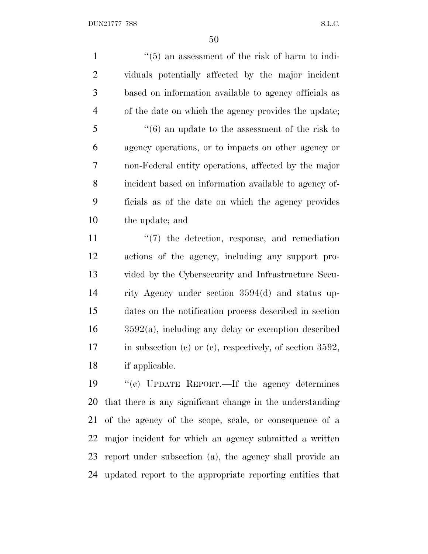1 ''(5) an assessment of the risk of harm to indi- viduals potentially affected by the major incident based on information available to agency officials as of the date on which the agency provides the update; ''(6) an update to the assessment of the risk to agency operations, or to impacts on other agency or non-Federal entity operations, affected by the major incident based on information available to agency of- ficials as of the date on which the agency provides the update; and

 $\frac{1}{2}$  (7) the detection, response, and remediation actions of the agency, including any support pro- vided by the Cybersecurity and Infrastructure Secu- rity Agency under section 3594(d) and status up- dates on the notification process described in section 3592(a), including any delay or exemption described in subsection (c) or (e), respectively, of section 3592, if applicable.

 ''(c) UPDATE REPORT.—If the agency determines that there is any significant change in the understanding of the agency of the scope, scale, or consequence of a major incident for which an agency submitted a written report under subsection (a), the agency shall provide an updated report to the appropriate reporting entities that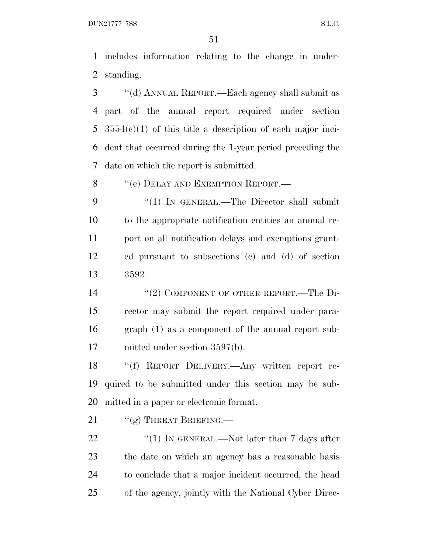DUN21777 7SS S.L.C.

 includes information relating to the change in under-standing.

 ''(d) ANNUAL REPORT.—Each agency shall submit as part of the annual report required under section 3554(c)(1) of this title a description of each major inci- dent that occurred during the 1-year period preceding the date on which the report is submitted.

8 "(e) DELAY AND EXEMPTION REPORT.—

9 "(1) IN GENERAL.—The Director shall submit to the appropriate notification entities an annual re- port on all notification delays and exemptions grant- ed pursuant to subsections (c) and (d) of section 3592.

14 "(2) COMPONENT OF OTHER REPORT.—The Di- rector may submit the report required under para- graph (1) as a component of the annual report sub-mitted under section 3597(b).

 ''(f) REPORT DELIVERY.—Any written report re- quired to be submitted under this section may be sub-mitted in a paper or electronic format.

21 ""(g) THREAT BRIEFING.

 $\frac{4}{1}$  IN GENERAL.—Not later than 7 days after the date on which an agency has a reasonable basis to conclude that a major incident occurred, the head of the agency, jointly with the National Cyber Direc-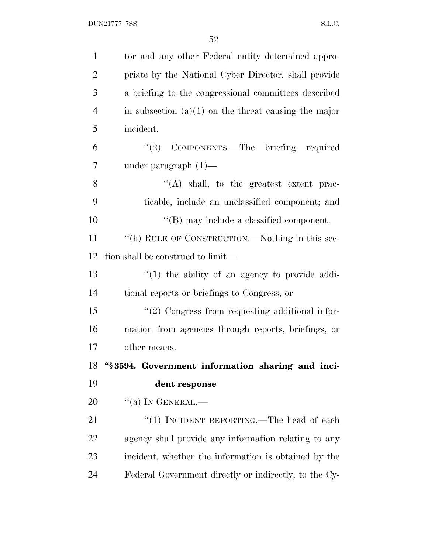| $\mathbf{1}$   | tor and any other Federal entity determined appro-     |
|----------------|--------------------------------------------------------|
| $\overline{2}$ | priate by the National Cyber Director, shall provide   |
| 3              | a briefing to the congressional committees described   |
| $\overline{4}$ | in subsection $(a)(1)$ on the threat causing the major |
| 5              | incident.                                              |
| 6              | "(2) COMPONENTS.—The briefing required                 |
| 7              | under paragraph $(1)$ —                                |
| 8              | $\lq\lq$ shall, to the greatest extent prac-           |
| 9              | ticable, include an unclassified component; and        |
| 10             | $\lq\lq$ (B) may include a classified component.       |
| 11             | "(h) RULE OF CONSTRUCTION.—Nothing in this sec-        |
| 12             | tion shall be construed to limit—                      |
| 13             | $"(1)$ the ability of an agency to provide addi-       |
| 14             | tional reports or briefings to Congress; or            |
| 15             | $"(2)$ Congress from requesting additional infor-      |
| 16             | mation from agencies through reports, briefings, or    |
| 17             | other means.                                           |
| 18             | "§3594. Government information sharing and inci-       |
| 19             | dent response                                          |
| 20             | $\lq\lq$ (a) In GENERAL.—                              |
| 21             | "(1) INCIDENT REPORTING.—The head of each              |
| 22             | agency shall provide any information relating to any   |
| 23             | incident, whether the information is obtained by the   |
| 24             | Federal Government directly or indirectly, to the Cy-  |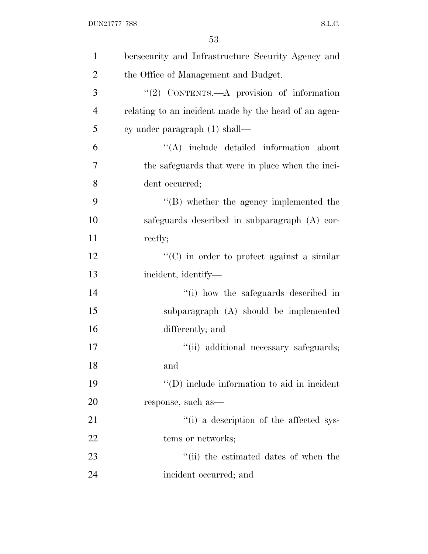| $\mathbf{1}$   | bersecurity and Infrastructure Security Agency and   |
|----------------|------------------------------------------------------|
| $\overline{2}$ | the Office of Management and Budget.                 |
| 3              | " $(2)$ CONTENTS.—A provision of information         |
| $\overline{4}$ | relating to an incident made by the head of an agen- |
| 5              | cy under paragraph (1) shall—                        |
| 6              | "(A) include detailed information about              |
| 7              | the safeguards that were in place when the inci-     |
| 8              | dent occurred;                                       |
| 9              | $\lq\lq (B)$ whether the agency implemented the      |
| 10             | safeguards described in subparagraph (A) cor-        |
| 11             | rectly;                                              |
| 12             | $\lq\lq$ (C) in order to protect against a similar   |
| 13             | incident, identify—                                  |
| 14             | "(i) how the safeguards described in                 |
| 15             | subparagraph (A) should be implemented               |
| 16             | differently; and                                     |
| 17             | "(ii) additional necessary safeguards;               |
| 18             | and                                                  |
| 19             | $\lq\lq$ (D) include information to aid in incident  |
| 20             | response, such as—                                   |
| 21             | "(i) a description of the affected sys-              |
| 22             | tems or networks;                                    |
| 23             | "(ii) the estimated dates of when the                |
| 24             | incident occurred; and                               |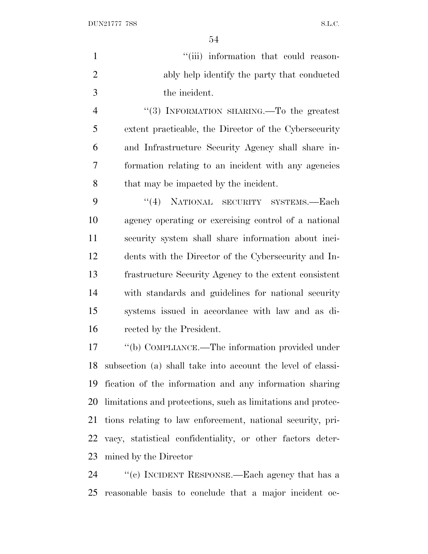DUN21777 7SS S.L.C.

| $\mathbf{1}$   | "(iii) information that could reason-                        |
|----------------|--------------------------------------------------------------|
| $\overline{2}$ | ably help identify the party that conducted                  |
| 3              | the incident.                                                |
| $\overline{4}$ | "(3) INFORMATION SHARING.—To the greatest                    |
| 5              | extent practicable, the Director of the Cybersecurity        |
| 6              | and Infrastructure Security Agency shall share in-           |
| 7              | formation relating to an incident with any agencies          |
| 8              | that may be impacted by the incident.                        |
| 9              | "(4) NATIONAL SECURITY SYSTEMS.—Each                         |
| 10             | agency operating or exercising control of a national         |
| 11             | security system shall share information about inci-          |
| 12             | dents with the Director of the Cybersecurity and In-         |
| 13             | frastructure Security Agency to the extent consistent        |
| 14             | with standards and guidelines for national security          |
| 15             | systems issued in accordance with law and as di-             |
| 16             | rected by the President.                                     |
| 17             | "(b) COMPLIANCE.—The information provided under              |
| 18             | subsection (a) shall take into account the level of classi-  |
| 19             | fication of the information and any information sharing      |
| 20             | limitations and protections, such as limitations and protec- |
| 21             | tions relating to law enforcement, national security, pri-   |
| 22             | vacy, statistical confidentiality, or other factors deter-   |
| 23             | mined by the Director                                        |
| 24             | "(c) INCIDENT RESPONSE.—Each agency that has a               |

reasonable basis to conclude that a major incident oc-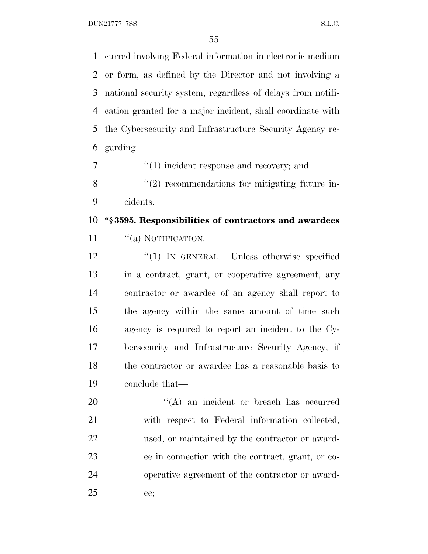DUN21777 7SS S.L.C.

 curred involving Federal information in electronic medium or form, as defined by the Director and not involving a national security system, regardless of delays from notifi- cation granted for a major incident, shall coordinate with the Cybersecurity and Infrastructure Security Agency re-garding—

7  $\frac{1}{1}$  incident response and recovery; and 8 "(2) recommendations for mitigating future in-

cidents.

 **''§ 3595. Responsibilities of contractors and awardees** 11 "(a) NOTIFICATION.—

12 "(1) IN GENERAL.—Unless otherwise specified in a contract, grant, or cooperative agreement, any contractor or awardee of an agency shall report to the agency within the same amount of time such agency is required to report an incident to the Cy-

 bersecurity and Infrastructure Security Agency, if the contractor or awardee has a reasonable basis to conclude that—

 $\text{``(A)}$  an incident or breach has occurred with respect to Federal information collected, used, or maintained by the contractor or award- ee in connection with the contract, grant, or co- operative agreement of the contractor or award-ee;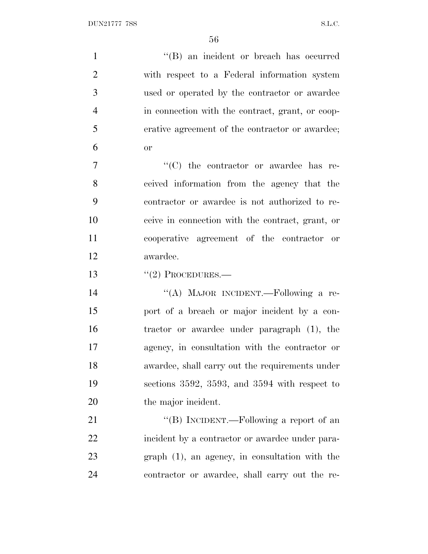1 ''(B) an incident or breach has occurred with respect to a Federal information system used or operated by the contractor or awardee in connection with the contract, grant, or coop- erative agreement of the contractor or awardee;  $6 \qquad \qquad \text{or}$  $"$ (C) the contractor or awardee has re- ceived information from the agency that the contractor or awardee is not authorized to re-

 ceive in connection with the contract, grant, or cooperative agreement of the contractor or awardee.

13  $\frac{1}{2}$  PROCEDURES.

 ''(A) MAJOR INCIDENT.—Following a re- port of a breach or major incident by a con- tractor or awardee under paragraph (1), the agency, in consultation with the contractor or awardee, shall carry out the requirements under sections 3592, 3593, and 3594 with respect to the major incident.

21 "'(B) INCIDENT.—Following a report of an incident by a contractor or awardee under para- graph (1), an agency, in consultation with the contractor or awardee, shall carry out the re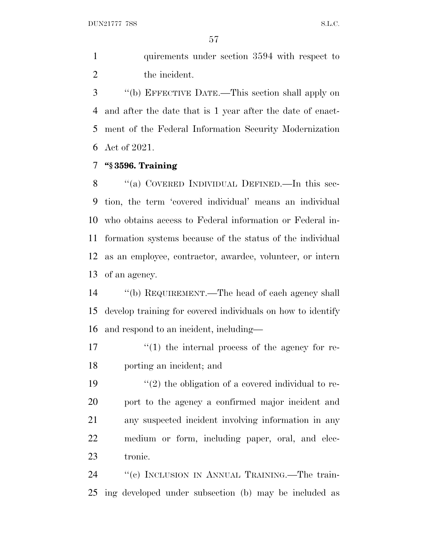DUN21777 7SS S.L.C.

1 quirements under section 3594 with respect to the incident.

 ''(b) EFFECTIVE DATE.—This section shall apply on and after the date that is 1 year after the date of enact- ment of the Federal Information Security Modernization Act of 2021.

## **''§ 3596. Training**

8 "(a) COVERED INDIVIDUAL DEFINED.—In this sec- tion, the term 'covered individual' means an individual who obtains access to Federal information or Federal in- formation systems because of the status of the individual as an employee, contractor, awardee, volunteer, or intern of an agency.

 ''(b) REQUIREMENT.—The head of each agency shall develop training for covered individuals on how to identify and respond to an incident, including—

17  $\frac{17}{2}$  (1) the internal process of the agency for re-porting an incident; and

 $\frac{1}{2}$  the obligation of a covered individual to re- port to the agency a confirmed major incident and any suspected incident involving information in any medium or form, including paper, oral, and elec-tronic.

24 "(c) INCLUSION IN ANNUAL TRAINING.—The train-ing developed under subsection (b) may be included as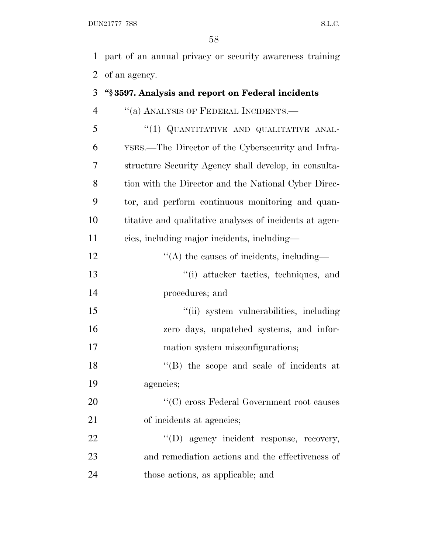part of an annual privacy or security awareness training of an agency.

## **''§ 3597. Analysis and report on Federal incidents** 4 "(a) ANALYSIS OF FEDERAL INCIDENTS.— 5 "(1) QUANTITATIVE AND QUALITATIVE ANAL- YSES.—The Director of the Cybersecurity and Infra- structure Security Agency shall develop, in consulta-8 tion with the Director and the National Cyber Direc- tor, and perform continuous monitoring and quan- titative and qualitative analyses of incidents at agen- cies, including major incidents, including— 12  $\cdot$  (A) the causes of incidents, including— ''(i) attacker tactics, techniques, and procedures; and ''(ii) system vulnerabilities, including zero days, unpatched systems, and infor-17 mation system misconfigurations; 18 ''(B) the scope and scale of incidents at agencies; 20  $\cdot$  (C) cross Federal Government root causes 21 of incidents at agencies; 22  $\text{``(D)}$  agency incident response, recovery, and remediation actions and the effectiveness of those actions, as applicable; and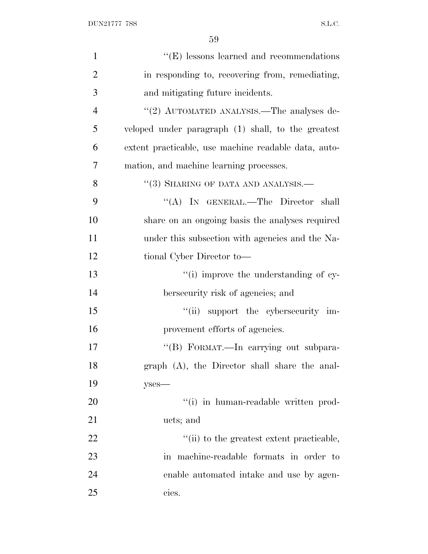| $\mathbf{1}$   | $\lq\lq(E)$ lessons learned and recommendations      |
|----------------|------------------------------------------------------|
| $\overline{2}$ | in responding to, recovering from, remediating,      |
| 3              | and mitigating future incidents.                     |
| $\overline{4}$ | "(2) AUTOMATED ANALYSIS.—The analyses de-            |
| 5              | veloped under paragraph (1) shall, to the greatest   |
| 6              | extent practicable, use machine readable data, auto- |
| 7              | mation, and machine learning processes.              |
| 8              | $``(3)$ SHARING OF DATA AND ANALYSIS.—               |
| 9              | "(A) IN GENERAL.—The Director shall                  |
| 10             | share on an ongoing basis the analyses required      |
| 11             | under this subsection with agencies and the Na-      |
| 12             | tional Cyber Director to-                            |
| 13             | "(i) improve the understanding of cy-                |
| 14             | bersecurity risk of agencies; and                    |
| 15             | "(ii) support the cybersecurity im-                  |
| 16             | provement efforts of agencies.                       |
| 17             | "(B) FORMAT.—In carrying out subpara-                |
| 18             | graph (A), the Director shall share the anal-        |
| 19             | $y$ ses—                                             |
| 20             | "(i) in human-readable written prod-                 |
| 21             | ucts; and                                            |
| 22             | "(ii) to the greatest extent practicable,            |
| 23             | in machine-readable formats in order to              |
| 24             | enable automated in take and use by agen-            |
| 25             | cies.                                                |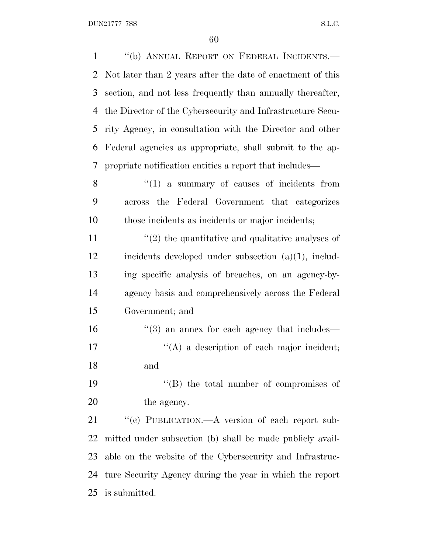| $\mathbf{1}$ | "(b) ANNUAL REPORT ON FEDERAL INCIDENTS.-                  |
|--------------|------------------------------------------------------------|
| 2            | Not later than 2 years after the date of enactment of this |
| 3            | section, and not less frequently than annually thereafter, |
| 4            | the Director of the Cybersecurity and Infrastructure Secu- |
| 5            | rity Agency, in consultation with the Director and other   |
| 6            | Federal agencies as appropriate, shall submit to the ap-   |
| 7            | propriate notification entities a report that includes—    |
| 8            | $\lq(1)$ a summary of causes of incidents from             |
| 9            | across the Federal Government that categorizes             |
| 10           | those incidents as incidents or major incidents;           |
| 11           | $\lq(2)$ the quantitative and qualitative analyses of      |
| 12           | incidents developed under subsection $(a)(1)$ , includ-    |
| 13           | ing specific analysis of breaches, on an agency-by-        |
| 14           | agency basis and comprehensively across the Federal        |
| 15           | Government; and                                            |
| 16           | $\cdot\cdot$ (3) an annex for each agency that includes—   |
| 17           | $\lq\lq$ a description of each major incident;             |
| 18           | and                                                        |
| 19           | $\lq\lq (B)$ the total number of compromises of            |
| 20           | the agency.                                                |
| 21           | "(c) PUBLICATION.—A version of each report sub-            |
| 22           | mitted under subsection (b) shall be made publicly avail-  |
| 23           | able on the website of the Cybersecurity and Infrastruc-   |
| 24           | ture Security Agency during the year in which the report   |
|              | 25 is submitted.                                           |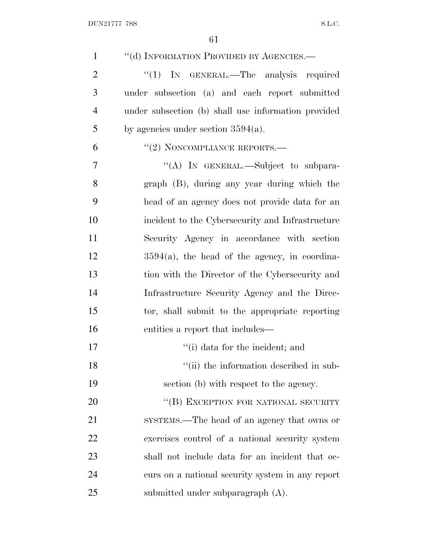| $\mathbf{1}$   | "(d) INFORMATION PROVIDED BY AGENCIES.-             |
|----------------|-----------------------------------------------------|
| $\overline{2}$ | " $(1)$ IN GENERAL.—The analysis required           |
| 3              | under subsection (a) and each report submitted      |
| $\overline{4}$ | under subsection (b) shall use information provided |
| 5              | by agencies under section $3594(a)$ .               |
| 6              | "(2) NONCOMPLIANCE REPORTS.-                        |
| 7              | "(A) IN GENERAL.—Subject to subpara-                |
| 8              | graph (B), during any year during which the         |
| 9              | head of an agency does not provide data for an      |
| 10             | incident to the Cybersecurity and Infrastructure    |
| 11             | Security Agency in accordance with section          |
| 12             | $3594(a)$ , the head of the agency, in coordina-    |
| 13             | tion with the Director of the Cybersecurity and     |
| 14             | Infrastructure Security Agency and the Direc-       |
| 15             | tor, shall submit to the appropriate reporting      |
| 16             | entities a report that includes—                    |
| 17             | "(i) data for the incident; and                     |
| 18             | "(ii) the information described in sub-             |
| 19             | section (b) with respect to the agency.             |
| 20             | "(B) EXCEPTION FOR NATIONAL SECURITY                |
| 21             | SYSTEMS.—The head of an agency that owns or         |
| 22             | exercises control of a national security system     |
| 23             | shall not include data for an incident that oc-     |
| 24             | curs on a national security system in any report    |
| 25             | submitted under subparagraph (A).                   |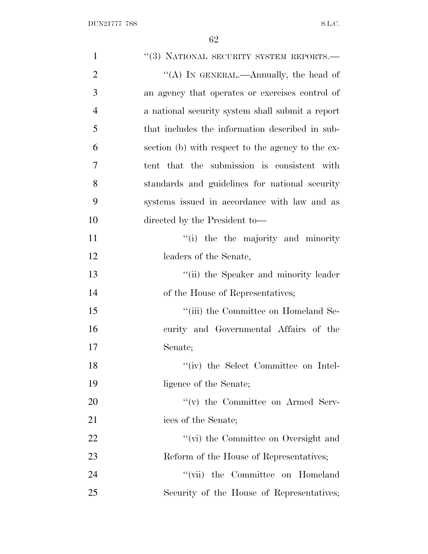| $\mathbf{1}$   | "(3) NATIONAL SECURITY SYSTEM REPORTS.-           |
|----------------|---------------------------------------------------|
| $\overline{2}$ | "(A) IN GENERAL.—Annually, the head of            |
| 3              | an agency that operates or exercises control of   |
| $\overline{4}$ | a national security system shall submit a report  |
| 5              | that includes the information described in sub-   |
| 6              | section (b) with respect to the agency to the ex- |
| 7              | tent that the submission is consistent with       |
| 8              | standards and guidelines for national security    |
| 9              | systems issued in accordance with law and as      |
| 10             | directed by the President to-                     |
| 11             | "(i) the the majority and minority"               |
| 12             | leaders of the Senate,                            |
| 13             | "(ii) the Speaker and minority leader             |
| 14             | of the House of Representatives;                  |
| 15             | "(iii) the Committee on Homeland Se-              |
| 16             | curity and Governmental Affairs of the            |
| 17             | Senate;                                           |
| 18             | "(iv) the Select Committee on Intel-              |
| 19             | ligence of the Senate;                            |
| 20             | $f'(v)$ the Committee on Armed Serv-              |
| 21             | ices of the Senate;                               |
| 22             | "(vi) the Committee on Oversight and              |
| 23             | Reform of the House of Representatives;           |
| 24             | "(vii) the Committee on Homeland                  |
| 25             | Security of the House of Representatives;         |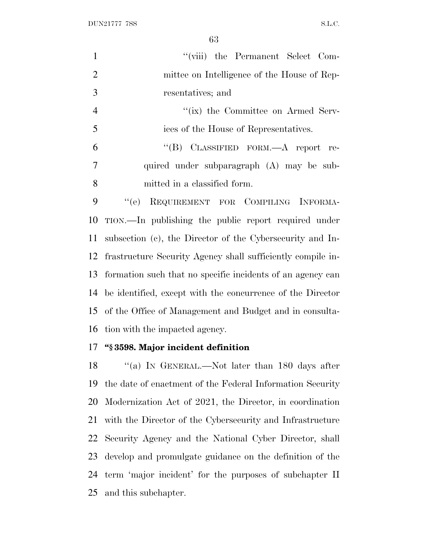DUN21777 7SS S.L.C.

| $\mathbf{1}$   | "(viii) the Permanent Select Com-                         |
|----------------|-----------------------------------------------------------|
| 2              | mittee on Intelligence of the House of Rep-               |
| 3              | resentatives; and                                         |
| $\overline{4}$ | "(ix) the Committee on Armed Serv-                        |
| $\overline{5}$ | ices of the House of Representatives.                     |
| 6              | "(B) CLASSIFIED FORM.— $A$ report re-                     |
| 7              | quired under subparagraph (A) may be sub-                 |
| 8              | mitted in a classified form.                              |
| 9              | "(e) REQUIREMENT FOR COMPILING INFORMA-                   |
| 10             | TION.—In publishing the public report required under      |
| 11             | subsection (c), the Director of the Cybersecurity and In- |

frastructure Security Agency shall sufficiently compile in-

formation such that no specific incidents of an agency can

be identified, except with the concurrence of the Director

of the Office of Management and Budget and in consulta-

## **''§ 3598. Major incident definition**

tion with the impacted agency.

18 "(a) In GENERAL.—Not later than 180 days after the date of enactment of the Federal Information Security Modernization Act of 2021, the Director, in coordination with the Director of the Cybersecurity and Infrastructure Security Agency and the National Cyber Director, shall develop and promulgate guidance on the definition of the term 'major incident' for the purposes of subchapter II and this subchapter.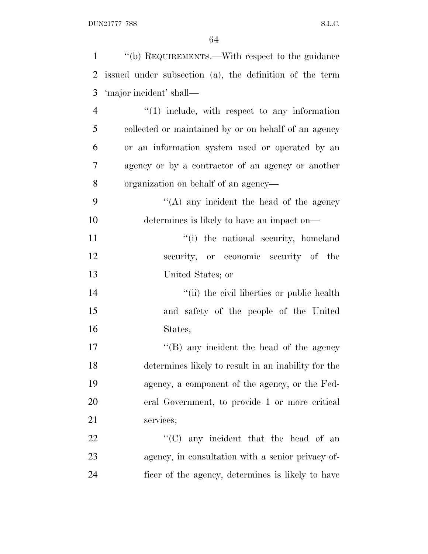| $\mathbf{1}$   | "(b) REQUIREMENTS.—With respect to the guidance         |
|----------------|---------------------------------------------------------|
| $\overline{2}$ | issued under subsection (a), the definition of the term |
| 3              | 'major incident' shall—                                 |
| $\overline{4}$ | $\lq(1)$ include, with respect to any information       |
| 5              | collected or maintained by or on behalf of an agency    |
| 6              | or an information system used or operated by an         |
| 7              | agency or by a contractor of an agency or another       |
| 8              | organization on behalf of an agency—                    |
| 9              | $\lq\lq$ any incident the head of the agency            |
| 10             | determines is likely to have an impact on—              |
| 11             | "(i) the national security, homeland                    |
| 12             | security, or economic security of the                   |
| 13             | United States; or                                       |
| 14             | "(ii) the civil liberties or public health              |
| 15             | and safety of the people of the United                  |
| 16             | States;                                                 |
| 17             | $\lq\lq$ (B) any incident the head of the agency        |
| 18             | determines likely to result in an inability for the     |
| 19             | agency, a component of the agency, or the Fed-          |
| 20             | eral Government, to provide 1 or more critical          |
| 21             | services;                                               |
| 22             | "(C) any incident that the head of an                   |
| 23             | agency, in consultation with a senior privacy of-       |
| 24             | ficer of the agency, determines is likely to have       |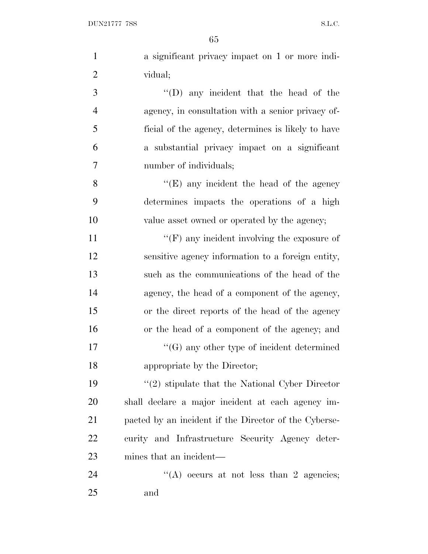| $\mathbf{1}$   | a significant privacy impact on 1 or more indi-       |
|----------------|-------------------------------------------------------|
| $\overline{2}$ | vidual;                                               |
| 3              | "(D) any incident that the head of the                |
| $\overline{4}$ | agency, in consultation with a senior privacy of-     |
| 5              | ficial of the agency, determines is likely to have    |
| 6              | a substantial privacy impact on a significant         |
| $\overline{7}$ | number of individuals;                                |
| 8              | " $(E)$ any incident the head of the agency"          |
| 9              | determines impacts the operations of a high           |
| 10             | value asset owned or operated by the agency;          |
| 11             | $\lq\lq(F)$ any incident involving the exposure of    |
| 12             | sensitive agency information to a foreign entity,     |
| 13             | such as the communications of the head of the         |
| 14             | agency, the head of a component of the agency,        |
| 15             | or the direct reports of the head of the agency       |
| 16             | or the head of a component of the agency; and         |
| 17             | $\lq\lq(G)$ any other type of incident determined     |
| 18             | appropriate by the Director;                          |
| 19             | $\lq(2)$ stipulate that the National Cyber Director   |
| 20             | shall declare a major incident at each agency im-     |
| 21             | pacted by an incident if the Director of the Cyberse- |
| 22             | curity and Infrastructure Security Agency deter-      |
| 23             | mines that an incident—                               |
| 24             | "(A) occurs at not less than 2 agencies;              |
|                |                                                       |

and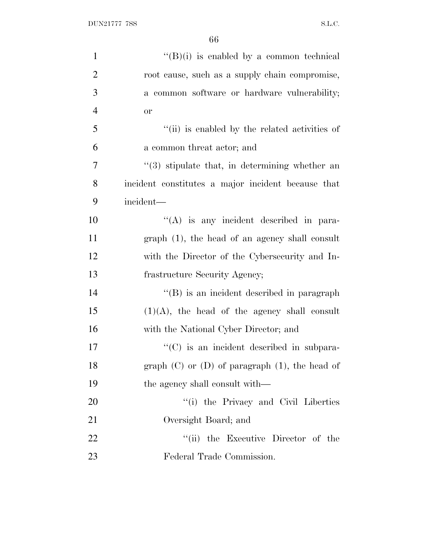| $\mathbf{1}$   | $\lq\lq(B)(i)$ is enabled by a common technical       |
|----------------|-------------------------------------------------------|
| $\overline{2}$ | root cause, such as a supply chain compromise,        |
| 3              | a common software or hardware vulnerability;          |
| $\overline{4}$ | <b>or</b>                                             |
| 5              | "(ii) is enabled by the related activities of         |
| 6              | a common threat actor; and                            |
| 7              | $\cdot$ (3) stipulate that, in determining whether an |
| 8              | incident constitutes a major incident because that    |
| 9              | incident-                                             |
| 10             | "(A) is any incident described in para-               |
| 11             | $graph(1)$ , the head of an agency shall consult      |
| 12             | with the Director of the Cybersecurity and In-        |
| 13             | frastructure Security Agency;                         |
| 14             | "(B) is an incident described in paragraph            |
| 15             | $(1)(A)$ , the head of the agency shall consult       |
| 16             | with the National Cyber Director; and                 |
| 17             | $\cdot\cdot$ (C) is an incident described in subpara- |
| 18             | graph $(C)$ or $(D)$ of paragraph $(1)$ , the head of |
| 19             | the agency shall consult with—                        |
| 20             | "(i) the Privacy and Civil Liberties                  |
| 21             | Oversight Board; and                                  |
| 22             | the Executive Director of the<br>``(ii)               |
| 23             | Federal Trade Commission.                             |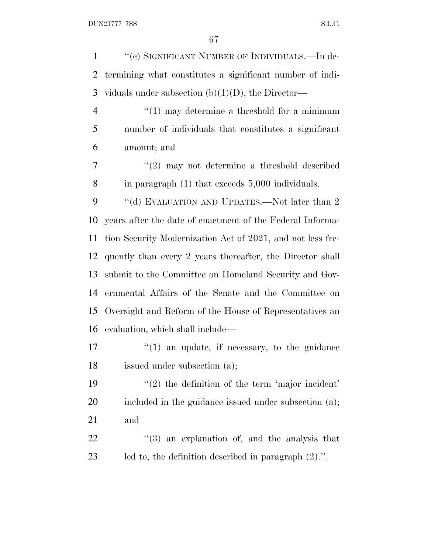1 "(c) SIGNIFICANT NUMBER OF INDIVIDUALS.—In de- termining what constitutes a significant number of indi-3 viduals under subsection  $(b)(1)(D)$ , the Director—  $\frac{4}{1}$  ''(1) may determine a threshold for a minimum number of individuals that constitutes a significant amount; and ''(2) may not determine a threshold described in paragraph (1) that exceeds 5,000 individuals. 9 "(d) EVALUATION AND UPDATES.—Not later than 2 years after the date of enactment of the Federal Informa- tion Security Modernization Act of 2021, and not less fre- quently than every 2 years thereafter, the Director shall submit to the Committee on Homeland Security and Gov- ernmental Affairs of the Senate and the Committee on Oversight and Reform of the House of Representatives an evaluation, which shall include—  $\frac{1}{2}$  (1) an update, if necessary, to the guidance issued under subsection (a); 19 ''(2) the definition of the term 'major incident' 20 included in the guidance issued under subsection (a); and ''(3) an explanation of, and the analysis that

led to, the definition described in paragraph (2).''.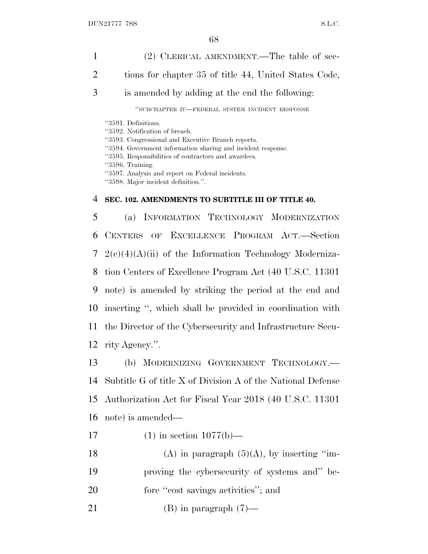1 (2) CLERICAL AMENDMENT.—The table of sec-2 tions for chapter 35 of title 44, United States Code, 3 is amended by adding at the end the following: ''SUBCHAPTER IV—FEDERAL SYSTEM INCIDENT RESPONSE ''3591. Definitions. ''3592. Notification of breach. ''3593. Congressional and Executive Branch reports. ''3594. Government information sharing and incident response. ''3595. Responsibilities of contractors and awardees. ''3596. Training. ''3597. Analysis and report on Federal incidents. ''3598. Major incident definition.''. 4 **SEC. 102. AMENDMENTS TO SUBTITLE III OF TITLE 40.** 5 (a) INFORMATION TECHNOLOGY MODERNIZATION 6 CENTERS OF EXCELLENCE PROGRAM ACT.—Section 7 2(c)(4)(A)(ii) of the Information Technology Moderniza-8 tion Centers of Excellence Program Act (40 U.S.C. 11301 9 note) is amended by striking the period at the end and 10 inserting '', which shall be provided in coordination with 11 the Director of the Cybersecurity and Infrastructure Secu-12 rity Agency.''.

 (b) MODERNIZING GOVERNMENT TECHNOLOGY.— Subtitle G of title X of Division A of the National Defense Authorization Act for Fiscal Year 2018 (40 U.S.C. 11301 note) is amended—

- 17 (1) in section  $1077(b)$ —
- 18 (A) in paragraph  $(5)(A)$ , by inserting "im-19 proving the cybersecurity of systems and'' be-
- 20 fore ''cost savings activities''; and
- 21 (B) in paragraph  $(7)$ —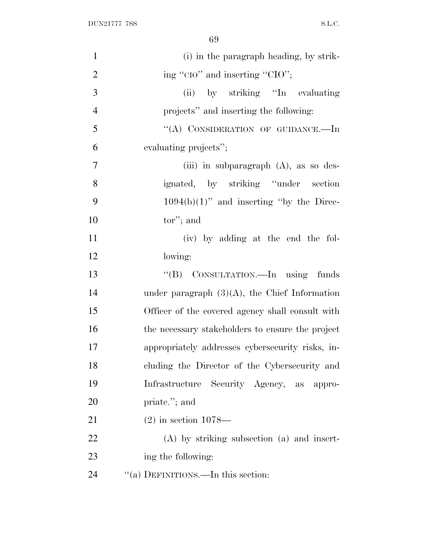| $\mathbf{1}$   | (i) in the paragraph heading, by strik-          |
|----------------|--------------------------------------------------|
| $\overline{2}$ | ing "CIO" and inserting "CIO";                   |
| 3              | by striking "In evaluating<br>(ii)               |
| $\overline{4}$ | projects" and inserting the following:           |
| 5              | "(A) CONSIDERATION OF GUIDANCE.-In               |
| 6              | evaluating projects";                            |
| $\overline{7}$ | (iii) in subparagraph $(A)$ , as so des-         |
| 8              | ignated, by striking "under section              |
| 9              | $1094(b)(1)$ " and inserting "by the Direc-      |
| 10             | $tor$ "; and                                     |
| 11             | (iv) by adding at the end the fol-               |
| 12             | lowing:                                          |
|                |                                                  |
| 13             | "(B) CONSULTATION.—In using funds                |
| 14             | under paragraph $(3)(A)$ , the Chief Information |
| 15             | Officer of the covered agency shall consult with |
| 16             | the necessary stakeholders to ensure the project |
| 17             | appropriately addresses cybersecurity risks, in- |
| 18             | cluding the Director of the Cybersecurity and    |
| 19             | Infrastructure Security Agency, as appro-        |
| 20             | priate."; and                                    |
| 21             | $(2)$ in section 1078—                           |
| 22             | $(A)$ by striking subsection $(a)$ and insert-   |
| 23             | ing the following:                               |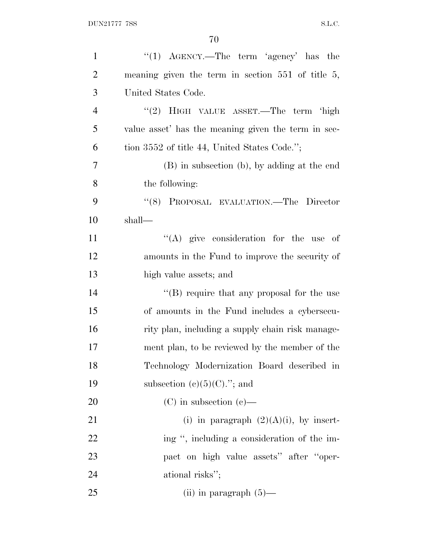| $\mathbf{1}$   | "(1) $\text{AGENCY.}$ —The term 'agency' has the       |
|----------------|--------------------------------------------------------|
| $\overline{2}$ | meaning given the term in section $551$ of title $5$ , |
| 3              | United States Code.                                    |
| $\overline{4}$ | "(2) HIGH VALUE ASSET.—The term 'high                  |
| 5              | value asset' has the meaning given the term in sec-    |
| 6              | tion 3552 of title 44, United States Code.";           |
| $\overline{7}$ | (B) in subsection (b), by adding at the end            |
| 8              | the following:                                         |
| 9              | "(8) PROPOSAL EVALUATION.—The Director                 |
| 10             | shall—                                                 |
| 11             | $\lq\lq$ (A) give consideration for the use of         |
| 12             | amounts in the Fund to improve the security of         |
| 13             | high value assets; and                                 |
| 14             | "(B) require that any proposal for the use             |
| 15             | of amounts in the Fund includes a cybersecu-           |
| 16             | rity plan, including a supply chain risk manage-       |
| 17             | ment plan, to be reviewed by the member of the         |
| 18             | Technology Modernization Board described in            |
| 19             | subsection $(e)(5)(C)$ ."; and                         |
| 20             | $(C)$ in subsection $(e)$ —                            |
| 21             | (i) in paragraph $(2)(A)(i)$ , by insert-              |
| 22             | ing ", including a consideration of the im-            |
| 23             | pact on high value assets" after "oper-                |
| 24             | ational risks";                                        |
| 25             | (ii) in paragraph $(5)$ —                              |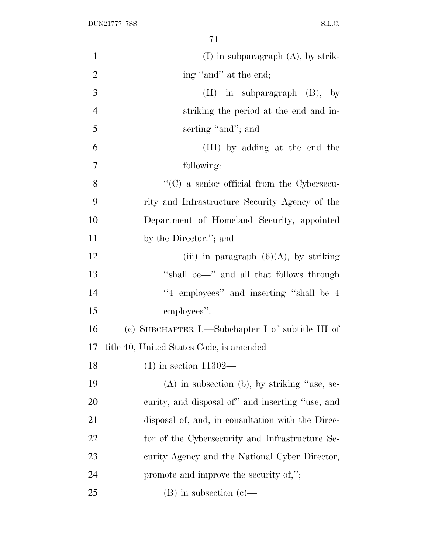| $\mathbf{1}$   | $(I)$ in subparagraph $(A)$ , by strik-            |
|----------------|----------------------------------------------------|
| $\overline{2}$ | ing "and" at the end;                              |
| 3              | $(II)$ in subparagraph $(B)$ , by                  |
| $\overline{4}$ | striking the period at the end and in-             |
| 5              | serting "and"; and                                 |
| 6              | (III) by adding at the end the                     |
| $\overline{7}$ | following:                                         |
| 8              | $\lq\lq$ (C) a senior official from the Cybersecu- |
| 9              | rity and Infrastructure Security Agency of the     |
| 10             | Department of Homeland Security, appointed         |
| 11             | by the Director."; and                             |
| 12             | (iii) in paragraph $(6)(A)$ , by striking          |
| 13             | "shall be-" and all that follows through           |
| 14             | "4 employees" and inserting "shall be 4            |
| 15             | employees".                                        |
| 16             | (c) SUBCHAPTER I.—Subchapter I of subtitle III of  |
| 17             | title 40, United States Code, is amended—          |
| 18             | $(1)$ in section 11302—                            |
| 19             | $(A)$ in subsection $(b)$ , by striking "use, se-  |
| 20             | curity, and disposal of" and inserting "use, and   |
| 21             | disposal of, and, in consultation with the Direc-  |
| 22             | tor of the Cybersecurity and Infrastructure Se-    |
| 23             | curity Agency and the National Cyber Director,     |
| 24             | promote and improve the security of,";             |
| 25             | $(B)$ in subsection $(e)$ —                        |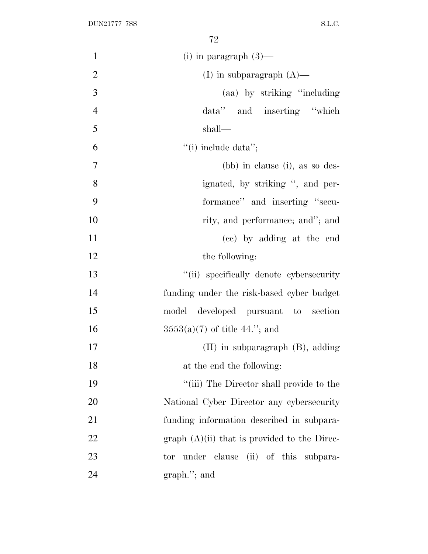| $\mathbf{1}$   | (i) in paragraph $(3)$ —                       |
|----------------|------------------------------------------------|
| $\overline{2}$ | (I) in subparagraph $(A)$ —                    |
| 3              | (aa) by striking "including"                   |
| $\overline{4}$ | data" and inserting "which                     |
| 5              | shall—                                         |
| 6              | $``(i)$ include data";                         |
| $\overline{7}$ | $(bb)$ in clause (i), as so des-               |
| 8              | ignated, by striking ", and per-               |
| 9              | formance" and inserting "secu-                 |
| 10             | rity, and performance; and"; and               |
| 11             | (cc) by adding at the end                      |
| 12             | the following:                                 |
| 13             | "(ii) specifically denote cybersecurity        |
| 14             | funding under the risk-based cyber budget      |
| 15             | model developed pursuant to section            |
| 16             | $3553(a)(7)$ of title 44."; and                |
| 17             | $(II)$ in subparagraph $(B)$ , adding          |
| 18             | at the end the following:                      |
| 19             | "(iii) The Director shall provide to the       |
| 20             | National Cyber Director any cybersecurity      |
| 21             | funding information described in subpara-      |
| 22             | graph $(A)(ii)$ that is provided to the Direc- |
| 23             | tor under clause (ii) of this subpara-         |
| 24             | $graph.'$ ; and                                |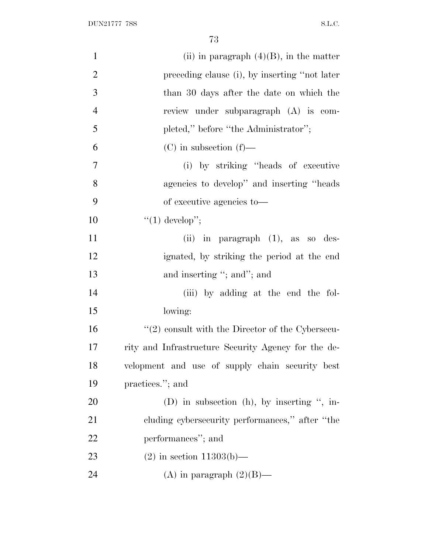| $\mathbf{1}$   | (ii) in paragraph $(4)(B)$ , in the matter           |
|----------------|------------------------------------------------------|
| $\overline{2}$ | preceding clause (i), by inserting "not later        |
| 3              | than 30 days after the date on which the             |
| $\overline{4}$ | review under subparagraph (A) is com-                |
| 5              | pleted," before "the Administrator";                 |
| 6              | $(C)$ in subsection $(f)$ —                          |
| $\tau$         | (i) by striking "heads of executive                  |
| 8              | agencies to develop" and inserting "heads"           |
| 9              | of executive agencies to—                            |
| 10             | " $(1)$ develop";                                    |
| 11             | (ii) in paragraph (1), as so des-                    |
| 12             | ignated, by striking the period at the end           |
| 13             | and inserting "; and"; and                           |
| 14             | (iii) by adding at the end the fol-                  |
| 15             | lowing:                                              |
| 16             | $\lq(2)$ consult with the Director of the Cybersecu- |
| 17             | rity and Infrastructure Security Agency for the de-  |
| 18             | velopment and use of supply chain security best      |
| 19             | practices."; and                                     |
| 20             | (D) in subsection (h), by inserting ", in-           |
| 21             | cluding cybersecurity performances," after "the      |
| 22             | performances"; and                                   |
| 23             | $(2)$ in section 11303(b)—                           |
| 24             | (A) in paragraph $(2)(B)$ —                          |
|                |                                                      |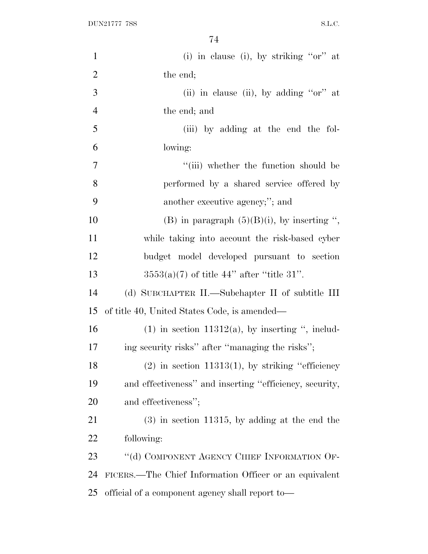| $\mathbf{1}$   | (i) in clause (i), by striking " $or$ " at              |
|----------------|---------------------------------------------------------|
| $\overline{2}$ | the end;                                                |
| 3              | (ii) in clause (ii), by adding " $or$ " at              |
| $\overline{4}$ | the end; and                                            |
| 5              | (iii) by adding at the end the fol-                     |
| 6              | lowing:                                                 |
| 7              | "(iii) whether the function should be                   |
| 8              | performed by a shared service offered by                |
| 9              | another executive agency;"; and                         |
| 10             | (B) in paragraph $(5)(B)(i)$ , by inserting ",          |
| 11             | while taking into account the risk-based cyber          |
| 12             | budget model developed pursuant to section              |
| 13             | $3553(a)(7)$ of title 44" after "title 31".             |
| 14             | (d) SUBCHAPTER II.—Subchapter II of subtitle III        |
| 15             | of title 40, United States Code, is amended—            |
| 16             | $(1)$ in section 11312(a), by inserting ", includ-      |
| 17             | ing security risks" after "managing the risks";         |
| 18             | $(2)$ in section 11313(1), by striking "efficiency      |
| 19             | and effectiveness" and inserting "efficiency, security, |
| 20             | and effectiveness";                                     |
| 21             | $(3)$ in section 11315, by adding at the end the        |
| 22             | following:                                              |
| 23             | "(d) COMPONENT AGENCY CHIEF INFORMATION OF-             |
| 24             | FICERS.—The Chief Information Officer or an equivalent  |
| 25             | official of a component agency shall report to-         |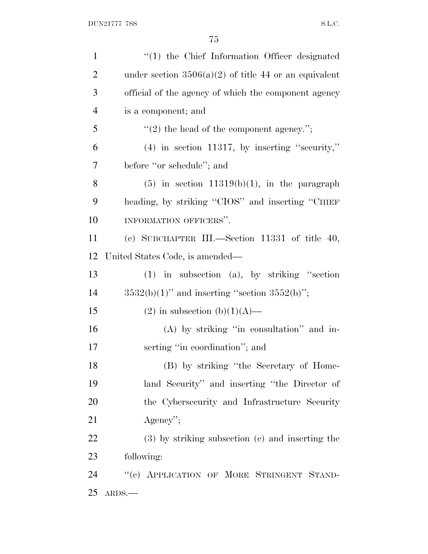| $\mathbf{1}$   | $\lq(1)$ the Chief Information Officer designated       |
|----------------|---------------------------------------------------------|
| $\overline{2}$ | under section $3506(a)(2)$ of title 44 or an equivalent |
| 3              | official of the agency of which the component agency    |
| $\overline{4}$ | is a component; and                                     |
| 5              | $"(2)$ the head of the component agency.";              |
| 6              | $(4)$ in section 11317, by inserting "security,"        |
| 7              | before "or schedule"; and                               |
| 8              | $(5)$ in section 11319(b)(1), in the paragraph          |
| 9              | heading, by striking "CIOS" and inserting "CHIEF        |
| 10             | INFORMATION OFFICERS".                                  |
| 11             | (e) SUBCHAPTER III.—Section 11331 of title $40$ ,       |
| 12             | United States Code, is amended—                         |
| 13             | $(1)$ in subsection $(a)$ , by striking "section        |
| 14             | $3532(b)(1)$ " and inserting "section $3552(b)$ ";      |
| 15             | $(2)$ in subsection $(b)(1)(A)$ —                       |
| 16             | (A) by striking "in consultation" and in-               |
| 17             | serting "in coordination"; and                          |
| 18             | (B) by striking "the Secretary of Home-                 |
| 19             | land Security" and inserting "the Director of           |
| 20             | the Cybersecurity and Infrastructure Security           |
| 21             | $Agency$ ";                                             |
| <u>22</u>      | $(3)$ by striking subsection $(c)$ and inserting the    |
| 23             | following:                                              |
| 24             | "(c) APPLICATION OF MORE STRINGENT STAND-               |
| 25             | $ARDS$ .                                                |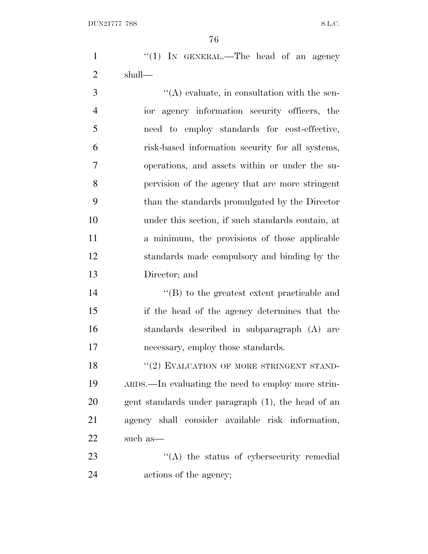1 "(1) IN GENERAL.—The head of an agency shall—

 $\mathcal{S}$  ''(A) evaluate, in consultation with the sen- ior agency information security officers, the need to employ standards for cost-effective, risk-based information security for all systems, operations, and assets within or under the su- pervision of the agency that are more stringent than the standards promulgated by the Director under this section, if such standards contain, at a minimum, the provisions of those applicable standards made compulsory and binding by the Director; and

 ''(B) to the greatest extent practicable and if the head of the agency determines that the standards described in subparagraph (A) are necessary, employ those standards.

18 "(2) EVALUATION OF MORE STRINGENT STAND- ARDS.—In evaluating the need to employ more strin- gent standards under paragraph (1), the head of an agency shall consider available risk information, such as—

23 ''(A) the status of cybersecurity remedial actions of the agency;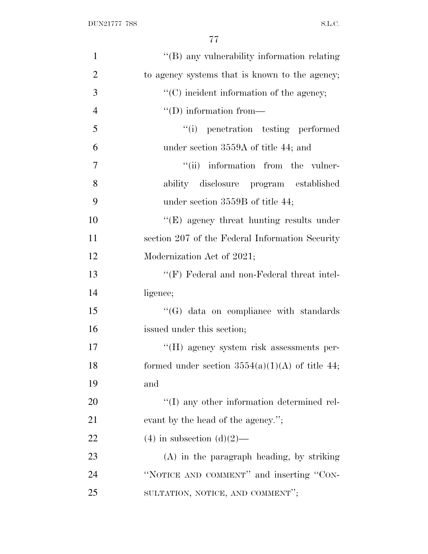| $\mathbf{1}$   | "(B) any vulnerability information relating        |
|----------------|----------------------------------------------------|
| $\overline{2}$ | to agency systems that is known to the agency;     |
| 3              | $\lq\lq$ incident information of the agency;       |
| $\overline{4}$ | $\lq\lq$ (D) information from—                     |
| 5              | "(i) penetration testing performed                 |
| 6              | under section 3559A of title 44; and               |
| $\overline{7}$ | "(ii) information from the vulner-                 |
| 8              | ability disclosure program established             |
| 9              | under section $3559B$ of title 44;                 |
| 10             | $\lq\lq(E)$ agency threat hunting results under    |
| 11             | section 207 of the Federal Information Security    |
| 12             | Modernization Act of 2021;                         |
| 13             | "(F) Federal and non-Federal threat intel-         |
| 14             | ligence;                                           |
| 15             | $\lq\lq(G)$ data on compliance with standards      |
| 16             | issued under this section;                         |
| 17             | "(H) agency system risk assessments per-           |
| 18             | formed under section $3554(a)(1)(A)$ of title 44;  |
| 19             | and                                                |
| 20             | $\lq\lq$ (I) any other information determined rel- |
| 21             | evant by the head of the agency.";                 |
| 22             | $(4)$ in subsection $(d)(2)$ —                     |
| 23             | (A) in the paragraph heading, by striking          |
| 24             | "NOTICE AND COMMENT" and inserting "CON-           |
| 25             | SULTATION, NOTICE, AND COMMENT";                   |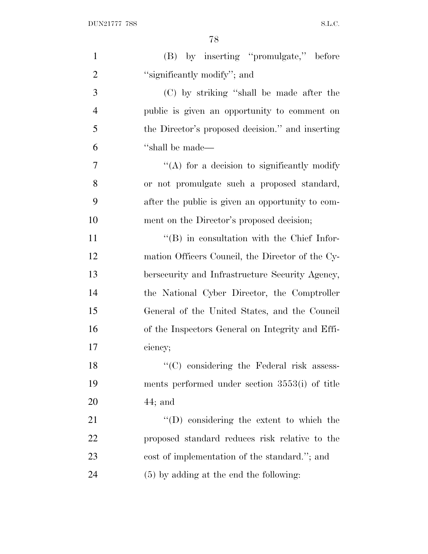| $\mathbf{1}$   | (B) by inserting "promulgate," before              |
|----------------|----------------------------------------------------|
| $\overline{2}$ | "significantly modify"; and                        |
| 3              | (C) by striking "shall be made after the           |
| $\overline{4}$ | public is given an opportunity to comment on       |
| 5              | the Director's proposed decision." and inserting   |
| 6              | "shall be made—                                    |
| 7              | "(A) for a decision to significantly modify        |
| 8              | or not promulgate such a proposed standard,        |
| 9              | after the public is given an opportunity to com-   |
| 10             | ment on the Director's proposed decision;          |
| 11             | $\lq\lq (B)$ in consultation with the Chief Infor- |
| 12             | mation Officers Council, the Director of the Cy-   |
| 13             | bersecurity and Infrastructure Security Agency,    |
| 14             | the National Cyber Director, the Comptroller       |
| 15             | General of the United States, and the Council      |
| 16             | of the Inspectors General on Integrity and Effi-   |
| 17             | ciency;                                            |
| 18             | "(C) considering the Federal risk assess-          |
| 19             | ments performed under section 3553(i) of title     |
| 20             | $44;$ and                                          |
| 21             | $\lq\lq$ considering the extent to which the       |
| 22             | proposed standard reduces risk relative to the     |
| 23             | cost of implementation of the standard."; and      |
| 24             | $(5)$ by adding at the end the following:          |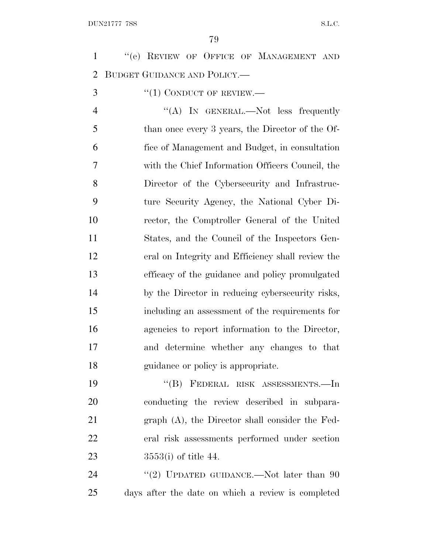| $\mathbf{1}$   | "(e) REVIEW OF OFFICE OF MANAGEMENT AND            |
|----------------|----------------------------------------------------|
| $\overline{2}$ | BUDGET GUIDANCE AND POLICY.                        |
| 3              | $``(1)$ CONDUCT OF REVIEW.—                        |
| $\overline{4}$ | "(A) IN GENERAL.—Not less frequently               |
| 5              | than once every 3 years, the Director of the Of-   |
| 6              | fice of Management and Budget, in consultation     |
| 7              | with the Chief Information Officers Council, the   |
| 8              | Director of the Cybersecurity and Infrastruc-      |
| 9              | ture Security Agency, the National Cyber Di-       |
| 10             | rector, the Comptroller General of the United      |
| 11             | States, and the Council of the Inspectors Gen-     |
| 12             | eral on Integrity and Efficiency shall review the  |
| 13             | efficacy of the guidance and policy promulgated    |
| 14             | by the Director in reducing cybersecurity risks,   |
| 15             | including an assessment of the requirements for    |
| 16             | agencies to report information to the Director,    |
| 17             | and determine whether any changes to that          |
| 18             | guidance or policy is appropriate.                 |
| 19             | "(B) FEDERAL RISK ASSESSMENTS.-In                  |
| 20             | conducting the review described in subpara-        |
| 21             | $graph(A)$ , the Director shall consider the Fed-  |
| 22             | eral risk assessments performed under section      |
| 23             | $3553(i)$ of title 44.                             |
| 24             | "(2) UPDATED GUIDANCE.—Not later than $90$         |
| 25             | days after the date on which a review is completed |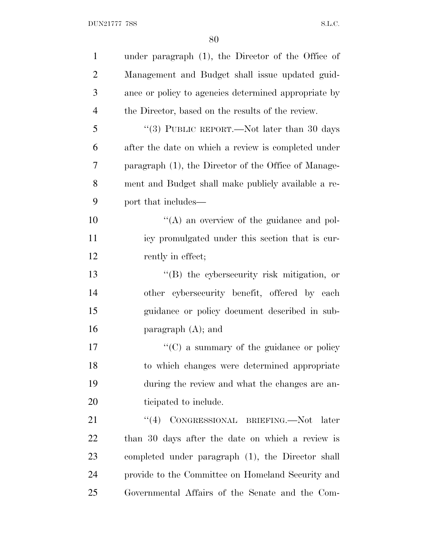| $\mathbf{1}$   | under paragraph $(1)$ , the Director of the Office of |
|----------------|-------------------------------------------------------|
| $\overline{2}$ | Management and Budget shall issue updated guid-       |
| 3              | ance or policy to agencies determined appropriate by  |
| $\overline{4}$ | the Director, based on the results of the review.     |
| 5              | "(3) PUBLIC REPORT.—Not later than 30 days            |
| 6              | after the date on which a review is completed under   |
| 7              | paragraph (1), the Director of the Office of Manage-  |
| 8              | ment and Budget shall make publicly available a re-   |
| 9              | port that includes—                                   |
| 10             | $\lq\lq$ an overview of the guidance and pol-         |
| 11             | icy promulgated under this section that is cur-       |
| 12             | rently in effect;                                     |
| 13             | $\lq\lq$ the cybersecurity risk mitigation, or        |
| 14             | other cybersecurity benefit, offered by each          |
| 15             | guidance or policy document described in sub-         |
| 16             | paragraph $(A)$ ; and                                 |
| 17             | $\lq\lq$ (C) a summary of the guidance or policy      |
| 18             | to which changes were determined appropriate          |
| 19             | during the review and what the changes are an-        |
| 20             | ticipated to include.                                 |
| 21             | CONGRESSIONAL BRIEFING.—Not later<br>(4)              |
| 22             | than 30 days after the date on which a review is      |
| 23             | completed under paragraph (1), the Director shall     |
| 24             | provide to the Committee on Homeland Security and     |
| 25             | Governmental Affairs of the Senate and the Com-       |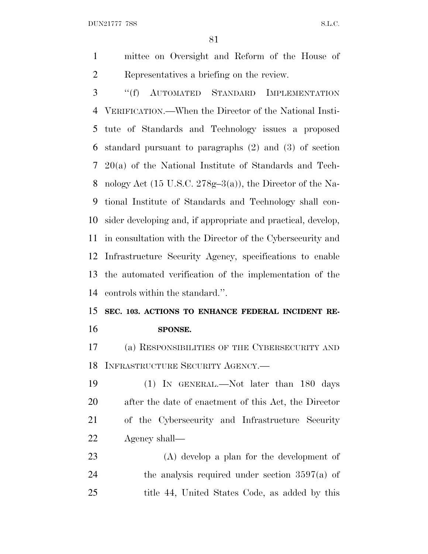DUN21777 7SS S.L.C.

 mittee on Oversight and Reform of the House of Representatives a briefing on the review.

 ''(f) AUTOMATED STANDARD IMPLEMENTATION VERIFICATION.—When the Director of the National Insti- tute of Standards and Technology issues a proposed standard pursuant to paragraphs (2) and (3) of section 20(a) of the National Institute of Standards and Tech- nology Act (15 U.S.C. 278g–3(a)), the Director of the Na- tional Institute of Standards and Technology shall con- sider developing and, if appropriate and practical, develop, in consultation with the Director of the Cybersecurity and Infrastructure Security Agency, specifications to enable the automated verification of the implementation of the controls within the standard.''.

# **SEC. 103. ACTIONS TO ENHANCE FEDERAL INCIDENT RE-SPONSE.**

 (a) RESPONSIBILITIES OF THE CYBERSECURITY AND INFRASTRUCTURE SECURITY AGENCY.—

 (1) IN GENERAL.—Not later than 180 days after the date of enactment of this Act, the Director of the Cybersecurity and Infrastructure Security Agency shall—

 (A) develop a plan for the development of 24 the analysis required under section  $3597(a)$  of title 44, United States Code, as added by this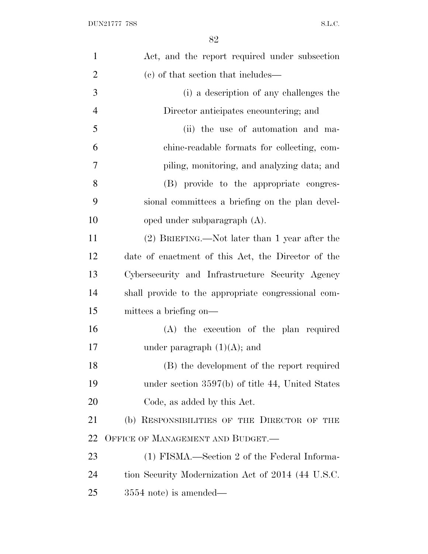| $\mathbf{1}$   | Act, and the report required under subsection       |
|----------------|-----------------------------------------------------|
| $\overline{2}$ | (c) of that section that includes—                  |
| 3              | (i) a description of any challenges the             |
| $\overline{4}$ | Director anticipates encountering; and              |
| 5              | (ii) the use of automation and ma-                  |
| 6              | chine-readable formats for collecting, com-         |
| 7              | piling, monitoring, and analyzing data; and         |
| 8              | (B) provide to the appropriate congres-             |
| 9              | sional committees a briefing on the plan devel-     |
| 10             | oped under subparagraph $(A)$ .                     |
| 11             | (2) BRIEFING.—Not later than 1 year after the       |
| 12             | date of enactment of this Act, the Director of the  |
| 13             | Cybersecurity and Infrastructure Security Agency    |
| 14             | shall provide to the appropriate congressional com- |
| 15             | mittees a briefing on—                              |
| 16             | (A) the execution of the plan required              |
| 17             | under paragraph $(1)(A)$ ; and                      |
| 18             | (B) the development of the report required          |
| 19             | under section $3597(b)$ of title 44, United States  |
| 20             | Code, as added by this Act.                         |
| 21             | (b) RESPONSIBILITIES OF THE DIRECTOR OF THE         |
| 22             | OFFICE OF MANAGEMENT AND BUDGET.—                   |
| 23             | (1) FISMA.—Section 2 of the Federal Informa-        |
| 24             | tion Security Modernization Act of 2014 (44 U.S.C.  |
| 25             | $3554$ note) is amended—                            |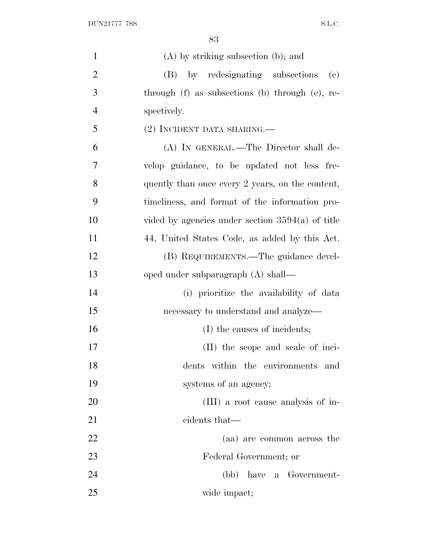| $\mathbf{1}$   | $(A)$ by striking subsection $(b)$ ; and                          |
|----------------|-------------------------------------------------------------------|
| $\overline{2}$ | by redesignating subsections<br>(B)<br>$\left( \mathrm{e}\right)$ |
| 3              | through (f) as subsections (b) through (e), re-                   |
| $\overline{4}$ | spectively.                                                       |
| 5              | (2) INCIDENT DATA SHARING.—                                       |
| 6              | (A) IN GENERAL.—The Director shall de-                            |
| 7              | velop guidance, to be updated not less fre-                       |
| 8              | quently than once every 2 years, on the content,                  |
| 9              | timeliness, and format of the information pro-                    |
| 10             | vided by agencies under section $3594(a)$ of title                |
| 11             | 44, United States Code, as added by this Act.                     |
| 12             | (B) REQUIREMENTS.—The guidance devel-                             |
| 13             | oped under subparagraph (A) shall—                                |
| 14             | (i) prioritize the availability of data                           |
| 15             | necessary to understand and analyze—                              |
| 16             | (I) the causes of incidents;                                      |
| 17             | (II) the scope and scale of inci-                                 |
| 18             | dents within the environments and                                 |
| 19             | systems of an agency;                                             |
| 20             | (III) a root cause analysis of in-                                |
| 21             | cidents that—                                                     |
| 22             | (aa) are common across the                                        |
| 23             | Federal Government; or                                            |
| 24             | (bb) have a Government-                                           |
| 25             | wide impact;                                                      |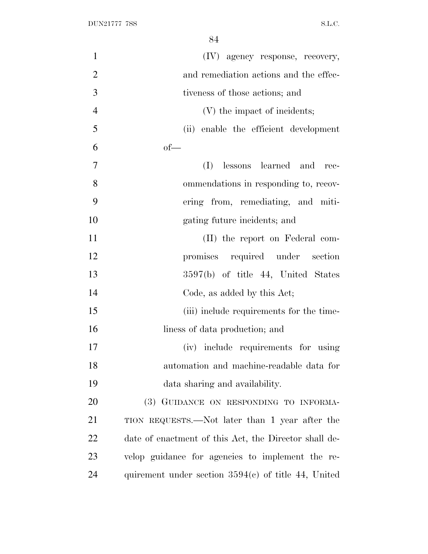| $\mathbf{1}$   | (IV) agency response, recovery,                       |
|----------------|-------------------------------------------------------|
| $\overline{2}$ | and remediation actions and the effec-                |
| 3              | tiveness of those actions; and                        |
| $\overline{4}$ | (V) the impact of incidents;                          |
| 5              | (ii) enable the efficient development                 |
| 6              | $of$ —                                                |
| $\tau$         | lessons learned and<br>(I)<br>rec-                    |
| 8              | ommendations in responding to, recov-                 |
| 9              | ering from, remediating, and miti-                    |
| 10             | gating future incidents; and                          |
| 11             | (II) the report on Federal com-                       |
| 12             | promises required under section                       |
| 13             | 3597(b) of title 44, United States                    |
| 14             | Code, as added by this Act;                           |
| 15             | (iii) include requirements for the time-              |
| 16             | liness of data production; and                        |
| 17             | (iv) include requirements for using                   |
| 18             | automation and machine-readable data for              |
| 19             | data sharing and availability.                        |
| 20             | (3) GUIDANCE ON RESPONDING TO INFORMA-                |
| 21             | TION REQUESTS.—Not later than 1 year after the        |
| 22             | date of enactment of this Act, the Director shall de- |
| 23             | velop guidance for agencies to implement the re-      |
| 24             | quirement under section $3594(c)$ of title 44, United |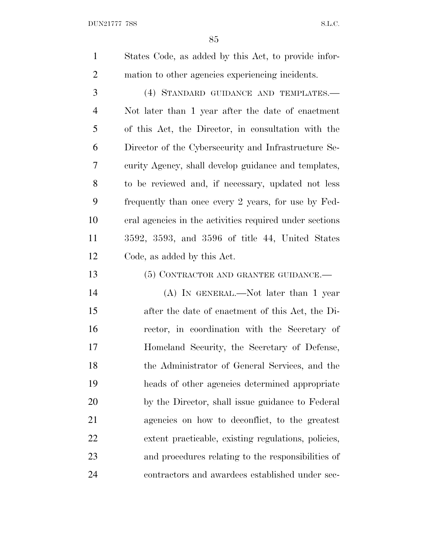DUN21777 7SS S.L.C.

 States Code, as added by this Act, to provide infor-mation to other agencies experiencing incidents.

 (4) STANDARD GUIDANCE AND TEMPLATES.— Not later than 1 year after the date of enactment of this Act, the Director, in consultation with the Director of the Cybersecurity and Infrastructure Se- curity Agency, shall develop guidance and templates, to be reviewed and, if necessary, updated not less frequently than once every 2 years, for use by Fed- eral agencies in the activities required under sections 3592, 3593, and 3596 of title 44, United States Code, as added by this Act.

13 (5) CONTRACTOR AND GRANTEE GUIDANCE.—

 (A) IN GENERAL.—Not later than 1 year after the date of enactment of this Act, the Di- rector, in coordination with the Secretary of Homeland Security, the Secretary of Defense, the Administrator of General Services, and the heads of other agencies determined appropriate by the Director, shall issue guidance to Federal agencies on how to deconflict, to the greatest extent practicable, existing regulations, policies, and procedures relating to the responsibilities of contractors and awardees established under sec-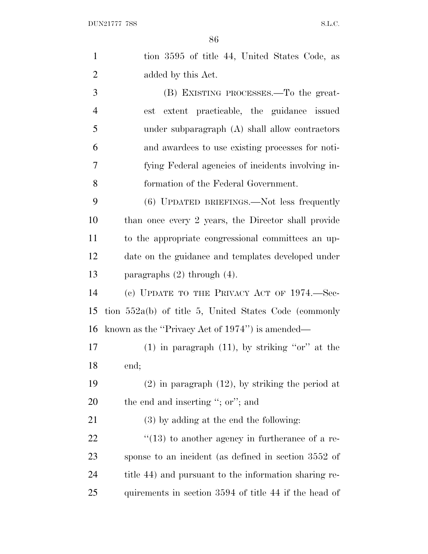| $\mathbf{1}$   | tion 3595 of title 44, United States Code, as           |
|----------------|---------------------------------------------------------|
| $\overline{2}$ | added by this Act.                                      |
| 3              | (B) EXISTING PROCESSES.—To the great-                   |
| $\overline{4}$ | est extent practicable, the guidance issued             |
| 5              | under subparagraph (A) shall allow contractors          |
| 6              | and awardees to use existing processes for noti-        |
| $\tau$         | fying Federal agencies of incidents involving in-       |
| 8              | formation of the Federal Government.                    |
| 9              | (6) UPDATED BRIEFINGS.—Not less frequently              |
| 10             | than once every 2 years, the Director shall provide     |
| 11             | to the appropriate congressional committees an up-      |
| 12             | date on the guidance and templates developed under      |
| 13             | paragraphs $(2)$ through $(4)$ .                        |
| 14             | (c) UPDATE TO THE PRIVACY ACT OF $1974$ . Sec-          |
| 15             | tion $552a(b)$ of title 5, United States Code (commonly |
| 16             | known as the "Privacy Act of 1974") is amended—         |
| 17             | $(1)$ in paragraph $(11)$ , by striking "or" at the     |
| 18             | end;                                                    |
| 19             | $(2)$ in paragraph $(12)$ , by striking the period at   |
| 20             | the end and inserting "; or"; and                       |
| 21             | $(3)$ by adding at the end the following:               |
| 22             | $\cdot$ (13) to another agency in furtherance of a re-  |
| 23             | sponse to an incident (as defined in section 3552 of    |
| 24             | title 44) and pursuant to the information sharing re-   |
| 25             | quirements in section 3594 of title 44 if the head of   |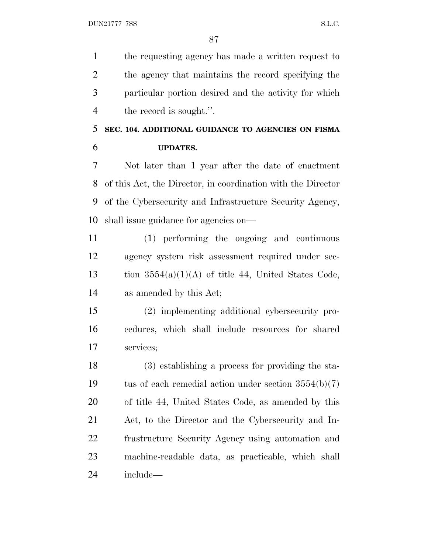the requesting agency has made a written request to the agency that maintains the record specifying the particular portion desired and the activity for which 4 the record is sought.".

### **SEC. 104. ADDITIONAL GUIDANCE TO AGENCIES ON FISMA UPDATES.**

 Not later than 1 year after the date of enactment of this Act, the Director, in coordination with the Director of the Cybersecurity and Infrastructure Security Agency, shall issue guidance for agencies on—

 (1) performing the ongoing and continuous agency system risk assessment required under sec-13 tion  $3554(a)(1)(A)$  of title 44, United States Code, as amended by this Act;

 (2) implementing additional cybersecurity pro- cedures, which shall include resources for shared services;

 (3) establishing a process for providing the sta-19 tus of each remedial action under section  $3554(b)(7)$  of title 44, United States Code, as amended by this Act, to the Director and the Cybersecurity and In- frastructure Security Agency using automation and machine-readable data, as practicable, which shall include—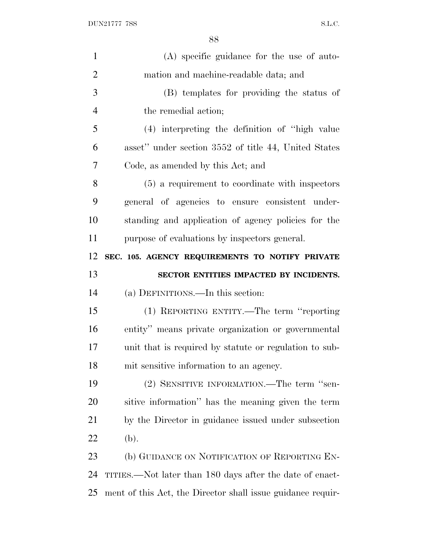| $\mathbf{1}$   | (A) specific guidance for the use of auto-               |
|----------------|----------------------------------------------------------|
| $\overline{2}$ | mation and machine-readable data; and                    |
| 3              | (B) templates for providing the status of                |
| $\overline{4}$ | the remedial action;                                     |
| 5              | (4) interpreting the definition of "high value"          |
| 6              | asset" under section 3552 of title 44, United States     |
| 7              | Code, as amended by this Act; and                        |
| 8              | (5) a requirement to coordinate with inspectors          |
| 9              | general of agencies to ensure consistent under-          |
| 10             | standing and application of agency policies for the      |
| 11             | purpose of evaluations by inspectors general.            |
| 12             | SEC. 105. AGENCY REQUIREMENTS TO NOTIFY PRIVATE          |
|                |                                                          |
| 13             | SECTOR ENTITIES IMPACTED BY INCIDENTS.                   |
| 14             | (a) DEFINITIONS.—In this section:                        |
| 15             | (1) REPORTING ENTITY.—The term "reporting                |
| 16             | entity" means private organization or governmental       |
| 17             | unit that is required by statute or regulation to sub-   |
| 18             | mit sensitive information to an agency.                  |
| 19             | (2) SENSITIVE INFORMATION.—The term "sen-                |
| 20             | sitive information" has the meaning given the term       |
| 21             | by the Director in guidance issued under subsection      |
| 22             | (b).                                                     |
| 23             | (b) GUIDANCE ON NOTIFICATION OF REPORTING EN-            |
| 24             | TITIES.—Not later than 180 days after the date of enact- |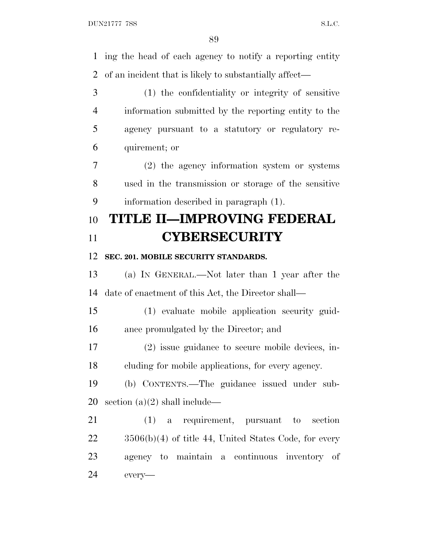ing the head of each agency to notify a reporting entity of an incident that is likely to substantially affect— (1) the confidentiality or integrity of sensitive information submitted by the reporting entity to the agency pursuant to a statutory or regulatory re- quirement; or (2) the agency information system or systems used in the transmission or storage of the sensitive information described in paragraph (1). **TITLE II—IMPROVING FEDERAL CYBERSECURITY SEC. 201. MOBILE SECURITY STANDARDS.** (a) I<sup>N</sup> GENERAL.—Not later than 1 year after the date of enactment of this Act, the Director shall— (1) evaluate mobile application security guid- ance promulgated by the Director; and (2) issue guidance to secure mobile devices, in- cluding for mobile applications, for every agency. (b) CONTENTS.—The guidance issued under sub- section (a)(2) shall include— (1) a requirement, pursuant to section 3506(b)(4) of title 44, United States Code, for every agency to maintain a continuous inventory of every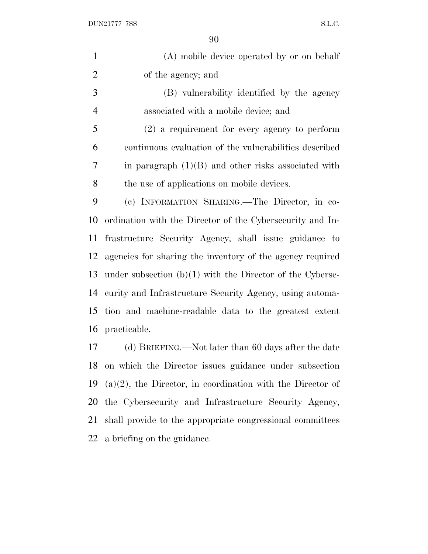$\begin{minipage}{.4\linewidth} \textbf{DUN21777} \textbf{7SS} \end{minipage}$ 

| $\mathbf{1}$   | (A) mobile device operated by or on behalf                    |
|----------------|---------------------------------------------------------------|
| $\overline{2}$ | of the agency; and                                            |
| 3              | (B) vulnerability identified by the agency                    |
| $\overline{4}$ | associated with a mobile device; and                          |
| 5              | $(2)$ a requirement for every agency to perform               |
| 6              | continuous evaluation of the vulnerabilities described        |
| 7              | in paragraph $(1)(B)$ and other risks associated with         |
| 8              | the use of applications on mobile devices.                    |
| 9              | (c) INFORMATION SHARING. The Director, in co-                 |
| 10             | ordination with the Director of the Cybersecurity and In-     |
| 11             | frastructure Security Agency, shall issue guidance to         |
| 12             | agencies for sharing the inventory of the agency required     |
| 13             | under subsection $(b)(1)$ with the Director of the Cyberse-   |
| 14             | curity and Infrastructure Security Agency, using automa-      |
| 15             | tion and machine-readable data to the greatest extent         |
| 16             | practicable.                                                  |
| 17             | (d) BRIEFING.—Not later than 60 days after the date           |
| 18             | on which the Director issues guidance under subsection        |
| 19             | $(a)(2)$ , the Director, in coordination with the Director of |
| 20             | the Cybersecurity and Infrastructure Security Agency,         |
| 21             | shall provide to the appropriate congressional committees     |
| 22             | a briefing on the guidance.                                   |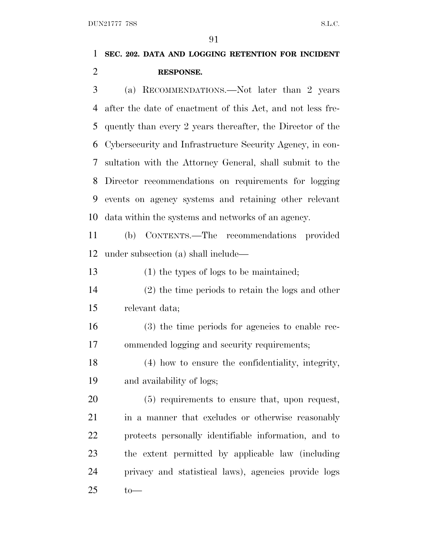# **SEC. 202. DATA AND LOGGING RETENTION FOR INCIDENT RESPONSE.**

 (a) RECOMMENDATIONS.—Not later than 2 years after the date of enactment of this Act, and not less fre- quently than every 2 years thereafter, the Director of the Cybersecurity and Infrastructure Security Agency, in con- sultation with the Attorney General, shall submit to the Director recommendations on requirements for logging events on agency systems and retaining other relevant data within the systems and networks of an agency.

 (b) CONTENTS.—The recommendations provided under subsection (a) shall include—

(1) the types of logs to be maintained;

 (2) the time periods to retain the logs and other relevant data;

 (3) the time periods for agencies to enable rec-ommended logging and security requirements;

 (4) how to ensure the confidentiality, integrity, and availability of logs;

 (5) requirements to ensure that, upon request, 21 in a manner that excludes or otherwise reasonably protects personally identifiable information, and to the extent permitted by applicable law (including privacy and statistical laws), agencies provide logs to  $-$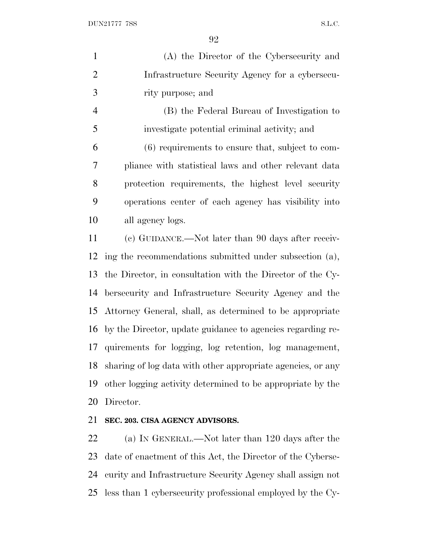$\Omega$ 

|                | УZ                                                          |
|----------------|-------------------------------------------------------------|
| $\mathbf{1}$   | (A) the Director of the Cybersecurity and                   |
| $\overline{2}$ | Infrastructure Security Agency for a cybersecu-             |
| 3              | rity purpose; and                                           |
| $\overline{4}$ | (B) the Federal Bureau of Investigation to                  |
| 5              | investigate potential criminal activity; and                |
| 6              | (6) requirements to ensure that, subject to com-            |
| 7              | pliance with statistical laws and other relevant data       |
| 8              | protection requirements, the highest level security         |
| 9              | operations center of each agency has visibility into        |
| 10             | all agency logs.                                            |
| 11             | (c) GUIDANCE.—Not later than 90 days after receiv-          |
| 12             | ing the recommendations submitted under subsection (a),     |
| 13             | the Director, in consultation with the Director of the Cy-  |
| 14             | bersecurity and Infrastructure Security Agency and the      |
| 15             | Attorney General, shall, as determined to be appropriate    |
| 16             | by the Director, update guidance to agencies regarding re-  |
| 17             | quirements for logging, log retention, log management,      |
| 18             | sharing of log data with other appropriate agencies, or any |
| 19             | other logging activity determined to be appropriate by the  |
| 20             | Director.                                                   |
| 21             | SEC. 203. CISA AGENCY ADVISORS.                             |
| 22             | (a) IN GENERAL.—Not later than 120 days after the           |

 date of enactment of this Act, the Director of the Cyberse- curity and Infrastructure Security Agency shall assign not less than 1 cybersecurity professional employed by the Cy-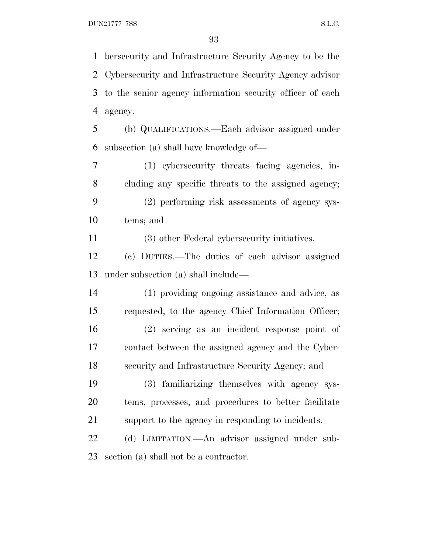bersecurity and Infrastructure Security Agency to be the Cybersecurity and Infrastructure Security Agency advisor to the senior agency information security officer of each agency. (b) QUALIFICATIONS.—Each advisor assigned under

subsection (a) shall have knowledge of—

 (1) cybersecurity threats facing agencies, in- cluding any specific threats to the assigned agency; (2) performing risk assessments of agency sys-tems; and

(3) other Federal cybersecurity initiatives.

 (c) DUTIES.—The duties of each advisor assigned under subsection (a) shall include—

 (1) providing ongoing assistance and advice, as requested, to the agency Chief Information Officer; (2) serving as an incident response point of contact between the assigned agency and the Cyber-security and Infrastructure Security Agency; and

 (3) familiarizing themselves with agency sys- tems, processes, and procedures to better facilitate support to the agency in responding to incidents.

 (d) LIMITATION.—An advisor assigned under sub-section (a) shall not be a contractor.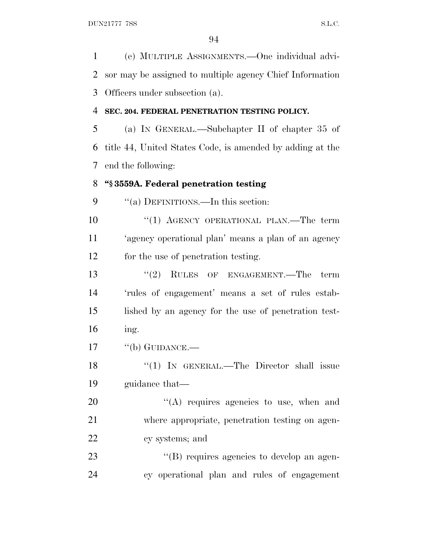(e) MULTIPLE ASSIGNMENTS.—One individual advi- sor may be assigned to multiple agency Chief Information Officers under subsection (a).

#### **SEC. 204. FEDERAL PENETRATION TESTING POLICY.**

 (a) I<sup>N</sup> GENERAL.—Subchapter II of chapter 35 of title 44, United States Code, is amended by adding at the end the following:

#### **''§ 3559A. Federal penetration testing**

9 "(a) DEFINITIONS.—In this section:

10 "(1) AGENCY OPERATIONAL PLAN.—The term 'agency operational plan' means a plan of an agency for the use of penetration testing.

13 ''(2) RULES OF ENGAGEMENT.—The term 'rules of engagement' means a set of rules estab- lished by an agency for the use of penetration test-ing.

17 "(b) GUIDANCE.—

18 "(1) In GENERAL.—The Director shall issue guidance that—

20  $\langle (A)$  requires agencies to use, when and where appropriate, penetration testing on agen-cy systems; and

23  $\langle (B)$  requires agencies to develop an agen-cy operational plan and rules of engagement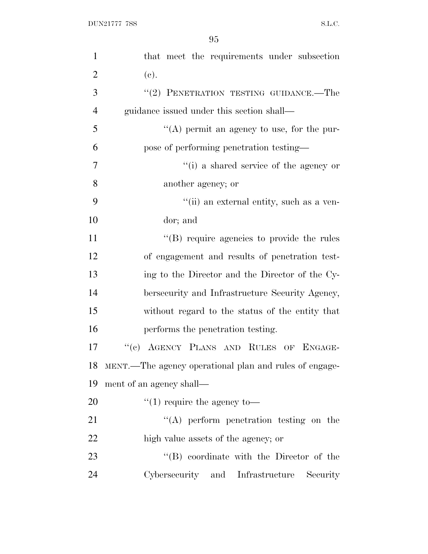| $\mathbf{1}$   | that meet the requirements under subsection               |
|----------------|-----------------------------------------------------------|
| $\overline{2}$ | (e).                                                      |
| 3              | "(2) PENETRATION TESTING GUIDANCE.-The                    |
| $\overline{4}$ | guidance issued under this section shall—                 |
| 5              | "(A) permit an agency to use, for the pur-                |
| 6              | pose of performing penetration testing—                   |
| 7              | "(i) a shared service of the agency or                    |
| 8              | another agency; or                                        |
| 9              | "(ii) an external entity, such as a ven-                  |
| 10             | dor; and                                                  |
| 11             | "(B) require agencies to provide the rules                |
| 12             | of engagement and results of penetration test-            |
| 13             | ing to the Director and the Director of the Cy-           |
| 14             | bersecurity and Infrastructure Security Agency,           |
| 15             | without regard to the status of the entity that           |
| 16             | performs the penetration testing.                         |
| 17             | "(c) AGENCY PLANS AND RULES OF ENGAGE-                    |
|                | 18 MENT.—The agency operational plan and rules of engage- |
| 19             | ment of an agency shall—                                  |
| 20             | $\lq(1)$ require the agency to —                          |
| 21             | "(A) perform penetration testing on the                   |
| 22             | high value assets of the agency; or                       |
| 23             | "(B) coordinate with the Director of the                  |
| 24             | Cybersecurity and Infrastructure<br>Security              |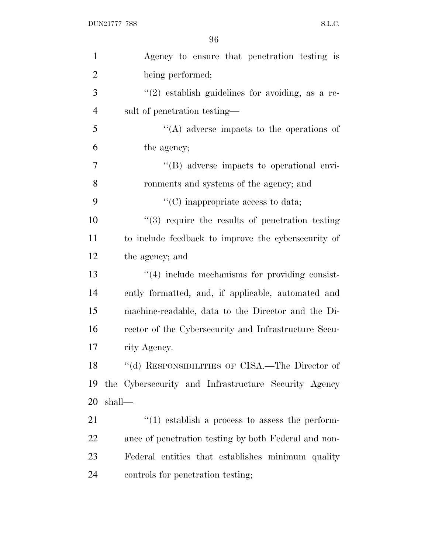| $\mathbf{1}$   | Agency to ensure that penetration testing is           |
|----------------|--------------------------------------------------------|
| $\overline{2}$ | being performed;                                       |
| 3              | $\lq(2)$ establish guidelines for avoiding, as a re-   |
| $\overline{4}$ | sult of penetration testing—                           |
| 5              | $\lq\lq$ adverse impacts to the operations of          |
| 6              | the agency;                                            |
| $\overline{7}$ | "(B) adverse impacts to operational envi-              |
| 8              | ronments and systems of the agency; and                |
| 9              | $\lq\lq$ (C) inappropriate access to data;             |
| 10             | $(3)$ require the results of penetration testing       |
| 11             | to include feedback to improve the cybersecurity of    |
| 12             | the agency; and                                        |
| 13             | $\lq(4)$ include mechanisms for providing consist-     |
| 14             | ently formatted, and, if applicable, automated and     |
| 15             | machine-readable, data to the Director and the Di-     |
| 16             | rector of the Cybersecurity and Infrastructure Secu-   |
| 17             | rity Agency.                                           |
| 18             | "(d) RESPONSIBILITIES OF CISA.—The Director of         |
| 19             | the Cybersecurity and Infrastructure Security Agency   |
| 20             | shall—                                                 |
| 21             | $\cdot$ (1) establish a process to assess the perform- |
| 22             | ance of penetration testing by both Federal and non-   |
| 23             | Federal entities that establishes minimum quality      |
| 24             | controls for penetration testing;                      |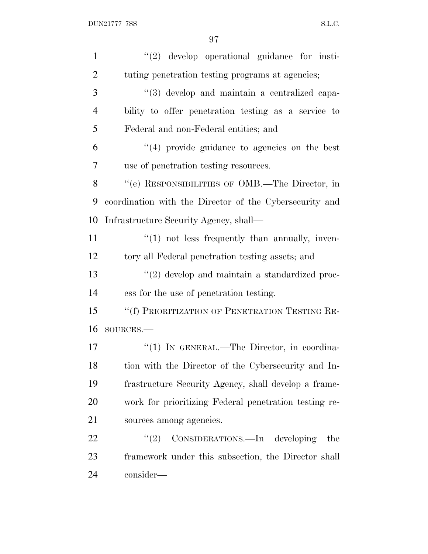| $\mathbf{1}$   | "(2) develop operational guidance for insti-            |
|----------------|---------------------------------------------------------|
| $\overline{2}$ | tuting penetration testing programs at agencies;        |
| 3              | "(3) develop and maintain a centralized capa-           |
| $\overline{4}$ | bility to offer penetration testing as a service to     |
| 5              | Federal and non-Federal entities; and                   |
| 6              | $(4)$ provide guidance to agencies on the best          |
| 7              | use of penetration testing resources.                   |
| 8              | "(e) RESPONSIBILITIES OF OMB.—The Director, in          |
| 9              | coordination with the Director of the Cybersecurity and |
| 10             | Infrastructure Security Agency, shall—                  |
| 11             | $\lq(1)$ not less frequently than annually, inven-      |
| 12             | tory all Federal penetration testing assets; and        |
| 13             | $\lq(2)$ develop and maintain a standardized proc-      |
| 14             | ess for the use of penetration testing.                 |
| 15             | "(f) PRIORITIZATION OF PENETRATION TESTING RE-          |
| 16             | SOURCES.-                                               |
| 17             | "(1) IN GENERAL.—The Director, in coordina-             |
| 18             | tion with the Director of the Cybersecurity and In-     |
| 19             | frastructure Security Agency, shall develop a frame-    |
| 20             | work for prioritizing Federal penetration testing re-   |
| 21             | sources among agencies.                                 |
| 22             | CONSIDERATIONS.—In developing<br>(2)<br>the             |
| 23             | framework under this subsection, the Director shall     |
| 24             | consider—                                               |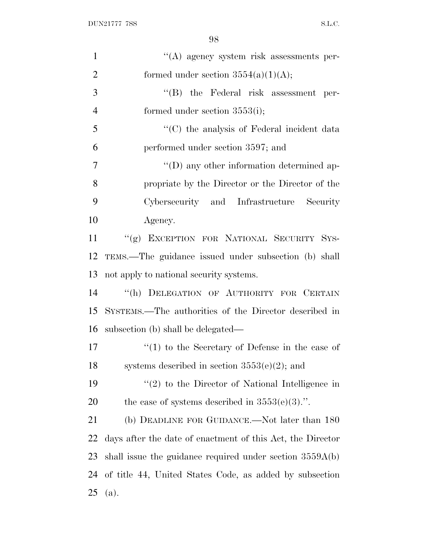| $\mathbf{1}$   | $\lq\lq(A)$ agency system risk assessments per-            |
|----------------|------------------------------------------------------------|
| $\overline{2}$ | formed under section $3554(a)(1)(A);$                      |
| 3              | $\lq\lq$ the Federal risk assessment per-                  |
| $\overline{4}$ | formed under section $3553(i)$ ;                           |
| 5              | "(C) the analysis of Federal incident data                 |
| 6              | performed under section 3597; and                          |
| 7              | $\lq\lq$ (D) any other information determined ap-          |
| 8              | propriate by the Director or the Director of the           |
| 9              | Cybersecurity and Infrastructure Security                  |
| 10             | Agency.                                                    |
| 11             | "(g) EXCEPTION FOR NATIONAL SECURITY SYS-                  |
| 12             | TEMS.—The guidance issued under subsection (b) shall       |
| 13             | not apply to national security systems.                    |
| 14             | "(h) DELEGATION OF AUTHORITY FOR CERTAIN                   |
| 15             | SYSTEMS.—The authorities of the Director described in      |
| 16             | subsection (b) shall be delegated—                         |
| 17             | $f'(1)$ to the Secretary of Defense in the case of         |
| 18             | systems described in section $3553(e)(2)$ ; and            |
| 19             | $\lq(2)$ to the Director of National Intelligence in       |
| <b>20</b>      | the case of systems described in $3553(e)(3)$ .".          |
| 21             | (b) DEADLINE FOR GUIDANCE.—Not later than 180              |
| 22             | days after the date of enactment of this Act, the Director |
| 23             | shall issue the guidance required under section $3559A(b)$ |
| 24             | of title 44, United States Code, as added by subsection    |
| 25             | (a).                                                       |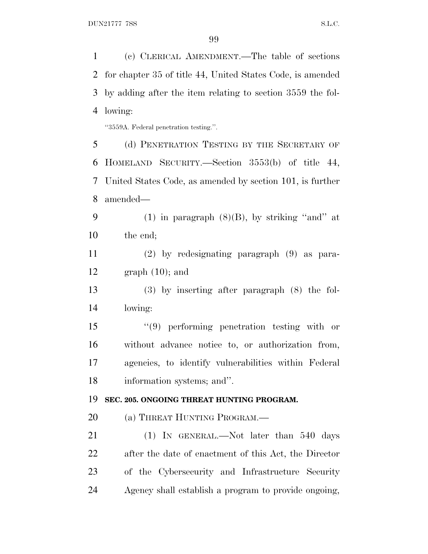(c) CLERICAL AMENDMENT.—The table of sections for chapter 35 of title 44, United States Code, is amended by adding after the item relating to section 3559 the fol- lowing: ''3559A. Federal penetration testing.''. (d) PENETRATION TESTING BY THE SECRETARY OF HOMELAND SECURITY.—Section 3553(b) of title 44, United States Code, as amended by section 101, is further amended— 9 (1) in paragraph  $(8)(B)$ , by striking "and" at the end; (2) by redesignating paragraph (9) as para-12 graph  $(10)$ ; and (3) by inserting after paragraph (8) the fol- lowing: ''(9) performing penetration testing with or without advance notice to, or authorization from, agencies, to identify vulnerabilities within Federal information systems; and''. **SEC. 205. ONGOING THREAT HUNTING PROGRAM.** 20 (a) THREAT HUNTING PROGRAM.— (1) IN GENERAL.—Not later than 540 days after the date of enactment of this Act, the Director of the Cybersecurity and Infrastructure Security Agency shall establish a program to provide ongoing,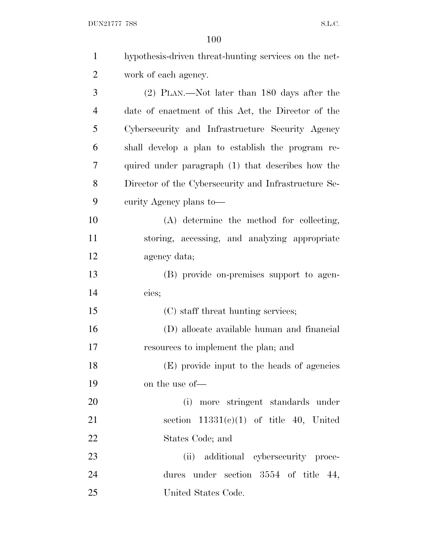$\begin{minipage}{.4\linewidth} \textbf{DUN21777} \textbf{7SS} \end{minipage}$ 

| $\mathbf{1}$   | hypothesis-driven threat-hunting services on the net- |
|----------------|-------------------------------------------------------|
| $\overline{2}$ | work of each agency.                                  |
| 3              | (2) PLAN.—Not later than 180 days after the           |
| $\overline{4}$ | date of enactment of this Act, the Director of the    |
| 5              | Cybersecurity and Infrastructure Security Agency      |
| 6              | shall develop a plan to establish the program re-     |
| 7              | quired under paragraph (1) that describes how the     |
| 8              | Director of the Cybersecurity and Infrastructure Se-  |
| 9              | curity Agency plans to—                               |
| 10             | (A) determine the method for collecting,              |
| 11             | storing, accessing, and analyzing appropriate         |
| 12             | agency data;                                          |
| 13             | (B) provide on-premises support to agen-              |
| 14             | cies;                                                 |
| 15             | (C) staff threat hunting services;                    |
| 16             | (D) allocate available human and financial            |
| 17             | resources to implement the plan; and                  |
| 18             | (E) provide input to the heads of agencies            |
| 19             | on the use of—                                        |
| 20             | (i) more stringent standards under                    |
| 21             | section $11331(e)(1)$ of title 40, United             |
| 22             | States Code; and                                      |
| 23             | (ii) additional cybersecurity proce-                  |
| 24             | dures under section $3554$ of title 44,               |
| 25             | United States Code.                                   |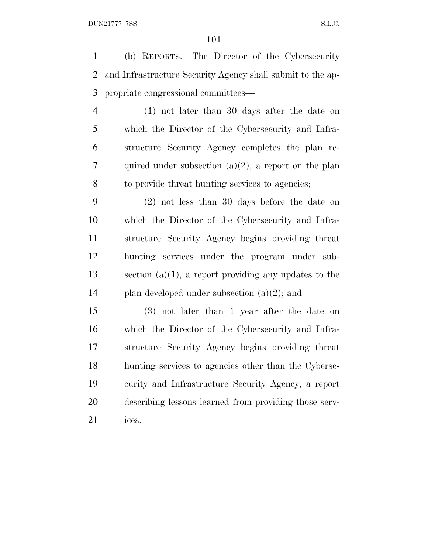(b) REPORTS.—The Director of the Cybersecurity and Infrastructure Security Agency shall submit to the ap-propriate congressional committees—

 (1) not later than 30 days after the date on which the Director of the Cybersecurity and Infra- structure Security Agency completes the plan re-7 quired under subsection  $(a)(2)$ , a report on the plan to provide threat hunting services to agencies;

 (2) not less than 30 days before the date on which the Director of the Cybersecurity and Infra- structure Security Agency begins providing threat hunting services under the program under sub- section (a)(1), a report providing any updates to the 14 plan developed under subsection  $(a)(2)$ ; and

 (3) not later than 1 year after the date on which the Director of the Cybersecurity and Infra- structure Security Agency begins providing threat hunting services to agencies other than the Cyberse- curity and Infrastructure Security Agency, a report describing lessons learned from providing those serv-ices.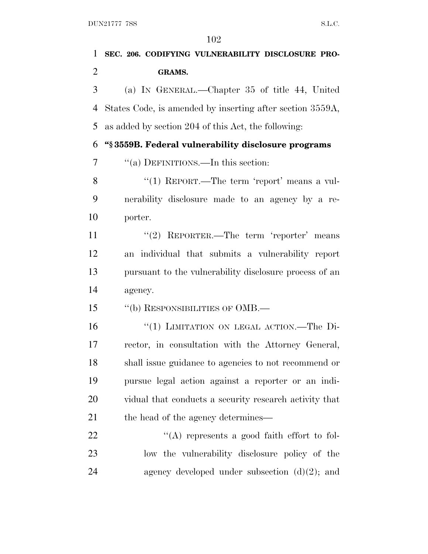| 1              | SEC. 206. CODIFYING VULNERABILITY DISCLOSURE PRO-         |
|----------------|-----------------------------------------------------------|
| $\overline{2}$ | <b>GRAMS.</b>                                             |
| 3              | (a) IN GENERAL.—Chapter 35 of title 44, United            |
| 4              | States Code, is amended by inserting after section 3559A, |
| 5              | as added by section 204 of this Act, the following:       |
| 6              | "§3559B. Federal vulnerability disclosure programs        |
| 7              | "(a) DEFINITIONS.—In this section:                        |
| 8              | "(1) REPORT.—The term 'report' means a vul-               |
| 9              | nerability disclosure made to an agency by a re-          |
| 10             | porter.                                                   |
| 11             | "(2) REPORTER.—The term 'reporter' means                  |
| 12             | an individual that submits a vulnerability report         |
| 13             | pursuant to the vulnerability disclosure process of an    |
| 14             | agency.                                                   |
| 15             | "(b) RESPONSIBILITIES OF OMB.-                            |
| 16             | "(1) LIMITATION ON LEGAL ACTION.—The Di-                  |
| 17             | rector, in consultation with the Attorney General,        |
| 18             | shall issue guidance to agencies to not recommend or      |
| 19             | pursue legal action against a reporter or an indi-        |
| 20             | vidual that conducts a security research activity that    |
| 21             | the head of the agency determines—                        |
| 22             | "(A) represents a good faith effort to fol-               |
| 23             | low the vulnerability disclosure policy of the            |
| 24             | agency developed under subsection $(d)(2)$ ; and          |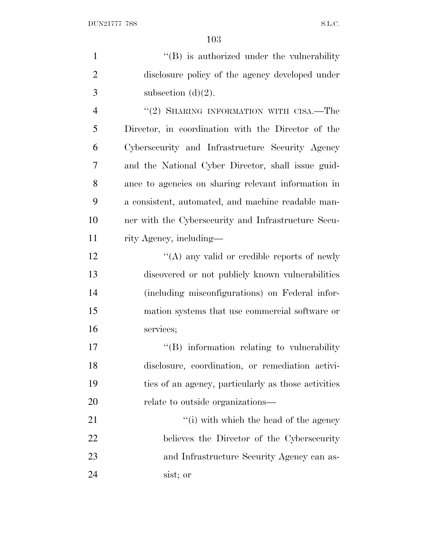1 ''(B) is authorized under the vulnerability disclosure policy of the agency developed under 3 subsection  $(d)(2)$ . 4 "(2) SHARING INFORMATION WITH CISA.—The Director, in coordination with the Director of the Cybersecurity and Infrastructure Security Agency and the National Cyber Director, shall issue guid- ance to agencies on sharing relevant information in a consistent, automated, and machine readable man- ner with the Cybersecurity and Infrastructure Secu- rity Agency, including— 12 ''(A) any valid or credible reports of newly discovered or not publicly known vulnerabilities (including misconfigurations) on Federal infor- mation systems that use commercial software or services;  $\text{``(B)}$  information relating to vulnerability disclosure, coordination, or remediation activi- ties of an agency, particularly as those activities relate to outside organizations— 21 ''(i) with which the head of the agency believes the Director of the Cybersecurity and Infrastructure Security Agency can as-sist; or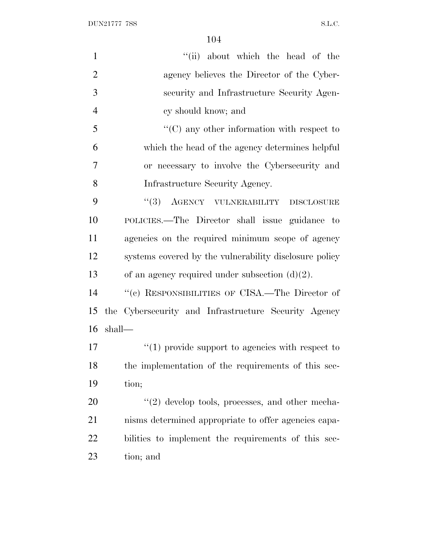| $\mathbf{1}$   | "(ii) about which the head of the                      |
|----------------|--------------------------------------------------------|
| $\overline{2}$ | agency believes the Director of the Cyber-             |
| 3              | security and Infrastructure Security Agen-             |
| $\overline{4}$ | cy should know; and                                    |
| 5              | $\lq\lq$ (C) any other information with respect to     |
| 6              | which the head of the agency determines helpful        |
| $\overline{7}$ | or necessary to involve the Cybersecurity and          |
| 8              | Infrastructure Security Agency.                        |
| 9              | "(3) AGENCY VULNERABILITY DISCLOSURE                   |
| 10             | POLICIES.—The Director shall issue guidance to         |
| 11             | agencies on the required minimum scope of agency       |
| 12             | systems covered by the vulnerability disclosure policy |
| 13             | of an agency required under subsection $(d)(2)$ .      |
| 14             | "(c) RESPONSIBILITIES OF CISA.—The Director of         |
| 15             | the Cybersecurity and Infrastructure Security Agency   |
| 16             | shall-                                                 |
| 17             | $\lq(1)$ provide support to agencies with respect to   |
| 18             | the implementation of the requirements of this sec-    |
| 19             | tion;                                                  |
| 20             | $\lq(2)$ develop tools, processes, and other mecha-    |
| 21             | nisms determined appropriate to offer agencies capa-   |
| 22             | bilities to implement the requirements of this sec-    |
| 23             | tion; and                                              |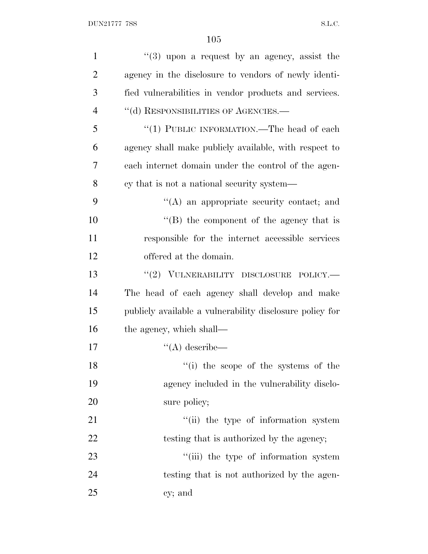| $\mathbf{1}$   | $(3)$ upon a request by an agency, assist the            |
|----------------|----------------------------------------------------------|
| $\overline{2}$ | agency in the disclosure to vendors of newly identi-     |
| 3              | fied vulnerabilities in vendor products and services.    |
| $\overline{4}$ | "(d) RESPONSIBILITIES OF AGENCIES.—                      |
| 5              | "(1) PUBLIC INFORMATION.—The head of each                |
| 6              | agency shall make publicly available, with respect to    |
| $\overline{7}$ | each internet domain under the control of the agen-      |
| 8              | cy that is not a national security system—               |
| 9              | "(A) an appropriate security contact; and                |
| 10             | $\lq\lq$ the component of the agency that is             |
| 11             | responsible for the internet accessible services         |
| 12             | offered at the domain.                                   |
| 13             | "(2) VULNERABILITY DISCLOSURE POLICY.-                   |
| 14             | The head of each agency shall develop and make           |
| 15             | publicly available a vulnerability disclosure policy for |
| 16             | the agency, which shall—                                 |
| 17             | $\lq\lq (A)$ describe—                                   |
| 18             | "(i) the scope of the systems of the                     |
| 19             | agency included in the vulnerability disclo-             |
| 20             | sure policy;                                             |
| 21             | "(ii) the type of information system                     |
| 22             | testing that is authorized by the agency;                |
| 23             | "(iii) the type of information system                    |
| 24             | testing that is not authorized by the agen-              |
| 25             | cy; and                                                  |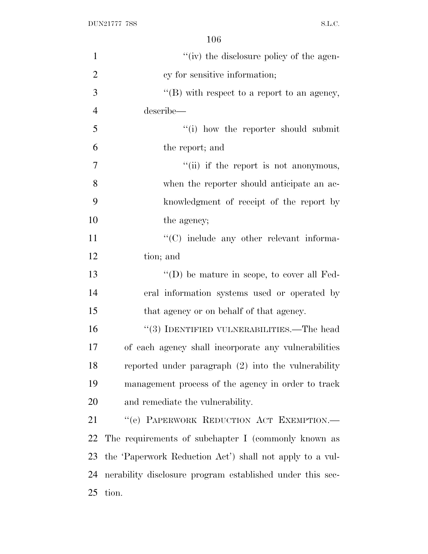| $\mathbf{1}$   | "(iv) the disclosure policy of the agen-                  |
|----------------|-----------------------------------------------------------|
| $\overline{2}$ | cy for sensitive information;                             |
| 3              | "(B) with respect to a report to an agency,               |
| $\overline{4}$ | describe—                                                 |
| 5              | "(i) how the reporter should submit                       |
| 6              | the report; and                                           |
| $\tau$         | "(ii) if the report is not anonymous,                     |
| 8              | when the reporter should anticipate an ac-                |
| 9              | knowledgment of receipt of the report by                  |
| 10             | the agency;                                               |
| 11             | "(C) include any other relevant informa-                  |
| 12             | tion; and                                                 |
| 13             | $\lq\lq$ (D) be mature in scope, to cover all Fed-        |
| 14             | eral information systems used or operated by              |
| 15             | that agency or on behalf of that agency.                  |
| 16             | $\cdot$ (3) IDENTIFIED VULNERABILITIES.—The head          |
| 17             | of each agency shall incorporate any vulnerabilities      |
| 18             | reported under paragraph (2) into the vulnerability       |
| 19             | management process of the agency in order to track        |
| 20             | and remediate the vulnerability.                          |
| 21             | "(e) PAPERWORK REDUCTION ACT EXEMPTION.-                  |
| 22             | The requirements of subchapter I (commonly known as       |
| 23             | the 'Paperwork Reduction Act') shall not apply to a vul-  |
| 24             | nerability disclosure program established under this sec- |
| 25             | tion.                                                     |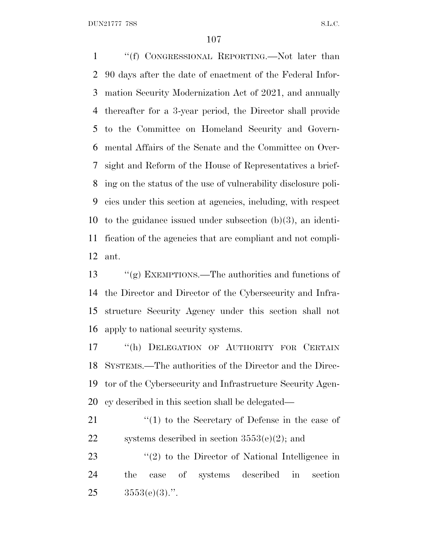DUN21777 7SS S.L.C.

 ''(f) CONGRESSIONAL REPORTING.—Not later than 90 days after the date of enactment of the Federal Infor- mation Security Modernization Act of 2021, and annually thereafter for a 3-year period, the Director shall provide to the Committee on Homeland Security and Govern- mental Affairs of the Senate and the Committee on Over- sight and Reform of the House of Representatives a brief- ing on the status of the use of vulnerability disclosure poli- cies under this section at agencies, including, with respect to the guidance issued under subsection (b)(3), an identi- fication of the agencies that are compliant and not compli-ant.

 ''(g) EXEMPTIONS.—The authorities and functions of the Director and Director of the Cybersecurity and Infra- structure Security Agency under this section shall not apply to national security systems.

 ''(h) DELEGATION OF AUTHORITY FOR CERTAIN SYSTEMS.—The authorities of the Director and the Direc- tor of the Cybersecurity and Infrastructure Security Agen-cy described in this section shall be delegated—

21 ''(1) to the Secretary of Defense in the case of 22 systems described in section  $3553(e)(2)$ ; and

23 ''(2) to the Director of National Intelligence in the case of systems described in section  $25 \qquad \qquad 3553(e)(3)$ .".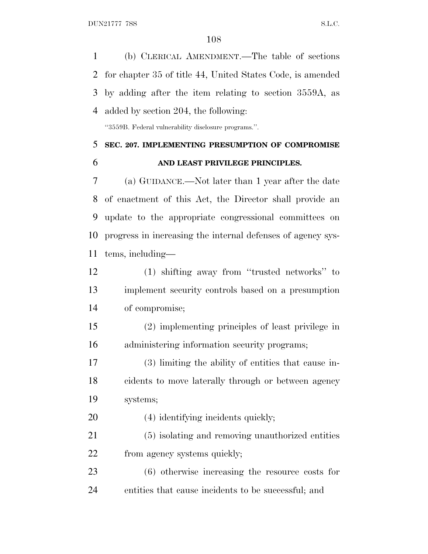(b) CLERICAL AMENDMENT.—The table of sections

 for chapter 35 of title 44, United States Code, is amended by adding after the item relating to section 3559A, as added by section 204, the following: ''3559B. Federal vulnerability disclosure programs.''. **SEC. 207. IMPLEMENTING PRESUMPTION OF COMPROMISE AND LEAST PRIVILEGE PRINCIPLES.** (a) GUIDANCE.—Not later than 1 year after the date of enactment of this Act, the Director shall provide an update to the appropriate congressional committees on progress in increasing the internal defenses of agency sys- tems, including— (1) shifting away from ''trusted networks'' to implement security controls based on a presumption of compromise; (2) implementing principles of least privilege in administering information security programs; (3) limiting the ability of entities that cause in- cidents to move laterally through or between agency systems; 20 (4) identifying incidents quickly; (5) isolating and removing unauthorized entities 22 from agency systems quickly; (6) otherwise increasing the resource costs for

entities that cause incidents to be successful; and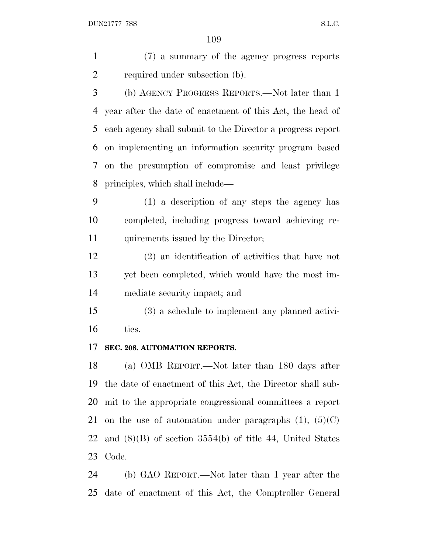(7) a summary of the agency progress reports required under subsection (b).

 (b) AGENCY PROGRESS REPORTS.—Not later than 1 year after the date of enactment of this Act, the head of each agency shall submit to the Director a progress report on implementing an information security program based on the presumption of compromise and least privilege principles, which shall include—

 (1) a description of any steps the agency has completed, including progress toward achieving re-11 quirements issued by the Director;

 (2) an identification of activities that have not yet been completed, which would have the most im-mediate security impact; and

 (3) a schedule to implement any planned activi-ties.

#### **SEC. 208. AUTOMATION REPORTS.**

 (a) OMB REPORT.—Not later than 180 days after the date of enactment of this Act, the Director shall sub- mit to the appropriate congressional committees a report 21 on the use of automation under paragraphs  $(1)$ ,  $(5)(C)$ 22 and  $(8)(B)$  of section 3554(b) of title 44, United States Code.

 (b) GAO REPORT.—Not later than 1 year after the date of enactment of this Act, the Comptroller General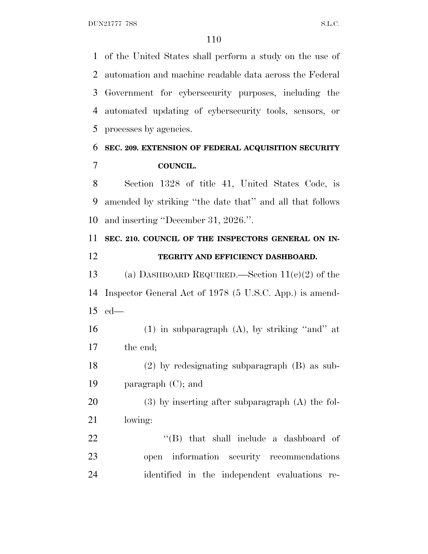DUN21777 7SS S.L.C.

 of the United States shall perform a study on the use of automation and machine readable data across the Federal Government for cybersecurity purposes, including the automated updating of cybersecurity tools, sensors, or processes by agencies.

### **SEC. 209. EXTENSION OF FEDERAL ACQUISITION SECURITY COUNCIL.**

 Section 1328 of title 41, United States Code, is amended by striking ''the date that'' and all that follows and inserting ''December 31, 2026.''.

# **SEC. 210. COUNCIL OF THE INSPECTORS GENERAL ON IN-TEGRITY AND EFFICIENCY DASHBOARD.**

 (a) DASHBOARD REQUIRED.—Section 11(e)(2) of the Inspector General Act of 1978 (5 U.S.C. App.) is amend-ed—

16 (1) in subparagraph  $(A)$ , by striking "and" at the end;

 (2) by redesignating subparagraph (B) as sub-paragraph (C); and

 (3) by inserting after subparagraph (A) the fol-lowing:

22  $\langle$  (B) that shall include a dashboard of open information security recommendations identified in the independent evaluations re-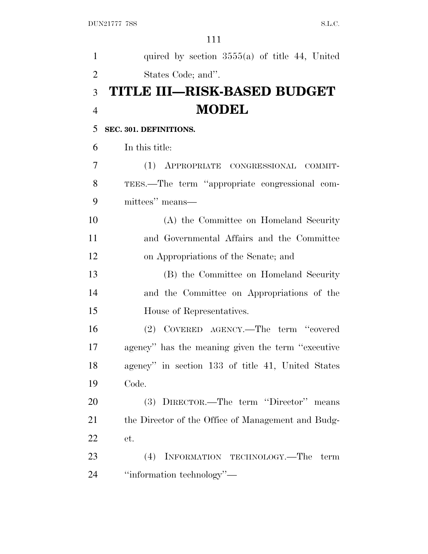| $\mathbf{1}$   | quired by section $3555(a)$ of title 44, United    |
|----------------|----------------------------------------------------|
| $\overline{2}$ | States Code; and".                                 |
| 3              | <b>TITLE III-RISK-BASED BUDGET</b>                 |
| $\overline{4}$ | <b>MODEL</b>                                       |
| 5              | SEC. 301. DEFINITIONS.                             |
| 6              | In this title:                                     |
| 7              | (1) APPROPRIATE CONGRESSIONAL COMMIT-              |
| 8              | TEES.—The term "appropriate congressional com-     |
| 9              | mittees" means—                                    |
| 10             | (A) the Committee on Homeland Security             |
| 11             | and Governmental Affairs and the Committee         |
| 12             | on Appropriations of the Senate; and               |
| 13             | (B) the Committee on Homeland Security             |
| 14             | and the Committee on Appropriations of the         |
| 15             | House of Representatives.                          |
| 16             | (2) COVERED AGENCY.—The term "covered              |
| 17             | agency" has the meaning given the term "executive" |
| 18             | agency" in section 133 of title 41, United States  |
| 19             | Code.                                              |
| 20             | (3) DIRECTOR.—The term "Director" means            |
| 21             | the Director of the Office of Management and Budg- |
| 22             | et.                                                |
| 23             | (4) INFORMATION TECHNOLOGY.—The<br>term            |
| 24             | "information technology"—                          |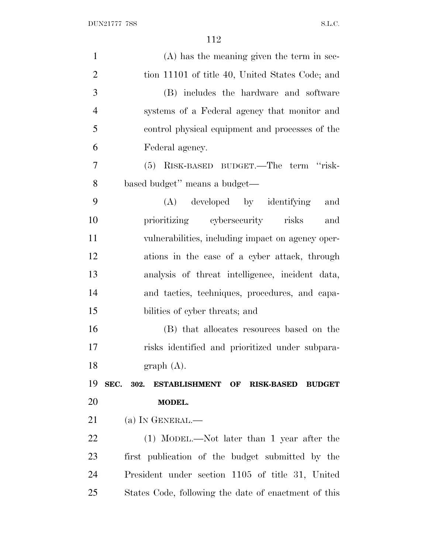| $(A)$ has the meaning given the term in sec-                     | $\mathbf{1}$   |
|------------------------------------------------------------------|----------------|
| tion 11101 of title 40, United States Code; and                  | $\overline{2}$ |
| (B) includes the hardware and software                           | 3              |
| systems of a Federal agency that monitor and                     | $\overline{4}$ |
| control physical equipment and processes of the                  | 5              |
| Federal agency.                                                  | 6              |
| (5) RISK-BASED BUDGET.—The term "risk-                           | $\overline{7}$ |
| based budget" means a budget-                                    | 8              |
| (A) developed by identifying<br>and                              | 9              |
| prioritizing cybersecurity risks<br>and                          | 10             |
| vulnerabilities, including impact on agency oper-                | 11             |
| ations in the case of a cyber attack, through                    | 12             |
| analysis of threat intelligence, incident data,                  | 13             |
| and tactics, techniques, procedures, and capa-                   | 14             |
| bilities of cyber threats; and                                   | 15             |
| (B) that allocates resources based on the                        | 16             |
| risks identified and prioritized under subpara-                  | 17             |
| graph(A).                                                        | 18             |
| SEC. 302. ESTABLISHMENT OF<br><b>BUDGET</b><br><b>RISK-BASED</b> | 19             |
| MODEL.                                                           | 20             |
| (a) IN GENERAL.—                                                 | 21             |
| (1) MODEL.—Not later than 1 year after the                       | <u>22</u>      |
| first publication of the budget submitted by the                 | 23             |
| President under section 1105 of title 31, United                 | 24             |
| States Code, following the date of enactment of this             | 25             |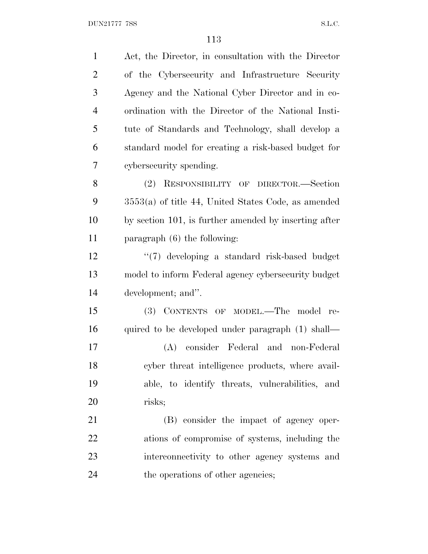| $\mathbf{1}$   | Act, the Director, in consultation with the Director  |
|----------------|-------------------------------------------------------|
| $\overline{2}$ | of the Cybersecurity and Infrastructure Security      |
| 3              | Agency and the National Cyber Director and in co-     |
| $\overline{4}$ | ordination with the Director of the National Insti-   |
| 5              | tute of Standards and Technology, shall develop a     |
| 6              | standard model for creating a risk-based budget for   |
| 7              | cybersecurity spending.                               |
| 8              | (2)<br>RESPONSIBILITY OF DIRECTOR.-Section            |
| 9              | $3553(a)$ of title 44, United States Code, as amended |
| 10             | by section 101, is further amended by inserting after |
| 11             | paragraph $(6)$ the following:                        |
| 12             | "(7) developing a standard risk-based budget          |
| 13             | model to inform Federal agency cybersecurity budget   |
| 14             | development; and".                                    |
| 15             | (3) CONTENTS OF MODEL.—The model<br>re-               |
| 16             | quired to be developed under paragraph (1) shall—     |
| 17             | (A) consider Federal and non-Federal                  |
| 18             | cyber threat intelligence products, where avail-      |
| 19             | able, to identify threats, vulnerabilities, and       |
| 20             | risks;                                                |
| 21             | (B) consider the impact of agency oper-               |
| 22             | ations of compromise of systems, including the        |
| 23             | interconnectivity to other agency systems and         |
| 24             | the operations of other agencies;                     |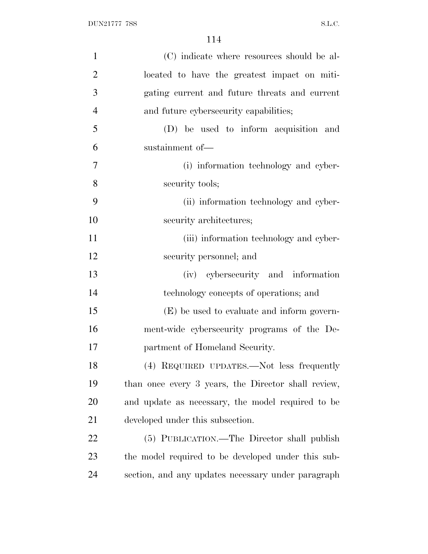| $\mathbf{1}$   | (C) indicate where resources should be al-          |
|----------------|-----------------------------------------------------|
| $\overline{2}$ | located to have the greatest impact on miti-        |
| 3              | gating current and future threats and current       |
| $\overline{4}$ | and future cybersecurity capabilities;              |
| 5              | (D) be used to inform acquisition and               |
| 6              | sustainment of-                                     |
| 7              | (i) information technology and cyber-               |
| 8              | security tools;                                     |
| 9              | (ii) information technology and cyber-              |
| 10             | security architectures;                             |
| 11             | (iii) information technology and cyber-             |
| 12             | security personnel; and                             |
| 13             | (iv) cybersecurity and information                  |
| 14             | technology concepts of operations; and              |
| 15             | (E) be used to evaluate and inform govern-          |
| 16             | ment-wide cybersecurity programs of the De-         |
| 17             | partment of Homeland Security.                      |
| 18             | (4) REQUIRED UPDATES.—Not less frequently           |
| 19             | than once every 3 years, the Director shall review, |
| 20             | and update as necessary, the model required to be   |
| 21             | developed under this subsection.                    |
| 22             | (5) PUBLICATION.—The Director shall publish         |
| 23             | the model required to be developed under this sub-  |
| 24             | section, and any updates necessary under paragraph  |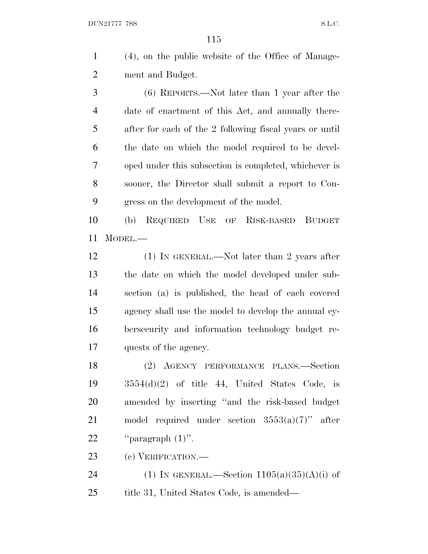(4), on the public website of the Office of Manage-ment and Budget.

 (6) REPORTS.—Not later than 1 year after the date of enactment of this Act, and annually there- after for each of the 2 following fiscal years or until the date on which the model required to be devel- oped under this subsection is completed, whichever is sooner, the Director shall submit a report to Con-gress on the development of the model.

 (b) REQUIRED USE OF RISK-BASED BUDGET MODEL.—

12 (1) IN GENERAL.—Not later than 2 years after the date on which the model developed under sub- section (a) is published, the head of each covered agency shall use the model to develop the annual cy- bersecurity and information technology budget re-quests of the agency.

 (2) AGENCY PERFORMANCE PLANS.—Section 3554(d)(2) of title 44, United States Code, is amended by inserting ''and the risk-based budget 21 model required under section  $3553(a)(7)$ " after  $"paragraph (1)".$ 

(c) VERIFICATION.—

24 (1) IN GENERAL.—Section  $1105(a)(35)(A)(i)$  of 25 title 31, United States Code, is amended—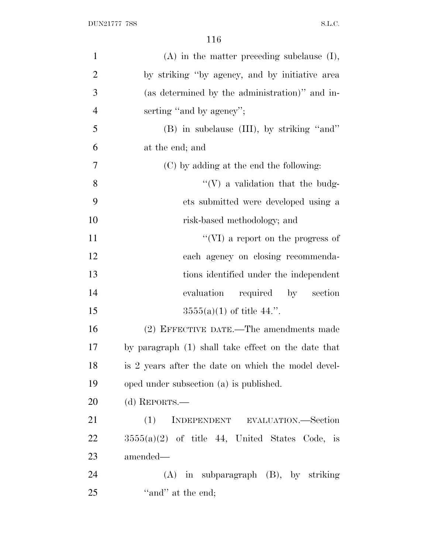| $\mathbf{1}$   | $(A)$ in the matter preceding subclause $(I)$ ,     |
|----------------|-----------------------------------------------------|
| $\overline{2}$ | by striking "by agency, and by initiative area      |
| 3              | (as determined by the administration)" and in-      |
| $\overline{4}$ | serting "and by agency";                            |
| 5              | (B) in subclause (III), by striking "and"           |
| 6              | at the end; and                                     |
| 7              | (C) by adding at the end the following:             |
| 8              | $\lq\lq(V)$ a validation that the budg-             |
| 9              | ets submitted were developed using a                |
| 10             | risk-based methodology; and                         |
| 11             | $``(VI)$ a report on the progress of                |
| 12             | each agency on closing recommenda-                  |
| 13             | tions identified under the independent              |
| 14             | required by section<br>evaluation                   |
| 15             | $3555(a)(1)$ of title 44.".                         |
| 16             | (2) EFFECTIVE DATE.—The amendments made             |
| 17             | by paragraph (1) shall take effect on the date that |
| 18             | is 2 years after the date on which the model devel- |
| 19             | oped under subsection (a) is published.             |
| 20             | (d) REPORTS.—                                       |
| 21             | (1)<br>INDEPENDENT EVALUATION.—Section              |
| 22             | $3555(a)(2)$ of title 44, United States Code, is    |
| 23             | amended—                                            |
| 24             | $(A)$ in subparagraph $(B)$ , by striking           |
| 25             | "and" at the end;                                   |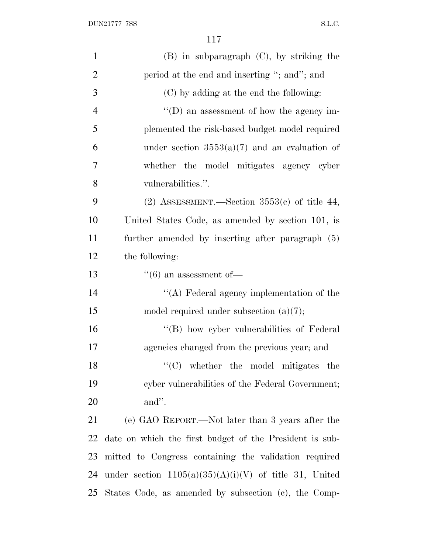| $\mathbf{1}$   | $(B)$ in subparagraph $(C)$ , by striking the            |
|----------------|----------------------------------------------------------|
| $\overline{2}$ | period at the end and inserting "; and"; and             |
| 3              | (C) by adding at the end the following:                  |
| $\overline{4}$ | $\lq\lq$ (D) an assessment of how the agency im-         |
| 5              | plemented the risk-based budget model required           |
| 6              | under section $3553(a)(7)$ and an evaluation of          |
| 7              | whether the model mitigates agency cyber                 |
| 8              | vulnerabilities.".                                       |
| 9              | (2) ASSESSMENT.—Section $3553(c)$ of title 44,           |
| 10             | United States Code, as amended by section 101, is        |
| 11             | further amended by inserting after paragraph (5)         |
| 12             | the following:                                           |
| 13             | $\lq(6)$ an assessment of —                              |
| 14             | "(A) Federal agency implementation of the                |
| 15             | model required under subsection $(a)(7)$ ;               |
| 16             | "(B) how cyber vulnerabilities of Federal                |
| 17             | agencies changed from the previous year; and             |
| 18             | $\lq\lq$ whether the model mitigates the                 |
| 19             | cyber vulnerabilities of the Federal Government;         |
| 20             | and".                                                    |
| 21             | (e) GAO REPORT.—Not later than 3 years after the         |
| 22             | date on which the first budget of the President is sub-  |
| 23             | mitted to Congress containing the validation required    |
| 24             | under section $1105(a)(35)(A)(i)(V)$ of title 31, United |
| 25             | States Code, as amended by subsection (c), the Comp-     |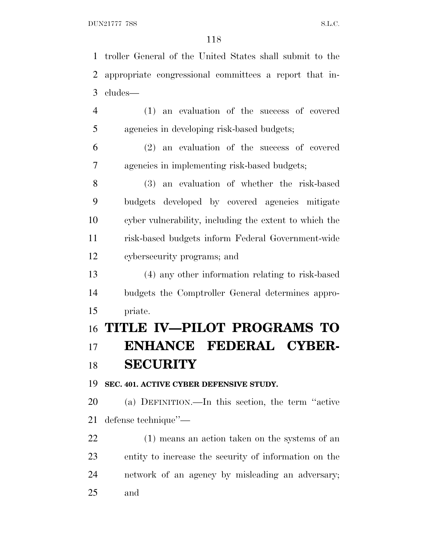troller General of the United States shall submit to the appropriate congressional committees a report that in- cludes— (1) an evaluation of the success of covered agencies in developing risk-based budgets;

 (2) an evaluation of the success of covered agencies in implementing risk-based budgets;

 (3) an evaluation of whether the risk-based budgets developed by covered agencies mitigate cyber vulnerability, including the extent to which the risk-based budgets inform Federal Government-wide cybersecurity programs; and

 (4) any other information relating to risk-based budgets the Comptroller General determines appro-priate.

# **TITLE IV—PILOT PROGRAMS TO ENHANCE FEDERAL CYBER-SECURITY**

**SEC. 401. ACTIVE CYBER DEFENSIVE STUDY.**

 (a) DEFINITION.—In this section, the term ''active defense technique''—

 (1) means an action taken on the systems of an entity to increase the security of information on the network of an agency by misleading an adversary; and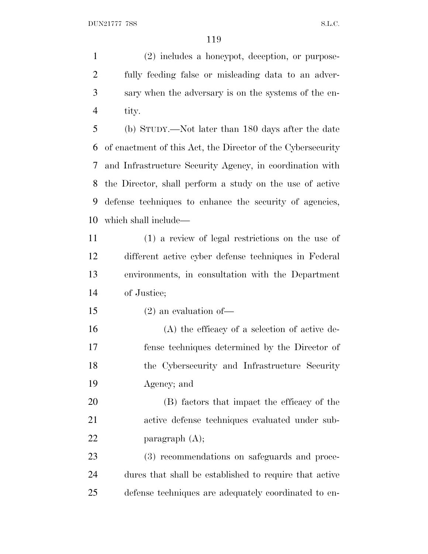(2) includes a honeypot, deception, or purpose- fully feeding false or misleading data to an adver- sary when the adversary is on the systems of the en-tity.

 (b) STUDY.—Not later than 180 days after the date of enactment of this Act, the Director of the Cybersecurity and Infrastructure Security Agency, in coordination with the Director, shall perform a study on the use of active defense techniques to enhance the security of agencies, which shall include—

 (1) a review of legal restrictions on the use of different active cyber defense techniques in Federal environments, in consultation with the Department of Justice;

(2) an evaluation of—

 (A) the efficacy of a selection of active de- fense techniques determined by the Director of the Cybersecurity and Infrastructure Security Agency; and

 (B) factors that impact the efficacy of the active defense techniques evaluated under sub-22 paragraph (A);

 (3) recommendations on safeguards and proce- dures that shall be established to require that active defense techniques are adequately coordinated to en-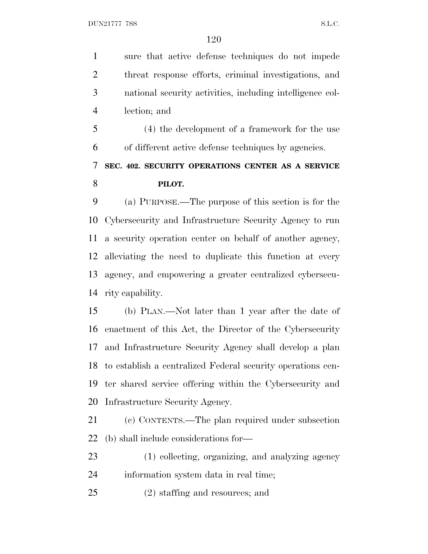sure that active defense techniques do not impede threat response efforts, criminal investigations, and national security activities, including intelligence col-lection; and

 (4) the development of a framework for the use of different active defense techniques by agencies.

## **SEC. 402. SECURITY OPERATIONS CENTER AS A SERVICE PILOT.**

 (a) PURPOSE.—The purpose of this section is for the Cybersecurity and Infrastructure Security Agency to run a security operation center on behalf of another agency, alleviating the need to duplicate this function at every agency, and empowering a greater centralized cybersecu-rity capability.

 (b) PLAN.—Not later than 1 year after the date of enactment of this Act, the Director of the Cybersecurity and Infrastructure Security Agency shall develop a plan to establish a centralized Federal security operations cen- ter shared service offering within the Cybersecurity and Infrastructure Security Agency.

 (c) CONTENTS.—The plan required under subsection (b) shall include considerations for—

 (1) collecting, organizing, and analyzing agency information system data in real time;

(2) staffing and resources; and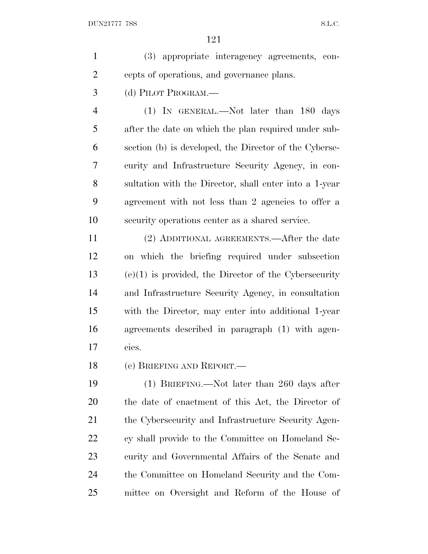(3) appropriate interagency agreements, con-cepts of operations, and governance plans.

(d) PILOT PROGRAM.—

 (1) IN GENERAL.—Not later than 180 days after the date on which the plan required under sub- section (b) is developed, the Director of the Cyberse- curity and Infrastructure Security Agency, in con- sultation with the Director, shall enter into a 1-year agreement with not less than 2 agencies to offer a security operations center as a shared service.

 (2) ADDITIONAL AGREEMENTS.—After the date on which the briefing required under subsection (e)(1) is provided, the Director of the Cybersecurity and Infrastructure Security Agency, in consultation with the Director, may enter into additional 1-year agreements described in paragraph (1) with agen-cies.

(e) BRIEFING AND REPORT.—

 (1) BRIEFING.—Not later than 260 days after the date of enactment of this Act, the Director of 21 the Cybersecurity and Infrastructure Security Agen- cy shall provide to the Committee on Homeland Se- curity and Governmental Affairs of the Senate and the Committee on Homeland Security and the Com-mittee on Oversight and Reform of the House of